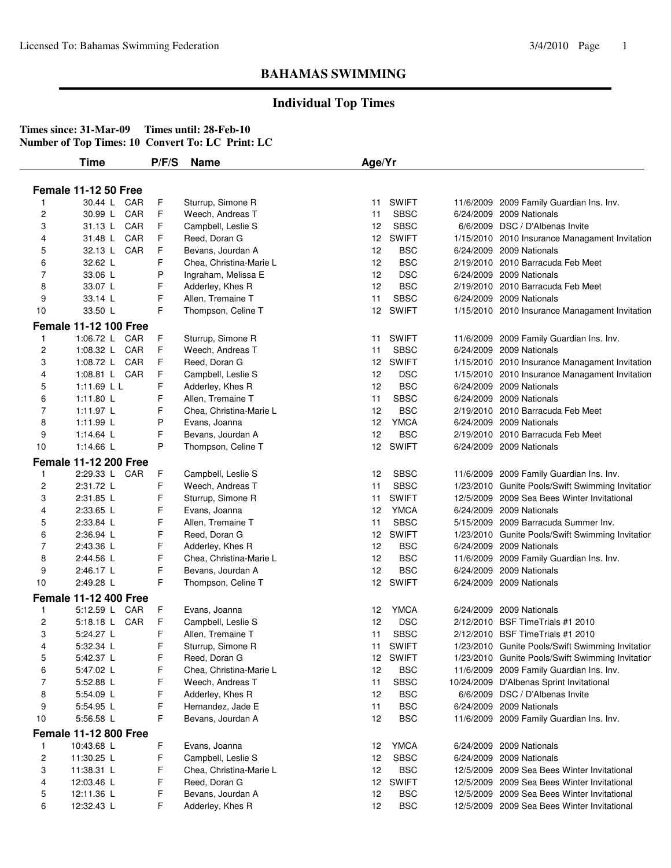## **Individual Top Times**

|                | Time                         | P/F/S | <b>Name</b>             | Age/Yr          |              |                                                  |
|----------------|------------------------------|-------|-------------------------|-----------------|--------------|--------------------------------------------------|
|                | <b>Female 11-12 50 Free</b>  |       |                         |                 |              |                                                  |
| 1              | 30.44 L CAR                  | F     | Sturrup, Simone R       | 11              | <b>SWIFT</b> | 11/6/2009 2009 Family Guardian Ins. Inv.         |
| $\overline{c}$ | CAR<br>30.99 L               | F     | Weech, Andreas T        | 11              | <b>SBSC</b>  | 6/24/2009 2009 Nationals                         |
| 3              | 31.13 L CAR                  | F     | Campbell, Leslie S      | 12              | <b>SBSC</b>  | 6/6/2009 DSC / D'Albenas Invite                  |
| 4              | 31.48 L<br>CAR               | F     | Reed, Doran G           | 12              | <b>SWIFT</b> | 1/15/2010 2010 Insurance Managament Invitation   |
| 5              | CAR<br>32.13 L               | F     | Bevans, Jourdan A       | 12              | <b>BSC</b>   | 6/24/2009 2009 Nationals                         |
| 6              | 32.62 L                      | F     | Chea, Christina-Marie L | 12              | <b>BSC</b>   | 2/19/2010 2010 Barracuda Feb Meet                |
| 7              | 33.06 L                      | P     | Ingraham, Melissa E     | 12              | <b>DSC</b>   | 6/24/2009 2009 Nationals                         |
| 8              | 33.07 L                      | F     | Adderley, Khes R        | 12              | <b>BSC</b>   | 2/19/2010 2010 Barracuda Feb Meet                |
| 9              | 33.14 L                      | F     | Allen, Tremaine T       | 11              | <b>SBSC</b>  | 6/24/2009 2009 Nationals                         |
| 10             | 33.50 L                      | F     | Thompson, Celine T      |                 | 12 SWIFT     | 1/15/2010 2010 Insurance Managament Invitation   |
|                | <b>Female 11-12 100 Free</b> |       |                         |                 |              |                                                  |
| 1              | 1:06.72 L CAR                | F     | Sturrup, Simone R       | 11              | <b>SWIFT</b> | 11/6/2009 2009 Family Guardian Ins. Inv.         |
| $\overline{c}$ | 1:08.32 L CAR                | F     | Weech, Andreas T        | 11              | <b>SBSC</b>  | 6/24/2009 2009 Nationals                         |
| 3              | 1:08.72 L CAR                | F     | Reed, Doran G           | 12              | <b>SWIFT</b> | 1/15/2010 2010 Insurance Managament Invitation   |
| 4              | 1:08.81 L CAR                | F     | Campbell, Leslie S      | 12              | <b>DSC</b>   | 1/15/2010 2010 Insurance Managament Invitation   |
| 5              | 1:11.69 L L                  | F     | Adderley, Khes R        | 12              | <b>BSC</b>   | 6/24/2009 2009 Nationals                         |
| 6              | 1:11.80 L                    | F     | Allen, Tremaine T       | 11              | <b>SBSC</b>  | 6/24/2009 2009 Nationals                         |
| 7              | 1:11.97 L                    | F     | Chea, Christina-Marie L | 12              | <b>BSC</b>   | 2/19/2010 2010 Barracuda Feb Meet                |
| 8              | 1:11.99 L                    | P     | Evans, Joanna           | 12 <sub>2</sub> | <b>YMCA</b>  | 6/24/2009 2009 Nationals                         |
| 9              | 1:14.64 L                    | F     | Bevans, Jourdan A       | 12              | <b>BSC</b>   | 2/19/2010 2010 Barracuda Feb Meet                |
| $10$           | 1:14.66 L                    | P     | Thompson, Celine T      |                 | 12 SWIFT     | 6/24/2009 2009 Nationals                         |
|                | <b>Female 11-12 200 Free</b> |       |                         |                 |              |                                                  |
| 1              | 2:29.33 L CAR                | F     | Campbell, Leslie S      | 12              | <b>SBSC</b>  | 11/6/2009 2009 Family Guardian Ins. Inv.         |
| 2              | 2:31.72 L                    | F     | Weech, Andreas T        | 11              | <b>SBSC</b>  | 1/23/2010 Gunite Pools/Swift Swimming Invitatior |
| 3              | 2:31.85 L                    | F     | Sturrup, Simone R       | 11              | <b>SWIFT</b> | 12/5/2009 2009 Sea Bees Winter Invitational      |
| 4              | 2:33.65 L                    | F     | Evans, Joanna           | 12              | <b>YMCA</b>  | 6/24/2009 2009 Nationals                         |
| 5              | 2:33.84 L                    | F     | Allen, Tremaine T       | 11              | <b>SBSC</b>  | 5/15/2009 2009 Barracuda Summer Inv.             |
| 6              | 2:36.94 L                    | F     | Reed, Doran G           | 12              | <b>SWIFT</b> | 1/23/2010 Gunite Pools/Swift Swimming Invitatior |
| 7              | 2:43.36 L                    | F     | Adderley, Khes R        | 12              | <b>BSC</b>   | 6/24/2009 2009 Nationals                         |
| 8              | 2:44.56 L                    | F     | Chea, Christina-Marie L | 12              | <b>BSC</b>   | 11/6/2009 2009 Family Guardian Ins. Inv.         |
| 9              | 2:46.17 L                    | F     | Bevans, Jourdan A       | 12              | <b>BSC</b>   | 6/24/2009 2009 Nationals                         |
| 10             | 2:49.28 L                    | F     | Thompson, Celine T      |                 | 12 SWIFT     | 6/24/2009 2009 Nationals                         |
|                | <b>Female 11-12 400 Free</b> |       |                         |                 |              |                                                  |
| 1              | 5:12.59 L CAR                | F     | Evans, Joanna           | 12              | <b>YMCA</b>  | 6/24/2009 2009 Nationals                         |
| $\overline{c}$ | 5:18.18 L CAR                | F     | Campbell, Leslie S      | 12              | <b>DSC</b>   | 2/12/2010 BSF Time Trials #1 2010                |
| 3              | 5:24.27 L                    | F     | Allen, Tremaine T       | 11              | <b>SBSC</b>  | 2/12/2010 BSF Time Trials #1 2010                |
| 4              | 5:32.34 L                    | F     | Sturrup, Simone R       |                 | 11 SWIFT     | 1/23/2010 Gunite Pools/Swift Swimming Invitatior |
| 5              | 5:42.37 L                    | F     | Reed, Doran G           |                 | 12 SWIFT     | 1/23/2010 Gunite Pools/Swift Swimming Invitatior |
| 6              | 5:47.02 L                    | F     | Chea, Christina-Marie L | 12              | <b>BSC</b>   | 11/6/2009 2009 Family Guardian Ins. Inv.         |
| 7              | 5:52.88 L                    | F     | Weech, Andreas T        | 11              | <b>SBSC</b>  | 10/24/2009 D'Albenas Sprint Invitational         |
| 8              | 5:54.09 L                    | F     | Adderley, Khes R        | 12              | <b>BSC</b>   | 6/6/2009 DSC / D'Albenas Invite                  |
| 9              | 5:54.95 L                    | F     | Hernandez, Jade E       | 11              | <b>BSC</b>   | 6/24/2009 2009 Nationals                         |
| 10             | 5:56.58 L                    | F     | Bevans, Jourdan A       | 12              | <b>BSC</b>   | 11/6/2009 2009 Family Guardian Ins. Inv.         |
|                | <b>Female 11-12 800 Free</b> |       |                         |                 |              |                                                  |
| $\mathbf{1}$   | 10:43.68 L                   | F     | Evans, Joanna           | 12              | <b>YMCA</b>  | 6/24/2009 2009 Nationals                         |
| 2              | 11:30.25 L                   | F     | Campbell, Leslie S      | 12              | <b>SBSC</b>  | 6/24/2009 2009 Nationals                         |
| 3              | 11:38.31 L                   | F     | Chea, Christina-Marie L | 12              | <b>BSC</b>   | 12/5/2009 2009 Sea Bees Winter Invitational      |
| 4              | 12:03.46 L                   | F     | Reed, Doran G           |                 | 12 SWIFT     | 12/5/2009 2009 Sea Bees Winter Invitational      |
| $\mathbf 5$    | 12:11.36 L                   | F     | Bevans, Jourdan A       | 12              | <b>BSC</b>   | 12/5/2009 2009 Sea Bees Winter Invitational      |
| 6              | 12:32.43 L                   | F     | Adderley, Khes R        | 12              | <b>BSC</b>   | 12/5/2009 2009 Sea Bees Winter Invitational      |
|                |                              |       |                         |                 |              |                                                  |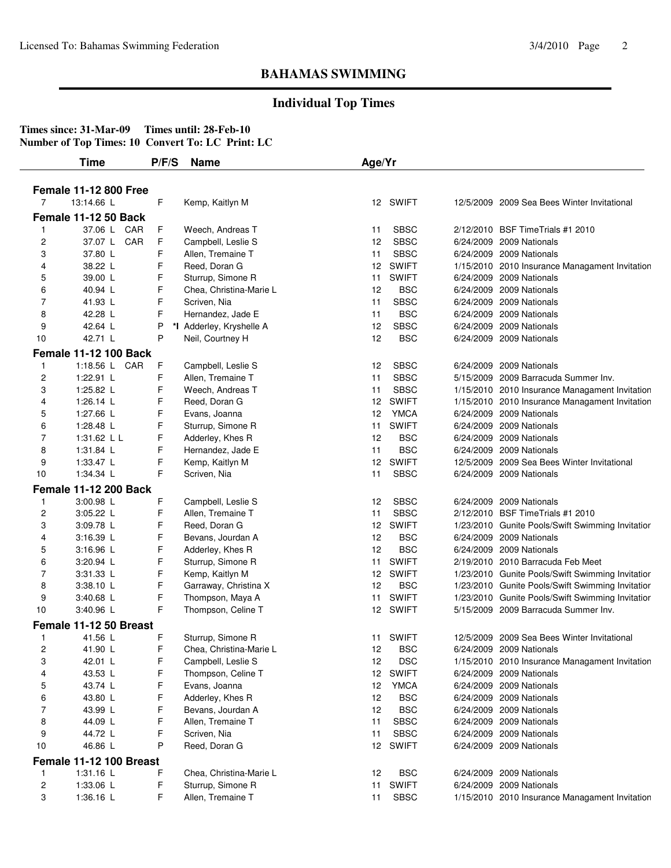## **Individual Top Times**

|                | <b>Time</b>                                | P/F/S | <b>Name</b>              | Age/Yr          |              |                                                  |
|----------------|--------------------------------------------|-------|--------------------------|-----------------|--------------|--------------------------------------------------|
|                |                                            |       |                          |                 |              |                                                  |
| $\overline{7}$ | <b>Female 11-12 800 Free</b><br>13:14.66 L | F     | Kemp, Kaitlyn M          |                 | 12 SWIFT     | 12/5/2009 2009 Sea Bees Winter Invitational      |
|                |                                            |       |                          |                 |              |                                                  |
|                | Female 11-12 50 Back                       |       |                          |                 |              |                                                  |
| -1             | 37.06 L CAR                                | F     | Weech, Andreas T         | 11              | <b>SBSC</b>  | 2/12/2010 BSF Time Trials #1 2010                |
| $\overline{c}$ | 37.07 L CAR                                | F     | Campbell, Leslie S       | 12              | <b>SBSC</b>  | 6/24/2009 2009 Nationals                         |
| 3              | 37.80 L                                    | F     | Allen, Tremaine T        | 11              | <b>SBSC</b>  | 6/24/2009 2009 Nationals                         |
| 4              | 38.22 L                                    | F     | Reed, Doran G            | 12 <sup>2</sup> | <b>SWIFT</b> | 1/15/2010 2010 Insurance Managament Invitation   |
| 5              | 39.00 L                                    | F     | Sturrup, Simone R        | 11              | <b>SWIFT</b> | 6/24/2009 2009 Nationals                         |
| 6              | 40.94 L                                    | F     | Chea, Christina-Marie L  | 12              | <b>BSC</b>   | 6/24/2009 2009 Nationals                         |
| $\overline{7}$ | 41.93 L                                    | F     | Scriven, Nia             | 11              | <b>SBSC</b>  | 6/24/2009 2009 Nationals                         |
| 8              | 42.28 L                                    | F     | Hernandez, Jade E        | 11              | <b>BSC</b>   | 6/24/2009 2009 Nationals                         |
| 9              | 42.64 L                                    | P     | *I Adderley, Kryshelle A | 12              | <b>SBSC</b>  | 6/24/2009 2009 Nationals                         |
| 10             | 42.71 L                                    | P     | Neil, Courtney H         | 12              | <b>BSC</b>   | 6/24/2009 2009 Nationals                         |
|                | <b>Female 11-12 100 Back</b>               |       |                          |                 |              |                                                  |
| $\mathbf{1}$   | 1:18.56 L CAR                              | F     | Campbell, Leslie S       | 12              | <b>SBSC</b>  | 6/24/2009 2009 Nationals                         |
| $\overline{c}$ | 1:22.91 L                                  | F     | Allen, Tremaine T        | 11              | <b>SBSC</b>  | 5/15/2009 2009 Barracuda Summer Inv.             |
| 3              | 1:25.82 L                                  | F     | Weech, Andreas T         | 11              | <b>SBSC</b>  | 1/15/2010 2010 Insurance Managament Invitation   |
| 4              | 1:26.14 L                                  | F     | Reed, Doran G            | 12              | <b>SWIFT</b> | 1/15/2010 2010 Insurance Managament Invitation   |
| 5              | 1:27.66 L                                  | F     | Evans, Joanna            | 12              | <b>YMCA</b>  | 6/24/2009 2009 Nationals                         |
| 6              | 1:28.48 L                                  | F     | Sturrup, Simone R        | 11              | <b>SWIFT</b> | 6/24/2009 2009 Nationals                         |
| 7              | 1:31.62 L L                                | F     | Adderley, Khes R         | 12              | <b>BSC</b>   | 6/24/2009 2009 Nationals                         |
| 8              | $1:31.84$ L                                | F     | Hernandez, Jade E        | 11              | <b>BSC</b>   | 6/24/2009 2009 Nationals                         |
| 9              | 1:33.47 $\lfloor$                          | F     | Kemp, Kaitlyn M          | 12              | <b>SWIFT</b> | 12/5/2009 2009 Sea Bees Winter Invitational      |
| 10             | 1:34.34 L                                  | F     | Scriven, Nia             | 11              | <b>SBSC</b>  | 6/24/2009 2009 Nationals                         |
|                | <b>Female 11-12 200 Back</b>               |       |                          |                 |              |                                                  |
| $\mathbf{1}$   | 3:00.98 L                                  | F     | Campbell, Leslie S       | 12              | <b>SBSC</b>  | 6/24/2009 2009 Nationals                         |
| $\overline{c}$ | 3:05.22 L                                  | F     | Allen, Tremaine T        | 11              | <b>SBSC</b>  | 2/12/2010 BSF Time Trials #1 2010                |
| 3              | 3:09.78 L                                  | F     | Reed, Doran G            | 12 <sup>2</sup> | <b>SWIFT</b> | 1/23/2010 Gunite Pools/Swift Swimming Invitatior |
| 4              | $3:16.39$ L                                | F     | Bevans, Jourdan A        | 12              | <b>BSC</b>   | 6/24/2009 2009 Nationals                         |
| 5              | 3:16.96 L                                  | F     | Adderley, Khes R         | 12              | <b>BSC</b>   | 6/24/2009 2009 Nationals                         |
| 6              | 3:20.94 L                                  | F     | Sturrup, Simone R        | 11              | <b>SWIFT</b> | 2/19/2010 2010 Barracuda Feb Meet                |
| $\overline{7}$ | 3:31.33 L                                  | F     | Kemp, Kaitlyn M          | 12              | SWIFT        | 1/23/2010 Gunite Pools/Swift Swimming Invitatior |
| 8              | 3:38.10 L                                  | F     | Garraway, Christina X    | 12              | <b>BSC</b>   | 1/23/2010 Gunite Pools/Swift Swimming Invitatior |
| 9              | 3:40.68 L                                  | F     | Thompson, Maya A         | 11              | <b>SWIFT</b> | 1/23/2010 Gunite Pools/Swift Swimming Invitatior |
| 10             | 3:40.96 L                                  | F     | Thompson, Celine T       |                 | 12 SWIFT     | 5/15/2009 2009 Barracuda Summer Inv.             |
|                | Female 11-12 50 Breast                     |       |                          |                 |              |                                                  |
| $\mathbf{1}$   | 41.56 L                                    | F     | Sturrup, Simone R        |                 | 11 SWIFT     | 12/5/2009 2009 Sea Bees Winter Invitational      |
| 2              | 41.90 L                                    | F     | Chea, Christina-Marie L  | 12              | <b>BSC</b>   | 6/24/2009 2009 Nationals                         |
| 3              | 42.01 L                                    | F     | Campbell, Leslie S       | 12              | <b>DSC</b>   | 1/15/2010 2010 Insurance Managament Invitation   |
| 4              | 43.53 L                                    | F     | Thompson, Celine T       | 12 <sup>2</sup> | <b>SWIFT</b> | 6/24/2009 2009 Nationals                         |
| 5              | 43.74 L                                    | F     | Evans, Joanna            | 12              | <b>YMCA</b>  | 6/24/2009 2009 Nationals                         |
| 6              | 43.80 L                                    | F     | Adderley, Khes R         | 12              | <b>BSC</b>   | 6/24/2009 2009 Nationals                         |
| $\overline{7}$ | 43.99 L                                    | F     | Bevans, Jourdan A        | 12              | <b>BSC</b>   | 6/24/2009 2009 Nationals                         |
| 8              | 44.09 L                                    | F     | Allen, Tremaine T        | 11              | <b>SBSC</b>  | 6/24/2009 2009 Nationals                         |
| 9              | 44.72 L                                    | F     | Scriven, Nia             | 11              | <b>SBSC</b>  | 6/24/2009 2009 Nationals                         |
|                | 46.86 L                                    | P     | Reed, Doran G            |                 | 12 SWIFT     | 6/24/2009 2009 Nationals                         |
| 10             |                                            |       |                          |                 |              |                                                  |
|                | Female 11-12 100 Breast                    |       |                          |                 |              |                                                  |
| $\mathbf{1}$   | 1:31.16 L                                  | F     | Chea, Christina-Marie L  | 12              | <b>BSC</b>   | 6/24/2009 2009 Nationals                         |
| $\overline{c}$ | 1:33.06 L                                  | F     | Sturrup, Simone R        | 11              | <b>SWIFT</b> | 6/24/2009 2009 Nationals                         |
| 3              | 1:36.16 L                                  | F     | Allen, Tremaine T        | 11              | <b>SBSC</b>  | 1/15/2010 2010 Insurance Managament Invitation   |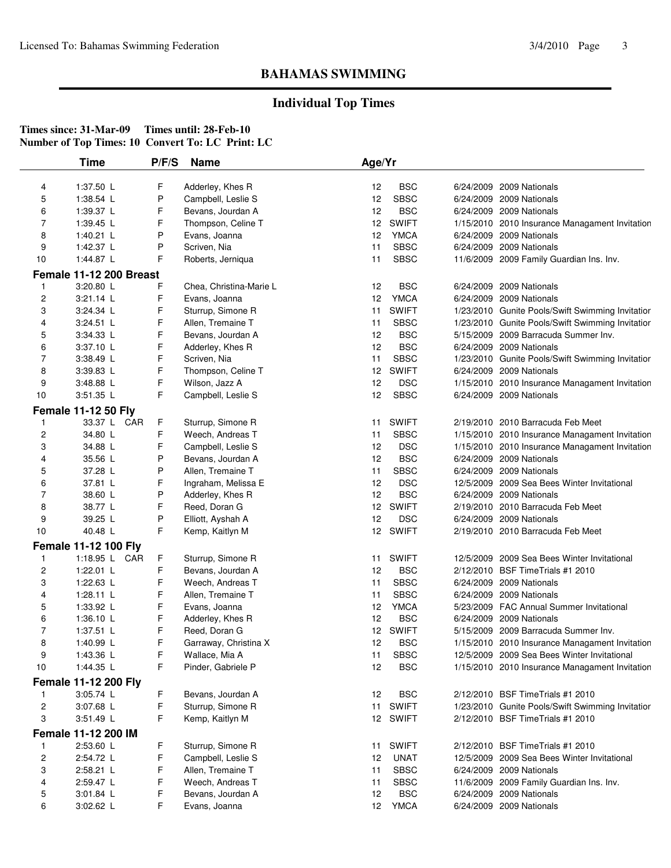## **Individual Top Times**

|                | <b>Time</b>                 | P/F/S  | Name                    | Age/Yr           |              |           |                                                  |
|----------------|-----------------------------|--------|-------------------------|------------------|--------------|-----------|--------------------------------------------------|
| 4              | 1:37.50 L                   | F      | Adderley, Khes R        | 12               | <b>BSC</b>   | 6/24/2009 | 2009 Nationals                                   |
| 5              | 1:38.54 L                   | P      | Campbell, Leslie S      | 12               | <b>SBSC</b>  |           | 6/24/2009 2009 Nationals                         |
| 6              | 1:39.37 L                   | F      | Bevans, Jourdan A       | 12               | <b>BSC</b>   |           | 6/24/2009 2009 Nationals                         |
| 7              | 1:39.45 $\lfloor$           | F      | Thompson, Celine T      | 12               | <b>SWIFT</b> |           | 1/15/2010 2010 Insurance Managament Invitation   |
| 8              | 1:40.21 L                   | P      | Evans, Joanna           | 12               | <b>YMCA</b>  |           | 6/24/2009 2009 Nationals                         |
| 9              | 1:42.37 L                   | P      | Scriven, Nia            | 11               | <b>SBSC</b>  |           | 6/24/2009 2009 Nationals                         |
| 10             | 1:44.87 L                   | F      | Roberts, Jerniqua       | 11               | <b>SBSC</b>  |           | 11/6/2009 2009 Family Guardian Ins. Inv.         |
|                | Female 11-12 200 Breast     |        |                         |                  |              |           |                                                  |
| 1              | 3:20.80 L                   | F      | Chea, Christina-Marie L | 12               | <b>BSC</b>   |           | 6/24/2009 2009 Nationals                         |
| $\overline{c}$ | $3:21.14$ L                 | F      | Evans, Joanna           | 12               | <b>YMCA</b>  |           | 6/24/2009 2009 Nationals                         |
| 3              | 3:24.34 L                   | F      | Sturrup, Simone R       | 11               | <b>SWIFT</b> |           | 1/23/2010 Gunite Pools/Swift Swimming Invitatior |
| 4              | 3:24.51 L                   | F      | Allen, Tremaine T       | 11               | <b>SBSC</b>  |           | 1/23/2010 Gunite Pools/Swift Swimming Invitatior |
| 5              | 3:34.33 L                   | F      | Bevans, Jourdan A       | 12               | <b>BSC</b>   |           | 5/15/2009 2009 Barracuda Summer Inv.             |
| 6              | 3:37.10 L                   | F      | Adderley, Khes R        | 12               | <b>BSC</b>   |           | 6/24/2009 2009 Nationals                         |
| $\overline{7}$ | 3:38.49 L                   | F      | Scriven, Nia            | 11               | <b>SBSC</b>  |           | 1/23/2010 Gunite Pools/Swift Swimming Invitatior |
| 8              | 3:39.83 L                   | F      | Thompson, Celine T      | 12               | <b>SWIFT</b> |           | 6/24/2009 2009 Nationals                         |
| 9              | 3:48.88 L                   | F      | Wilson, Jazz A          | 12               | <b>DSC</b>   |           | 1/15/2010 2010 Insurance Managament Invitation   |
| 10             | 3:51.35 L                   | F      | Campbell, Leslie S      | 12               | <b>SBSC</b>  |           | 6/24/2009 2009 Nationals                         |
|                |                             |        |                         |                  |              |           |                                                  |
|                | <b>Female 11-12 50 Fly</b>  |        |                         |                  |              |           |                                                  |
| 1              | 33.37 L CAR                 | F<br>F | Sturrup, Simone R       | 11               | <b>SWIFT</b> |           | 2/19/2010 2010 Barracuda Feb Meet                |
| 2              | 34.80 L                     |        | Weech, Andreas T        | 11               | <b>SBSC</b>  |           | 1/15/2010 2010 Insurance Managament Invitation   |
| 3              | 34.88 L                     | F      | Campbell, Leslie S      | 12               | <b>DSC</b>   |           | 1/15/2010 2010 Insurance Managament Invitation   |
| 4              | 35.56 L                     | P      | Bevans, Jourdan A       | 12               | <b>BSC</b>   |           | 6/24/2009 2009 Nationals                         |
| 5              | 37.28 L                     | P      | Allen, Tremaine T       | 11               | <b>SBSC</b>  |           | 6/24/2009 2009 Nationals                         |
| 6              | 37.81 L                     | F      | Ingraham, Melissa E     | 12               | <b>DSC</b>   |           | 12/5/2009 2009 Sea Bees Winter Invitational      |
| $\overline{7}$ | 38.60 L                     | P      | Adderley, Khes R        | 12               | <b>BSC</b>   |           | 6/24/2009 2009 Nationals                         |
| 8              | 38.77 L                     | F      | Reed, Doran G           | 12 <sup>2</sup>  | <b>SWIFT</b> |           | 2/19/2010 2010 Barracuda Feb Meet                |
| 9              | 39.25 L                     | P      | Elliott, Ayshah A       | 12               | <b>DSC</b>   |           | 6/24/2009 2009 Nationals                         |
| 10             | 40.48 L                     | F      | Kemp, Kaitlyn M         | 12 <sup>12</sup> | <b>SWIFT</b> |           | 2/19/2010 2010 Barracuda Feb Meet                |
|                | <b>Female 11-12 100 Fly</b> |        |                         |                  |              |           |                                                  |
| 1              | 1:18.95 L CAR               | F      | Sturrup, Simone R       | 11               | <b>SWIFT</b> |           | 12/5/2009 2009 Sea Bees Winter Invitational      |
| 2              | $1:22.01$ L                 | F      | Bevans, Jourdan A       | 12               | <b>BSC</b>   |           | 2/12/2010 BSF Time Trials #1 2010                |
| 3              | 1:22.63 L                   | F      | Weech, Andreas T        | 11               | <b>SBSC</b>  |           | 6/24/2009 2009 Nationals                         |
| 4              | 1:28.11 $L$                 | F      | Allen, Tremaine T       | 11               | <b>SBSC</b>  |           | 6/24/2009 2009 Nationals                         |
| 5              | 1:33.92 L                   | F      | Evans, Joanna           | 12               | <b>YMCA</b>  |           | 5/23/2009 FAC Annual Summer Invitational         |
| 6              | 1:36.10 L                   | F      | Adderley, Khes R        | 12               | <b>BSC</b>   |           | 6/24/2009 2009 Nationals                         |
| $\overline{7}$ | 1:37.51 L                   | F      | Reed, Doran G           | 12 <sup>2</sup>  | <b>SWIFT</b> |           | 5/15/2009 2009 Barracuda Summer Inv.             |
| 8              | 1:40.99 L                   | F      | Garraway, Christina X   | 12               | BSC          |           | 1/15/2010 2010 Insurance Managament Invitation   |
| 9              | 1:43.36 L                   | F      | Wallace, Mia A          | 11               | <b>SBSC</b>  |           | 12/5/2009 2009 Sea Bees Winter Invitational      |
| 10             | 1:44.35 L                   | F      | Pinder, Gabriele P      | 12               | <b>BSC</b>   |           | 1/15/2010 2010 Insurance Managament Invitation   |
|                | <b>Female 11-12 200 Fly</b> |        |                         |                  |              |           |                                                  |
| $\mathbf{1}$   | 3:05.74 L                   | F      | Bevans, Jourdan A       | 12               | <b>BSC</b>   |           | 2/12/2010 BSF Time Trials #1 2010                |
| 2              | 3:07.68 L                   | F      | Sturrup, Simone R       | 11               | <b>SWIFT</b> |           | 1/23/2010 Gunite Pools/Swift Swimming Invitatior |
| 3              | 3:51.49 L                   | F      | Kemp, Kaitlyn M         |                  | 12 SWIFT     |           | 2/12/2010 BSF TimeTrials #1 2010                 |
|                | Female 11-12 200 IM         |        |                         |                  |              |           |                                                  |
| 1              | 2:53.60 L                   | F      | Sturrup, Simone R       | 11               | <b>SWIFT</b> |           | 2/12/2010 BSF TimeTrials #1 2010                 |
| 2              | 2:54.72 L                   | F      | Campbell, Leslie S      | 12               | <b>UNAT</b>  |           | 12/5/2009 2009 Sea Bees Winter Invitational      |
| 3              | 2:58.21 L                   | F      | Allen, Tremaine T       | 11               | <b>SBSC</b>  |           | 6/24/2009 2009 Nationals                         |
| 4              | 2:59.47 L                   | F      | Weech, Andreas T        | 11               | <b>SBSC</b>  |           | 11/6/2009 2009 Family Guardian Ins. Inv.         |
| 5              | 3:01.84 L                   | F      | Bevans, Jourdan A       | 12               | <b>BSC</b>   |           | 6/24/2009 2009 Nationals                         |
| 6              | 3:02.62 L                   | F      | Evans, Joanna           |                  | 12 YMCA      |           | 6/24/2009 2009 Nationals                         |
|                |                             |        |                         |                  |              |           |                                                  |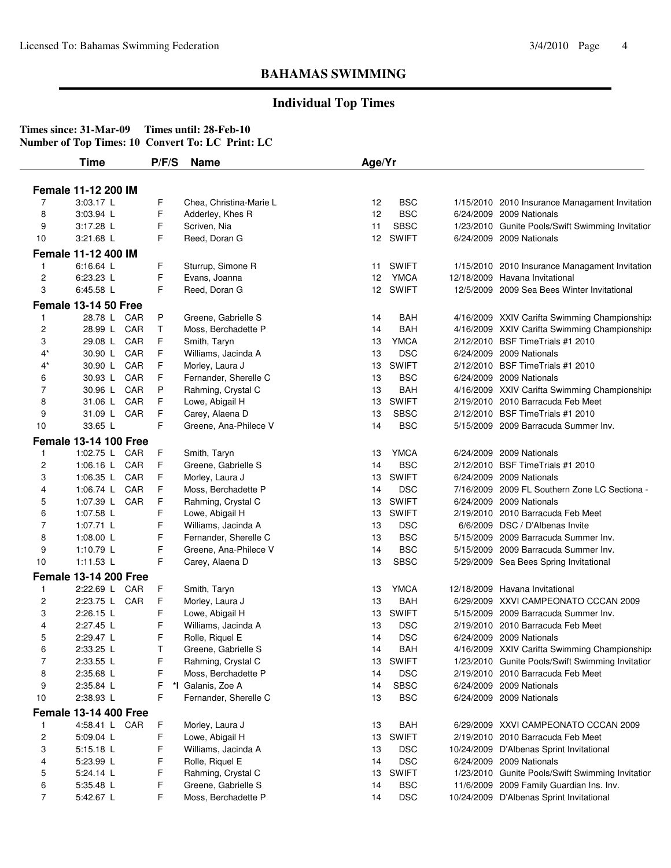## **Individual Top Times**

|                | Time                         | P/F/S | Name                    | Age/Yr          |              |                                                  |
|----------------|------------------------------|-------|-------------------------|-----------------|--------------|--------------------------------------------------|
|                | Female 11-12 200 IM          |       |                         |                 |              |                                                  |
| 7              | 3:03.17 L                    | F     | Chea, Christina-Marie L | 12              | <b>BSC</b>   | 1/15/2010 2010 Insurance Managament Invitation   |
| 8              | 3:03.94 L                    | F     | Adderley, Khes R        | 12              | <b>BSC</b>   | 6/24/2009 2009 Nationals                         |
| 9              | 3:17.28 L                    | F     | Scriven, Nia            | 11              | <b>SBSC</b>  | 1/23/2010 Gunite Pools/Swift Swimming Invitatior |
| 10             | 3:21.68 L                    | F     | Reed, Doran G           | 12 <sup>2</sup> | SWIFT        | 6/24/2009 2009 Nationals                         |
|                |                              |       |                         |                 |              |                                                  |
|                | Female 11-12 400 IM          |       |                         |                 |              |                                                  |
| $\mathbf{1}$   | 6:16.64 L                    | F     | Sturrup, Simone R       | 11              | SWIFT        | 1/15/2010 2010 Insurance Managament Invitation   |
| 2              | 6:23.23 L                    | F     | Evans, Joanna           | 12              | YMCA         | 12/18/2009 Havana Invitational                   |
| 3              | 6:45.58 L                    | F     | Reed, Doran G           | 12              | <b>SWIFT</b> | 12/5/2009 2009 Sea Bees Winter Invitational      |
|                | <b>Female 13-14 50 Free</b>  |       |                         |                 |              |                                                  |
| $\mathbf{1}$   | 28.78 L CAR                  | P     | Greene, Gabrielle S     | 14              | <b>BAH</b>   | 4/16/2009 XXIV Carifta Swimming Championship:    |
| $\overline{c}$ | 28.99 L CAR                  | T     | Moss, Berchadette P     | 14              | <b>BAH</b>   | 4/16/2009 XXIV Carifta Swimming Championship:    |
| 3              | 29.08 L CAR                  | F     | Smith, Taryn            | 13              | <b>YMCA</b>  | 2/12/2010 BSF Time Trials #1 2010                |
| 4*             | 30.90 L CAR                  | F     | Williams, Jacinda A     | 13              | <b>DSC</b>   | 6/24/2009 2009 Nationals                         |
| 4*             | 30.90 L CAR                  | F     | Morley, Laura J         | 13              | <b>SWIFT</b> | 2/12/2010 BSF Time Trials #1 2010                |
| 6              | 30.93 L CAR                  | F     | Fernander, Sherelle C   | 13              | <b>BSC</b>   | 6/24/2009 2009 Nationals                         |
| 7              | CAR<br>30.96 L               | P     | Rahming, Crystal C      | 13              | <b>BAH</b>   | 4/16/2009 XXIV Carifta Swimming Championship:    |
| 8              | 31.06 L CAR                  | F     | Lowe, Abigail H         | 13              | <b>SWIFT</b> | 2/19/2010 2010 Barracuda Feb Meet                |
| 9              | 31.09 L CAR                  | F     | Carey, Alaena D         | 13              | <b>SBSC</b>  | 2/12/2010 BSF TimeTrials #1 2010                 |
| 10             | 33.65 L                      | F     | Greene, Ana-Philece V   | 14              | <b>BSC</b>   | 5/15/2009 2009 Barracuda Summer Inv.             |
|                | <b>Female 13-14 100 Free</b> |       |                         |                 |              |                                                  |
| $\mathbf{1}$   | 1:02.75 L CAR                | F     | Smith, Taryn            | 13              | <b>YMCA</b>  | 6/24/2009 2009 Nationals                         |
| 2              | 1:06.16 L CAR                | F     | Greene, Gabrielle S     | 14              | <b>BSC</b>   | 2/12/2010 BSF TimeTrials #1 2010                 |
| 3              | 1:06.35 L CAR                | F     | Morley, Laura J         | 13              | <b>SWIFT</b> | 6/24/2009 2009 Nationals                         |
| 4              | 1:06.74 L CAR                | F     | Moss, Berchadette P     | 14              | <b>DSC</b>   | 7/16/2009 2009 FL Southern Zone LC Sectiona -    |
| 5              | 1:07.39 L CAR                | F     | Rahming, Crystal C      | 13              | <b>SWIFT</b> | 6/24/2009 2009 Nationals                         |
| 6              | 1:07.58 L                    | F     | Lowe, Abigail H         | 13              | <b>SWIFT</b> | 2/19/2010 2010 Barracuda Feb Meet                |
| $\overline{7}$ | 1:07.71 L                    | F     | Williams, Jacinda A     | 13              | <b>DSC</b>   | 6/6/2009 DSC / D'Albenas Invite                  |
| 8              | 1:08.00 L                    | F     | Fernander, Sherelle C   | 13              | <b>BSC</b>   | 5/15/2009 2009 Barracuda Summer Inv.             |
| 9              | 1:10.79 $L$                  | F     | Greene, Ana-Philece V   | 14              | <b>BSC</b>   | 5/15/2009 2009 Barracuda Summer Inv.             |
| 10             | $1:11.53$ L                  | F     | Carey, Alaena D         | 13              | <b>SBSC</b>  | 5/29/2009 Sea Bees Spring Invitational           |
|                | <b>Female 13-14 200 Free</b> |       |                         |                 |              |                                                  |
| $\mathbf{1}$   | 2:22.69 L CAR                | F     | Smith, Taryn            | 13              | <b>YMCA</b>  | 12/18/2009 Havana Invitational                   |
| 2              | 2:23.75 L CAR                | F     | Morley, Laura J         | 13              | <b>BAH</b>   | 6/29/2009 XXVI CAMPEONATO CCCAN 2009             |
| 3              | 2:26.15 L                    | F     | Lowe, Abigail H         | 13              | <b>SWIFT</b> | 5/15/2009 2009 Barracuda Summer Inv.             |
| 4              | 2:27.45 L                    | F     | Williams, Jacinda A     | 13              | <b>DSC</b>   | 2/19/2010 2010 Barracuda Feb Meet                |
| 5              | 2:29.47 L                    | F     | Rolle, Riquel E         | 14              | <b>DSC</b>   | 6/24/2009 2009 Nationals                         |
| 6              | 2:33.25 L                    | Т     | Greene, Gabrielle S     | 14              | <b>BAH</b>   | 4/16/2009 XXIV Carifta Swimming Championship:    |
| 7              | 2:33.55 L                    | F     | Rahming, Crystal C      | 13              | <b>SWIFT</b> | 1/23/2010 Gunite Pools/Swift Swimming Invitatior |
| 8              | 2:35.68 L                    | F     | Moss, Berchadette P     | 14              | <b>DSC</b>   | 2/19/2010 2010 Barracuda Feb Meet                |
| 9              | 2:35.84 L                    | F     | *I Galanis, Zoe A       | 14              | <b>SBSC</b>  | 6/24/2009 2009 Nationals                         |
| 10             | 2:38.93 L                    | F     | Fernander, Sherelle C   | 13              | <b>BSC</b>   | 6/24/2009 2009 Nationals                         |
|                |                              |       |                         |                 |              |                                                  |
|                | <b>Female 13-14 400 Free</b> |       |                         |                 |              |                                                  |
|                | 4:58.41 L CAR                | F     | Morley, Laura J         | 13              | BAH          | 6/29/2009 XXVI CAMPEONATO CCCAN 2009             |
| $\overline{c}$ | 5:09.04 L                    | F     | Lowe, Abigail H         | 13              | <b>SWIFT</b> | 2/19/2010 2010 Barracuda Feb Meet                |
| 3              | 5:15.18 L                    | F     | Williams, Jacinda A     | 13              | <b>DSC</b>   | 10/24/2009 D'Albenas Sprint Invitational         |
| 4              | 5:23.99 L                    | F     | Rolle, Riquel E         | 14              | <b>DSC</b>   | 6/24/2009 2009 Nationals                         |
| 5              | 5:24.14 L                    | F     | Rahming, Crystal C      | 13              | <b>SWIFT</b> | 1/23/2010 Gunite Pools/Swift Swimming Invitatior |
| 6              | 5:35.48 L                    | F     | Greene, Gabrielle S     | 14              | <b>BSC</b>   | 11/6/2009 2009 Family Guardian Ins. Inv.         |
| 7              | 5:42.67 L                    | F.    | Moss, Berchadette P     | 14              | $_{\rm DSC}$ | 10/24/2009 D'Albenas Sprint Invitational         |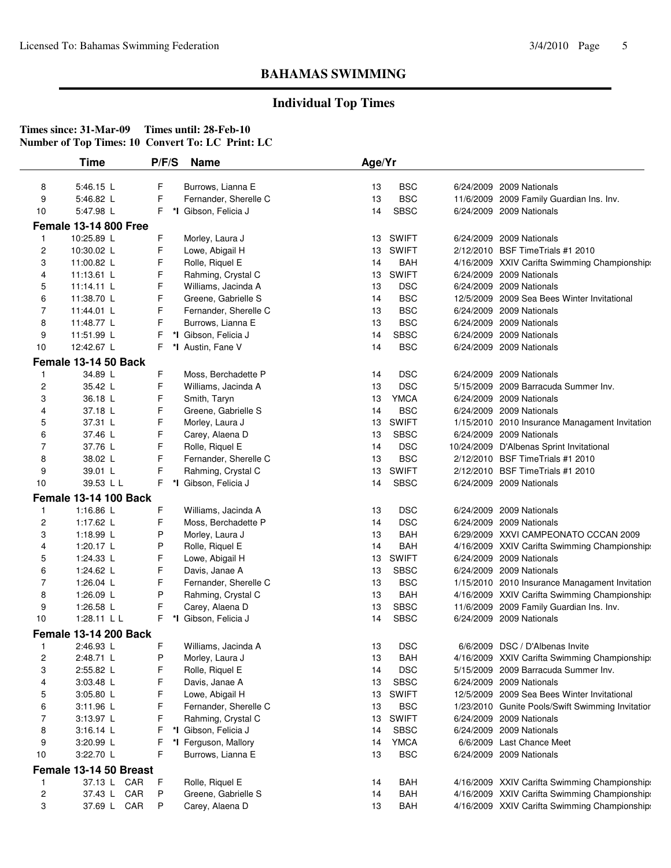## **Individual Top Times**

|                | <b>Time</b>                  | P/F/S | <b>Name</b>           | Age/Yr |              |                                                  |
|----------------|------------------------------|-------|-----------------------|--------|--------------|--------------------------------------------------|
| 8              | 5:46.15 L                    | F     | Burrows, Lianna E     | 13     | <b>BSC</b>   | 6/24/2009 2009 Nationals                         |
| 9              | 5:46.82 L                    | F     | Fernander, Sherelle C | 13     | <b>BSC</b>   | 11/6/2009 2009 Family Guardian Ins. Inv.         |
| 10             | 5:47.98 L                    | F     | *I Gibson, Felicia J  | 14     | <b>SBSC</b>  | 6/24/2009 2009 Nationals                         |
|                | <b>Female 13-14 800 Free</b> |       |                       |        |              |                                                  |
| 1              | 10:25.89 L                   | F     | Morley, Laura J       | 13     | <b>SWIFT</b> | 6/24/2009 2009 Nationals                         |
| 2              | 10:30.02 L                   | F     | Lowe, Abigail H       | 13     | <b>SWIFT</b> | 2/12/2010 BSF TimeTrials #1 2010                 |
| 3              | 11:00.82 L                   | F     | Rolle, Riquel E       | 14     | <b>BAH</b>   | 4/16/2009 XXIV Carifta Swimming Championship:    |
| 4              | 11:13.61 L                   | F     | Rahming, Crystal C    | 13     | <b>SWIFT</b> | 6/24/2009 2009 Nationals                         |
| 5              | 11:14.11 L                   | F     | Williams, Jacinda A   | 13     | <b>DSC</b>   | 6/24/2009 2009 Nationals                         |
| 6              | 11:38.70 L                   | F     | Greene, Gabrielle S   | 14     | <b>BSC</b>   | 12/5/2009 2009 Sea Bees Winter Invitational      |
| 7              | 11:44.01 L                   | F     | Fernander, Sherelle C | 13     | <b>BSC</b>   | 6/24/2009 2009 Nationals                         |
| 8              | 11:48.77 L                   | F     | Burrows, Lianna E     | 13     | <b>BSC</b>   | 6/24/2009 2009 Nationals                         |
| 9              | 11:51.99 L                   | F     | *I Gibson, Felicia J  | 14     | <b>SBSC</b>  | 6/24/2009 2009 Nationals                         |
| 10             | 12:42.67 L                   | F     | *I Austin, Fane V     | 14     | <b>BSC</b>   | 6/24/2009 2009 Nationals                         |
|                | Female 13-14 50 Back         |       |                       |        |              |                                                  |
| 1              | 34.89 L                      | F     | Moss, Berchadette P   | 14     | <b>DSC</b>   | 6/24/2009 2009 Nationals                         |
| 2              | 35.42 L                      | F     | Williams, Jacinda A   | 13     | <b>DSC</b>   | 5/15/2009 2009 Barracuda Summer Inv.             |
| 3              | 36.18 L                      | F     | Smith, Taryn          | 13     | <b>YMCA</b>  | 6/24/2009 2009 Nationals                         |
| 4              | 37.18 L                      | F     | Greene, Gabrielle S   | 14     | <b>BSC</b>   | 6/24/2009 2009 Nationals                         |
| 5              | 37.31 L                      | F     | Morley, Laura J       | 13     | <b>SWIFT</b> | 1/15/2010 2010 Insurance Managament Invitation   |
| 6              | 37.46 L                      | F     | Carey, Alaena D       | 13     | <b>SBSC</b>  | 6/24/2009 2009 Nationals                         |
| $\overline{7}$ | 37.76 L                      | F     | Rolle, Riquel E       | 14     | <b>DSC</b>   | 10/24/2009 D'Albenas Sprint Invitational         |
| 8              | 38.02 L                      | F     | Fernander, Sherelle C | 13     | <b>BSC</b>   | 2/12/2010 BSF Time Trials #1 2010                |
| 9              | 39.01 L                      | F     | Rahming, Crystal C    | 13     | <b>SWIFT</b> | 2/12/2010 BSF TimeTrials #1 2010                 |
| 10             | 39.53 L L                    | F.    | *I Gibson, Felicia J  | 14     | <b>SBSC</b>  | 6/24/2009 2009 Nationals                         |
|                | <b>Female 13-14 100 Back</b> |       |                       |        |              |                                                  |
| 1              | 1:16.86 L                    | F     | Williams, Jacinda A   | 13     | <b>DSC</b>   | 6/24/2009 2009 Nationals                         |
| 2              | 1:17.62 L                    | F     | Moss, Berchadette P   | 14     | <b>DSC</b>   | 6/24/2009 2009 Nationals                         |
| 3              | 1:18.99 L                    | P     | Morley, Laura J       | 13     | <b>BAH</b>   | 6/29/2009 XXVI CAMPEONATO CCCAN 2009             |
| 4              | 1:20.17 $\lfloor$            | Ρ     | Rolle, Riquel E       | 14     | BAH          | 4/16/2009 XXIV Carifta Swimming Championship:    |
| 5              | 1:24.33 L                    | F     | Lowe, Abigail H       | 13     | <b>SWIFT</b> | 6/24/2009 2009 Nationals                         |
| 6              | 1:24.62 L                    | F     | Davis, Janae A        | 13     | <b>SBSC</b>  | 6/24/2009 2009 Nationals                         |
| 7              | 1:26.04 L                    | F     | Fernander, Sherelle C | 13     | <b>BSC</b>   | 1/15/2010 2010 Insurance Managament Invitation   |
| 8              | 1:26.09 $\lfloor$            | P     | Rahming, Crystal C    | 13     | <b>BAH</b>   | 4/16/2009 XXIV Carifta Swimming Championship:    |
| 9              | 1:26.58 L                    | F     | Carey, Alaena D       | 13     | <b>SBSC</b>  | 11/6/2009 2009 Family Guardian Ins. Inv.         |
| 10             | 1:28.11 L L                  | F     | *I Gibson, Felicia J  | 14     | <b>SBSC</b>  | 6/24/2009 2009 Nationals                         |
|                | <b>Female 13-14 200 Back</b> |       |                       |        |              |                                                  |
| $\mathbf{1}$   | 2:46.93 L                    | F     | Williams, Jacinda A   | 13     | <b>DSC</b>   | 6/6/2009 DSC / D'Albenas Invite                  |
| 2              | 2:48.71 L                    | Ρ     | Morley, Laura J       | 13     | <b>BAH</b>   | 4/16/2009 XXIV Carifta Swimming Championship:    |
| 3              | 2:55.82 L                    | F     | Rolle, Riquel E       | 14     | <b>DSC</b>   | 5/15/2009 2009 Barracuda Summer Inv.             |
| 4              | 3:03.48 L                    | F     | Davis, Janae A        | 13     | <b>SBSC</b>  | 6/24/2009 2009 Nationals                         |
| 5              | 3:05.80 L                    | F     | Lowe, Abigail H       | 13     | <b>SWIFT</b> | 12/5/2009 2009 Sea Bees Winter Invitational      |
| 6              | 3:11.96 L                    | F     | Fernander, Sherelle C | 13     | <b>BSC</b>   | 1/23/2010 Gunite Pools/Swift Swimming Invitatior |
| 7              | 3:13.97 L                    | F     | Rahming, Crystal C    | 13     | <b>SWIFT</b> | 6/24/2009 2009 Nationals                         |
| 8              | 3:16.14 L                    | F     | *I Gibson, Felicia J  | 14     | <b>SBSC</b>  | 6/24/2009 2009 Nationals                         |
| 9              | 3:20.99 L                    | F     | *I Ferguson, Mallory  | 14     | <b>YMCA</b>  | 6/6/2009 Last Chance Meet                        |
| 10             | 3:22.70 L                    | F     | Burrows, Lianna E     | 13     | <b>BSC</b>   | 6/24/2009 2009 Nationals                         |
|                | Female 13-14 50 Breast       |       |                       |        |              |                                                  |
| 1              | 37.13 L CAR                  | F     | Rolle, Riquel E       | 14     | <b>BAH</b>   | 4/16/2009 XXIV Carifta Swimming Championship:    |
| 2              | 37.43 L CAR                  | P     | Greene, Gabrielle S   | 14     | <b>BAH</b>   | 4/16/2009 XXIV Carifta Swimming Championship:    |
| 3              | 37.69 L CAR                  | P     | Carey, Alaena D       | 13     | <b>BAH</b>   | 4/16/2009 XXIV Carifta Swimming Championship:    |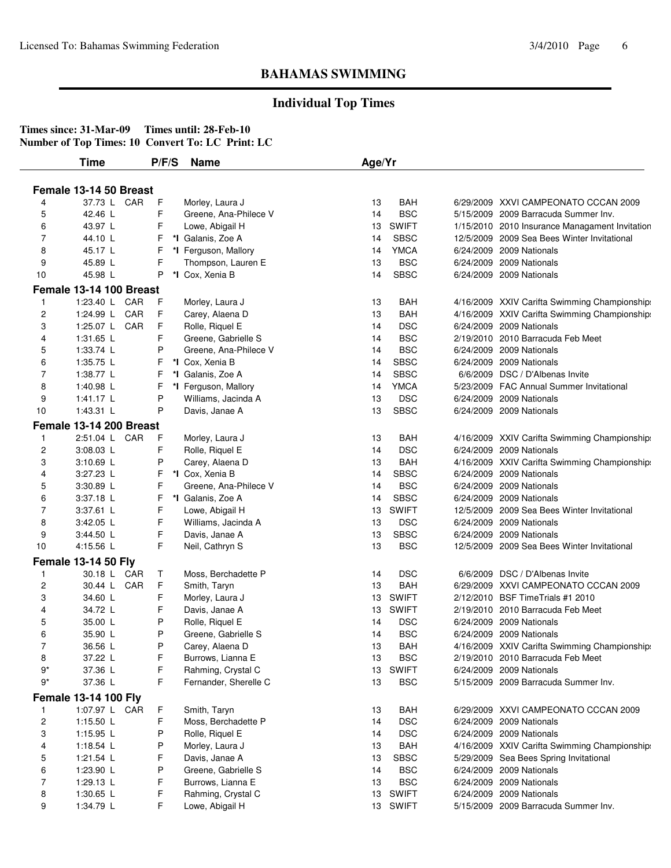## **Individual Top Times**

|                | <b>Time</b>                 | P/F/S | <b>Name</b>           | Age/Yr |              |                                                |
|----------------|-----------------------------|-------|-----------------------|--------|--------------|------------------------------------------------|
|                |                             |       |                       |        |              |                                                |
|                | Female 13-14 50 Breast      |       |                       |        |              |                                                |
| 4              | 37.73 L CAR                 | F     | Morley, Laura J       | 13     | <b>BAH</b>   | 6/29/2009 XXVI CAMPEONATO CCCAN 2009           |
| 5              | 42.46 L                     | F     | Greene, Ana-Philece V | 14     | <b>BSC</b>   | 5/15/2009 2009 Barracuda Summer Inv.           |
| 6              | 43.97 L                     | F     | Lowe, Abigail H       | 13     | <b>SWIFT</b> | 1/15/2010 2010 Insurance Managament Invitation |
| 7              | 44.10 L                     | F     | *I Galanis, Zoe A     | 14     | <b>SBSC</b>  | 12/5/2009 2009 Sea Bees Winter Invitational    |
| 8              | 45.17 L                     | F     | *I Ferguson, Mallory  | 14     | <b>YMCA</b>  | 6/24/2009 2009 Nationals                       |
| 9              | 45.89 L                     | F     | Thompson, Lauren E    | 13     | <b>BSC</b>   | 6/24/2009 2009 Nationals                       |
| 10             | 45.98 L                     | P     | *I Cox, Xenia B       | 14     | <b>SBSC</b>  | 6/24/2009 2009 Nationals                       |
|                | Female 13-14 100 Breast     |       |                       |        |              |                                                |
| $\mathbf{1}$   | 1:23.40 L CAR               | F     | Morley, Laura J       | 13     | BAH          | 4/16/2009 XXIV Carifta Swimming Championship:  |
| $\overline{c}$ | 1:24.99 L CAR               | F     | Carey, Alaena D       | 13     | <b>BAH</b>   | 4/16/2009 XXIV Carifta Swimming Championship:  |
| 3              | 1:25.07 L CAR               | F     | Rolle, Riquel E       | 14     | <b>DSC</b>   | 6/24/2009 2009 Nationals                       |
| 4              | 1:31.65 L                   | F     | Greene, Gabrielle S   | 14     | <b>BSC</b>   | 2/19/2010 2010 Barracuda Feb Meet              |
| 5              | 1:33.74 L                   | P     | Greene, Ana-Philece V | 14     | <b>BSC</b>   | 6/24/2009 2009 Nationals                       |
| 6              | 1:35.75 L                   | F     | *I Cox, Xenia B       | 14     | <b>SBSC</b>  | 6/24/2009 2009 Nationals                       |
| $\overline{7}$ | 1:38.77 L                   | F     | *I Galanis, Zoe A     | 14     | <b>SBSC</b>  | 6/6/2009 DSC / D'Albenas Invite                |
| 8              | 1:40.98 L                   | F     | *I Ferguson, Mallory  | 14     | <b>YMCA</b>  | 5/23/2009 FAC Annual Summer Invitational       |
| 9              | $1:41.17$ L                 | P     | Williams, Jacinda A   | 13     | <b>DSC</b>   | 6/24/2009 2009 Nationals                       |
| 10             | 1:43.31 L                   | P     | Davis, Janae A        | 13     | <b>SBSC</b>  | 6/24/2009 2009 Nationals                       |
|                | Female 13-14 200 Breast     |       |                       |        |              |                                                |
| 1              | 2:51.04 L CAR               | F     | Morley, Laura J       | 13     | <b>BAH</b>   | 4/16/2009 XXIV Carifta Swimming Championships  |
| 2              | 3:08.03 L                   | F     | Rolle, Riquel E       | 14     | <b>DSC</b>   | 6/24/2009 2009 Nationals                       |
| 3              | 3:10.69 L                   | P     | Carey, Alaena D       | 13     | <b>BAH</b>   | 4/16/2009 XXIV Carifta Swimming Championship:  |
| 4              | 3:27.23 L                   | F     | *I Cox, Xenia B       | 14     | <b>SBSC</b>  | 6/24/2009 2009 Nationals                       |
| 5              | 3:30.89 L                   | F     | Greene, Ana-Philece V | 14     | <b>BSC</b>   | 6/24/2009 2009 Nationals                       |
| 6              | 3:37.18 L                   | F     | *I Galanis, Zoe A     | 14     | <b>SBSC</b>  | 6/24/2009 2009 Nationals                       |
| 7              | 3:37.61 L                   | F     | Lowe, Abigail H       | 13     | <b>SWIFT</b> | 12/5/2009 2009 Sea Bees Winter Invitational    |
| 8              | 3:42.05 L                   | F     | Williams, Jacinda A   | 13     | <b>DSC</b>   | 6/24/2009 2009 Nationals                       |
| 9              | 3:44.50 L                   | F     | Davis, Janae A        | 13     | <b>SBSC</b>  | 6/24/2009 2009 Nationals                       |
| 10             | 4:15.56 L                   | F     | Neil, Cathryn S       | 13     | <b>BSC</b>   | 12/5/2009 2009 Sea Bees Winter Invitational    |
|                |                             |       |                       |        |              |                                                |
|                | <b>Female 13-14 50 Fly</b>  |       |                       |        |              |                                                |
| 1              | 30.18 L CAR                 | Τ     | Moss, Berchadette P   | 14     | <b>DSC</b>   | 6/6/2009 DSC / D'Albenas Invite                |
| 2              | 30.44 L CAR                 | F     | Smith, Taryn          | 13     | <b>BAH</b>   | 6/29/2009 XXVI CAMPEONATO CCCAN 2009           |
| 3              | 34.60 L                     | F     | Morley, Laura J       | 13     | <b>SWIFT</b> | 2/12/2010 BSF TimeTrials #1 2010               |
| 4              | 34.72 L                     | F     | Davis, Janae A        | 13     | <b>SWIFT</b> | 2/19/2010 2010 Barracuda Feb Meet              |
| 5              | 35.00 L                     | P     | Rolle, Riquel E       | 14     | <b>DSC</b>   | 6/24/2009 2009 Nationals                       |
| 6              | 35.90 L                     | P     | Greene, Gabrielle S   | 14     | <b>BSC</b>   | 6/24/2009 2009 Nationals                       |
|                | 36.56 L                     | P     | Carey, Alaena D       | 13     | BAH          | 4/16/2009 XXIV Carifta Swimming Championship:  |
| 8              | 37.22 L                     | F     | Burrows, Lianna E     | 13     | <b>BSC</b>   | 2/19/2010 2010 Barracuda Feb Meet              |
| $9*$           | 37.36 L                     | F     | Rahming, Crystal C    | 13     | <b>SWIFT</b> | 6/24/2009 2009 Nationals                       |
| $9^*$          | 37.36 L                     | F     | Fernander, Sherelle C | 13     | <b>BSC</b>   | 5/15/2009 2009 Barracuda Summer Inv.           |
|                | <b>Female 13-14 100 Fly</b> |       |                       |        |              |                                                |
| $\mathbf{1}$   | 1:07.97 L CAR               | F     | Smith, Taryn          | 13     | <b>BAH</b>   | 6/29/2009 XXVI CAMPEONATO CCCAN 2009           |
| 2              | 1:15.50 L                   | F     | Moss, Berchadette P   | 14     | <b>DSC</b>   | 6/24/2009 2009 Nationals                       |
| 3              | 1:15.95 L                   | P     | Rolle, Riquel E       | 14     | <b>DSC</b>   | 6/24/2009 2009 Nationals                       |
| 4              | 1:18.54 L                   | P     | Morley, Laura J       | 13     | <b>BAH</b>   | 4/16/2009 XXIV Carifta Swimming Championship:  |
| 5              | 1:21.54 L                   | F     | Davis, Janae A        | 13     | <b>SBSC</b>  | 5/29/2009 Sea Bees Spring Invitational         |
| 6              | 1:23.90 L                   | P     | Greene, Gabrielle S   | 14     | <b>BSC</b>   | 6/24/2009 2009 Nationals                       |
| 7              | 1:29.13 L                   | F     | Burrows, Lianna E     | 13     | <b>BSC</b>   | 6/24/2009 2009 Nationals                       |
|                |                             |       |                       |        |              |                                                |
| 8              | 1:30.65 L                   | F     | Rahming, Crystal C    |        | 13 SWIFT     | 6/24/2009 2009 Nationals                       |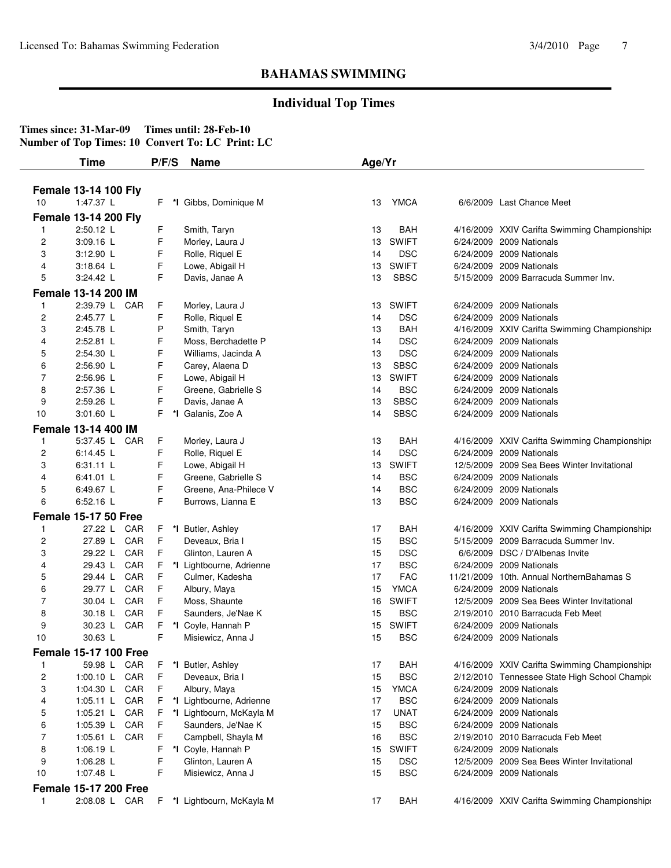## **Individual Top Times**

|                         | <b>Time</b>                  | P/F/S    | <b>Name</b>                | Age/Yr |              |           |                                               |
|-------------------------|------------------------------|----------|----------------------------|--------|--------------|-----------|-----------------------------------------------|
|                         | <b>Female 13-14 100 Fly</b>  |          |                            |        |              |           |                                               |
| 10                      | 1:47.37 L                    | F.<br>*l | Gibbs, Dominique M         | 13     | <b>YMCA</b>  |           | 6/6/2009 Last Chance Meet                     |
|                         | <b>Female 13-14 200 Fly</b>  |          |                            |        |              |           |                                               |
| -1                      | 2:50.12 L                    | F        | Smith, Taryn               | 13     | <b>BAH</b>   |           | 4/16/2009 XXIV Carifta Swimming Championship: |
| 2                       | 3:09.16 L                    | F        | Morley, Laura J            | 13     | <b>SWIFT</b> |           | 6/24/2009 2009 Nationals                      |
| 3                       | 3:12.90 L                    | F        | Rolle, Riquel E            | 14     | <b>DSC</b>   |           | 6/24/2009 2009 Nationals                      |
| 4                       | 3:18.64 L                    | F        | Lowe, Abigail H            | 13     | <b>SWIFT</b> | 6/24/2009 | 2009 Nationals                                |
| 5                       | 3:24.42 L                    | F        | Davis, Janae A             | 13     | <b>SBSC</b>  |           | 5/15/2009 2009 Barracuda Summer Inv.          |
|                         |                              |          |                            |        |              |           |                                               |
|                         | Female 13-14 200 IM          |          |                            |        |              |           | 2009 Nationals                                |
| $\mathbf{1}$            | 2:39.79 L CAR                | F        | Morley, Laura J            | 13     | <b>SWIFT</b> | 6/24/2009 |                                               |
| 2                       | 2:45.77 L                    | F        | Rolle, Riquel E            | 14     | <b>DSC</b>   |           | 6/24/2009 2009 Nationals                      |
| 3                       | 2:45.78 L                    | P        | Smith, Taryn               | 13     | <b>BAH</b>   |           | 4/16/2009 XXIV Carifta Swimming Championship: |
| 4                       | 2:52.81 L                    | F        | Moss, Berchadette P        | 14     | <b>DSC</b>   |           | 6/24/2009 2009 Nationals                      |
| 5                       | 2:54.30 L                    | F        | Williams, Jacinda A        | 13     | <b>DSC</b>   |           | 6/24/2009 2009 Nationals                      |
| 6                       | 2:56.90 L                    | F        | Carey, Alaena D            | 13     | <b>SBSC</b>  |           | 6/24/2009 2009 Nationals                      |
| 7                       | 2:56.96 L                    | F<br>F   | Lowe, Abigail H            | 13     | <b>SWIFT</b> | 6/24/2009 | 2009 Nationals                                |
| 8                       | 2:57.36 L                    | F        | Greene, Gabrielle S        | 14     | <b>BSC</b>   |           | 6/24/2009 2009 Nationals                      |
| 9                       | 2:59.26 L                    |          | Davis, Janae A             | 13     | <b>SBSC</b>  |           | 6/24/2009 2009 Nationals                      |
| 10                      | 3:01.60 L                    | F.       | *I Galanis, Zoe A          | 14     | <b>SBSC</b>  |           | 6/24/2009 2009 Nationals                      |
|                         | Female 13-14 400 IM          |          |                            |        |              |           |                                               |
| 1                       | 5:37.45 L CAR                | F        | Morley, Laura J            | 13     | BAH          |           | 4/16/2009 XXIV Carifta Swimming Championship: |
| 2                       | 6:14.45 L                    | F        | Rolle, Riquel E            | 14     | <b>DSC</b>   |           | 6/24/2009 2009 Nationals                      |
| 3                       | 6:31.11 L                    | F        | Lowe, Abigail H            | 13     | <b>SWIFT</b> |           | 12/5/2009 2009 Sea Bees Winter Invitational   |
| 4                       | 6:41.01 L                    | F        | Greene, Gabrielle S        | 14     | <b>BSC</b>   |           | 6/24/2009 2009 Nationals                      |
| 5                       | 6:49.67 L                    | F        | Greene, Ana-Philece V      | 14     | <b>BSC</b>   |           | 6/24/2009 2009 Nationals                      |
| 6                       | 6:52.16 L                    | F        | Burrows, Lianna E          | 13     | <b>BSC</b>   |           | 6/24/2009 2009 Nationals                      |
|                         | <b>Female 15-17 50 Free</b>  |          |                            |        |              |           |                                               |
| -1                      | 27.22 L CAR                  | F.       | *I Butler, Ashley          | 17     | <b>BAH</b>   |           | 4/16/2009 XXIV Carifta Swimming Championship: |
| 2                       | 27.89 L CAR                  | F        | Deveaux, Bria I            | 15     | <b>BSC</b>   |           | 5/15/2009 2009 Barracuda Summer Inv.          |
| 3                       | 29.22 L CAR                  | F        | Glinton, Lauren A          | 15     | <b>DSC</b>   |           | 6/6/2009 DSC / D'Albenas Invite               |
| 4                       | CAR<br>29.43 L               | F        | *I Lightbourne, Adrienne   | 17     | <b>BSC</b>   |           | 6/24/2009 2009 Nationals                      |
| 5                       | CAR<br>29.44 L               | F        | Culmer, Kadesha            | 17     | <b>FAC</b>   |           | 11/21/2009 10th. Annual NorthernBahamas S     |
| 6                       | 29.77 L CAR                  | F        | Albury, Maya               | 15     | <b>YMCA</b>  |           | 6/24/2009 2009 Nationals                      |
| 7                       | 30.04 L CAR                  | F        | Moss, Shaunte              | 16     | <b>SWIFT</b> |           | 12/5/2009 2009 Sea Bees Winter Invitational   |
| 8                       | 30.18 L CAR                  | F        | Saunders, Je'Nae K         | 15     | <b>BSC</b>   |           | 2/19/2010 2010 Barracuda Feb Meet             |
| 9                       | 30.23 L CAR                  | F        | *I Coyle, Hannah P         | 15     | <b>SWIFT</b> |           | 6/24/2009 2009 Nationals                      |
| 10                      | 30.63 L                      | F        | Misiewicz, Anna J          | 15     | <b>BSC</b>   |           | 6/24/2009 2009 Nationals                      |
|                         | <b>Female 15-17 100 Free</b> |          |                            |        |              |           |                                               |
| 1                       | 59.98 L CAR                  | F.       | *I Butler, Ashley          | 17     | BAH          |           | 4/16/2009 XXIV Carifta Swimming Championship: |
| $\overline{\mathbf{c}}$ | 1:00.10 L CAR                | F        | Deveaux, Bria I            | 15     | <b>BSC</b>   |           | 2/12/2010 Tennessee State High School Champic |
| 3                       | 1:04.30 L CAR                | F        | Albury, Maya               | 15     | <b>YMCA</b>  |           | 6/24/2009 2009 Nationals                      |
| 4                       | 1:05.11 L CAR                | F.       | *I Lightbourne, Adrienne   | 17     | <b>BSC</b>   |           | 6/24/2009 2009 Nationals                      |
| 5                       | 1:05.21 L CAR                | F.       | *I Lightbourn, McKayla M   | 17     | <b>UNAT</b>  |           | 6/24/2009 2009 Nationals                      |
| 6                       | 1:05.39 L CAR                | F        | Saunders, Je'Nae K         | 15     | <b>BSC</b>   |           | 6/24/2009 2009 Nationals                      |
| 7                       | 1:05.61 L CAR                | F        | Campbell, Shayla M         | 16     | <b>BSC</b>   |           | 2/19/2010 2010 Barracuda Feb Meet             |
| 8                       | 1:06.19 L                    | F        | *I Coyle, Hannah P         | 15     | <b>SWIFT</b> |           | 6/24/2009 2009 Nationals                      |
| 9                       | 1:06.28 L                    | F        | Glinton, Lauren A          | 15     | <b>DSC</b>   |           | 12/5/2009 2009 Sea Bees Winter Invitational   |
| 10                      | 1:07.48 L                    | F        | Misiewicz, Anna J          | 15     | <b>BSC</b>   |           | 6/24/2009 2009 Nationals                      |
|                         | <b>Female 15-17 200 Free</b> |          |                            |        |              |           |                                               |
| $\mathbf{1}$            | 2:08.08 L CAR                |          | F *I Lightbourn, McKayla M | 17     | <b>BAH</b>   |           | 4/16/2009 XXIV Carifta Swimming Championship: |
|                         |                              |          |                            |        |              |           |                                               |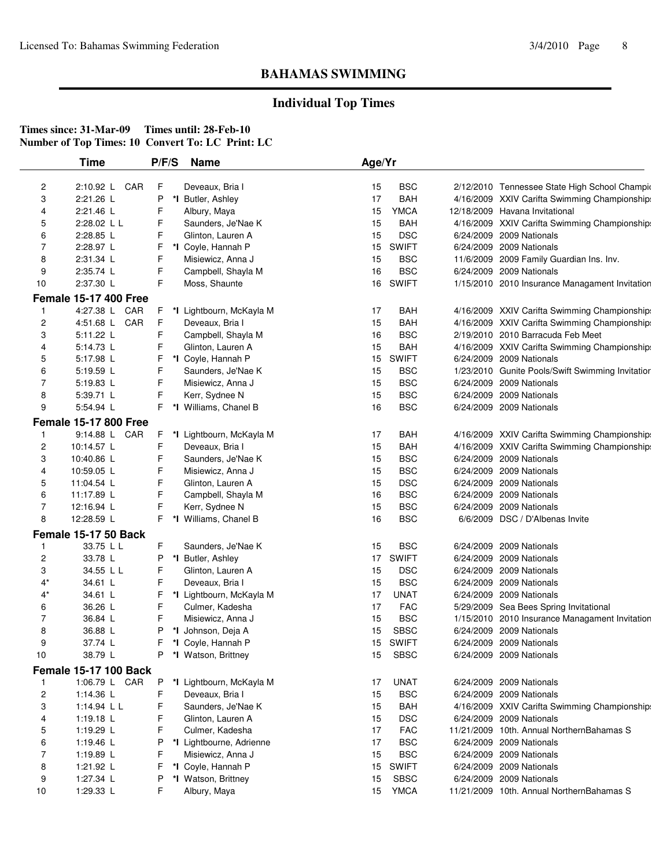## **Individual Top Times**

|                | Time                         | P/F/S |    | <b>Name</b>                             | Age/Yr |              |                                                                      |
|----------------|------------------------------|-------|----|-----------------------------------------|--------|--------------|----------------------------------------------------------------------|
| 2              | 2:10.92 L CAR                | F     |    | Deveaux, Bria I                         | 15     | <b>BSC</b>   | 2/12/2010 Tennessee State High School Champio                        |
| 3              | 2:21.26 L                    | Ρ     | *I | Butler, Ashley                          | 17     | <b>BAH</b>   | 4/16/2009 XXIV Carifta Swimming Championship:                        |
| 4              | 2:21.46 L                    | F     |    | Albury, Maya                            | 15     | <b>YMCA</b>  | 12/18/2009 Havana Invitational                                       |
| 5              | 2:28.02 L L                  | F     |    | Saunders, Je'Nae K                      | 15     | <b>BAH</b>   | 4/16/2009 XXIV Carifta Swimming Championship:                        |
| 6              | 2:28.85 L                    | F     |    | Glinton, Lauren A                       | 15     | <b>DSC</b>   | 6/24/2009 2009 Nationals                                             |
| $\overline{7}$ | 2:28.97 L                    | F     |    | *I Coyle, Hannah P                      | 15     | <b>SWIFT</b> | 6/24/2009 2009 Nationals                                             |
| 8              | 2:31.34 L                    | F     |    |                                         | 15     | <b>BSC</b>   |                                                                      |
| 9              | 2:35.74 L                    | F     |    | Misiewicz, Anna J<br>Campbell, Shayla M | 16     | <b>BSC</b>   | 11/6/2009 2009 Family Guardian Ins. Inv.<br>6/24/2009 2009 Nationals |
| 10             | 2:37.30 L                    | F     |    | Moss, Shaunte                           | 16     | <b>SWIFT</b> | 1/15/2010 2010 Insurance Managament Invitation                       |
|                |                              |       |    |                                         |        |              |                                                                      |
|                | <b>Female 15-17 400 Free</b> |       |    |                                         |        |              |                                                                      |
|                | 4:27.38 L CAR                | F     |    | *I Lightbourn, McKayla M                | 17     | <b>BAH</b>   | 4/16/2009 XXIV Carifta Swimming Championship:                        |
| $\overline{c}$ | 4:51.68 L CAR                | F     |    | Deveaux, Bria I                         | 15     | <b>BAH</b>   | 4/16/2009 XXIV Carifta Swimming Championship:                        |
| 3              | 5:11.22 L                    | F     |    | Campbell, Shayla M                      | 16     | <b>BSC</b>   | 2/19/2010 2010 Barracuda Feb Meet                                    |
| 4              | 5:14.73 L                    | F     |    | Glinton, Lauren A                       | 15     | <b>BAH</b>   | 4/16/2009 XXIV Carifta Swimming Championship:                        |
| 5              | 5:17.98 L                    | F     |    | *I Coyle, Hannah P                      | 15     | <b>SWIFT</b> | 6/24/2009 2009 Nationals                                             |
| 6              | 5:19.59 L                    | F     |    | Saunders, Je'Nae K                      | 15     | <b>BSC</b>   | 1/23/2010 Gunite Pools/Swift Swimming Invitatior                     |
| 7              | 5:19.83 $L$                  | F     |    | Misiewicz, Anna J                       | 15     | <b>BSC</b>   | 6/24/2009 2009 Nationals                                             |
| 8              | 5:39.71 L                    | F     |    | Kerr, Sydnee N                          | 15     | <b>BSC</b>   | 6/24/2009 2009 Nationals                                             |
| 9              | 5:54.94 L                    | F.    | *l | Williams, Chanel B                      | 16     | <b>BSC</b>   | 6/24/2009 2009 Nationals                                             |
|                | <b>Female 15-17 800 Free</b> |       |    |                                         |        |              |                                                                      |
| -1             | 9:14.88 L CAR                | F     |    | *I Lightbourn, McKayla M                | 17     | <b>BAH</b>   | 4/16/2009 XXIV Carifta Swimming Championship:                        |
| 2              | 10:14.57 L                   | F     |    | Deveaux, Bria I                         | 15     | <b>BAH</b>   | 4/16/2009 XXIV Carifta Swimming Championship:                        |
| 3              | 10:40.86 L                   | F     |    | Saunders, Je'Nae K                      | 15     | <b>BSC</b>   | 6/24/2009 2009 Nationals                                             |
| 4              | 10:59.05 L                   | F     |    | Misiewicz, Anna J                       | 15     | <b>BSC</b>   | 6/24/2009 2009 Nationals                                             |
| 5              | 11:04.54 L                   | F     |    | Glinton, Lauren A                       | 15     | <b>DSC</b>   | 6/24/2009 2009 Nationals                                             |
| 6              | 11:17.89 L                   | F     |    | Campbell, Shayla M                      | 16     | <b>BSC</b>   | 6/24/2009 2009 Nationals                                             |
| 7              | 12:16.94 L                   | F     |    | Kerr, Sydnee N                          | 15     | <b>BSC</b>   | 6/24/2009 2009 Nationals                                             |
| 8              | 12:28.59 L                   | F.    | *l | Williams, Chanel B                      | 16     | <b>BSC</b>   | 6/6/2009 DSC / D'Albenas Invite                                      |
|                | <b>Female 15-17 50 Back</b>  |       |    |                                         |        |              |                                                                      |
| -1             | 33.75 L L                    | F     |    | Saunders, Je'Nae K                      | 15     | <b>BSC</b>   | 6/24/2009 2009 Nationals                                             |
| 2              | 33.78 L                      | Ρ     |    | *I Butler, Ashley                       | 17     | <b>SWIFT</b> | 6/24/2009 2009 Nationals                                             |
| 3              | 34.55 L L                    | F     |    | Glinton, Lauren A                       | 15     | <b>DSC</b>   | 6/24/2009 2009 Nationals                                             |
| $4^*$          | 34.61 L                      | F     |    | Deveaux, Bria I                         | 15     | <b>BSC</b>   | 6/24/2009 2009 Nationals                                             |
| $4^*$          | 34.61 L                      | F     |    | *I Lightbourn, McKayla M                | 17     | <b>UNAT</b>  | 6/24/2009 2009 Nationals                                             |
| 6              | 36.26 L                      | F     |    | Culmer, Kadesha                         | 17     | <b>FAC</b>   | 5/29/2009 Sea Bees Spring Invitational                               |
| $\overline{7}$ | 36.84 L                      | F     |    | Misiewicz, Anna J                       | 15     | <b>BSC</b>   | 1/15/2010 2010 Insurance Managament Invitation                       |
| 8              | 36.88 L                      | Ρ     | *l | Johnson, Deja A                         | 15     | <b>SBSC</b>  | 6/24/2009 2009 Nationals                                             |
| 9              | 37.74 L                      | F     |    | *I Coyle, Hannah P                      | 15     | <b>SWIFT</b> | 6/24/2009 2009 Nationals                                             |
| 10             | 38.79 L                      | P     |    | *I Watson, Brittney                     | 15     | <b>SBSC</b>  | 6/24/2009 2009 Nationals                                             |
|                | <b>Female 15-17 100 Back</b> |       |    |                                         |        |              |                                                                      |
| $\mathbf{1}$   | 1:06.79 L CAR                | P     |    | *I Lightbourn, McKayla M                | 17     | <b>UNAT</b>  | 6/24/2009 2009 Nationals                                             |
| 2              | 1:14.36 L                    | F     |    | Deveaux, Bria I                         | 15     | <b>BSC</b>   | 6/24/2009 2009 Nationals                                             |
| 3              | 1:14.94 L L                  | F     |    | Saunders, Je'Nae K                      | 15     | BAH          | 4/16/2009 XXIV Carifta Swimming Championship:                        |
| 4              | 1:19.18 $L$                  | F     |    | Glinton, Lauren A                       | 15     | <b>DSC</b>   | 6/24/2009 2009 Nationals                                             |
| 5              | 1:19.29 L                    | F     |    | Culmer, Kadesha                         | 17     | <b>FAC</b>   | 11/21/2009 10th. Annual NorthernBahamas S                            |
| 6              | 1:19.46 L                    | Ρ     |    | *I Lightbourne, Adrienne                | 17     | <b>BSC</b>   | 6/24/2009 2009 Nationals                                             |
| 7              | 1:19.89 L                    | F     |    | Misiewicz, Anna J                       | 15     | <b>BSC</b>   | 6/24/2009 2009 Nationals                                             |
| 8              | 1:21.92 L                    | F     |    | *I Coyle, Hannah P                      | 15     | <b>SWIFT</b> | 6/24/2009 2009 Nationals                                             |
| 9              | 1:27.34 L                    | Ρ     |    | *I Watson, Brittney                     | 15     | <b>SBSC</b>  | 6/24/2009 2009 Nationals                                             |
| 10             | 1:29.33 $L$                  | F     |    | Albury, Maya                            | 15     | <b>YMCA</b>  | 11/21/2009 10th. Annual NorthernBahamas S                            |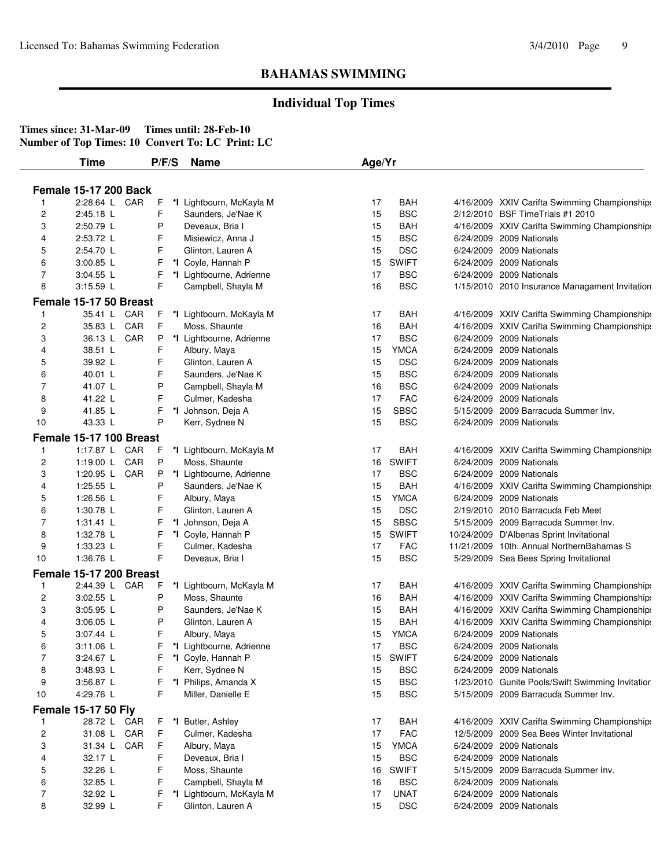## **Individual Top Times**

|                         | Time                         | P/F/S   | <b>Name</b>                                | Age/Yr   |                           |                                                                                          |
|-------------------------|------------------------------|---------|--------------------------------------------|----------|---------------------------|------------------------------------------------------------------------------------------|
|                         |                              |         |                                            |          |                           |                                                                                          |
|                         | <b>Female 15-17 200 Back</b> |         |                                            |          |                           |                                                                                          |
| -1                      | 2:28.64 L CAR                | F.      | *I Lightbourn, McKayla M                   | 17       | <b>BAH</b>                | 4/16/2009 XXIV Carifta Swimming Championship:                                            |
| $\overline{\mathbf{c}}$ | 2:45.18 L                    | F       | Saunders, Je'Nae K                         | 15       | <b>BSC</b>                | 2/12/2010 BSF TimeTrials #1 2010                                                         |
| 3                       | 2:50.79 L                    | P       | Deveaux, Bria I                            | 15       | <b>BAH</b>                | 4/16/2009 XXIV Carifta Swimming Championship:                                            |
| 4                       | 2:53.72 L                    | F       | Misiewicz, Anna J                          | 15       | <b>BSC</b>                | 6/24/2009 2009 Nationals                                                                 |
| 5                       | 2:54.70 L                    | F       | Glinton, Lauren A                          | 15       | <b>DSC</b>                | 6/24/2009 2009 Nationals                                                                 |
| 6                       | 3:00.85 L                    | F       | *I Coyle, Hannah P                         | 15       | <b>SWIFT</b>              | 6/24/2009 2009 Nationals                                                                 |
| 7                       | 3:04.55 L                    | F       | *I Lightbourne, Adrienne                   | 17       | <b>BSC</b>                | 6/24/2009 2009 Nationals                                                                 |
| 8                       | 3:15.59 L                    | F       | Campbell, Shayla M                         | 16       | <b>BSC</b>                | 1/15/2010 2010 Insurance Managament Invitation                                           |
|                         | Female 15-17 50 Breast       |         |                                            |          |                           |                                                                                          |
| 1                       | 35.41 L CAR                  | F.      | *I Lightbourn, McKayla M                   | 17       | <b>BAH</b>                | 4/16/2009 XXIV Carifta Swimming Championship:                                            |
| $\overline{\mathbf{c}}$ | 35.83 L CAR                  | F       | Moss, Shaunte                              | 16       | <b>BAH</b>                | 4/16/2009 XXIV Carifta Swimming Championship:                                            |
| 3                       | 36.13 L CAR                  | P       | *I Lightbourne, Adrienne                   | 17       | <b>BSC</b>                | 6/24/2009 2009 Nationals                                                                 |
| 4                       | 38.51 L                      | F       | Albury, Maya                               | 15       | <b>YMCA</b>               | 6/24/2009 2009 Nationals                                                                 |
| 5                       | 39.92 L                      | F       | Glinton, Lauren A                          | 15       | <b>DSC</b>                | 6/24/2009 2009 Nationals                                                                 |
| 6                       | 40.01 L                      | F       | Saunders, Je'Nae K                         | 15       | <b>BSC</b>                | 6/24/2009 2009 Nationals                                                                 |
| 7                       | 41.07 L                      | P       | Campbell, Shayla M                         | 16       | <b>BSC</b>                | 6/24/2009 2009 Nationals                                                                 |
| 8                       | 41.22 L                      | F       | Culmer, Kadesha                            | 17       | <b>FAC</b>                | 6/24/2009 2009 Nationals                                                                 |
| 9                       | 41.85 L                      | F       | *I Johnson, Deja A                         | 15       | <b>SBSC</b>               | 5/15/2009 2009 Barracuda Summer Inv.                                                     |
| 10                      | 43.33 L                      | Ρ       | Kerr, Sydnee N                             | 15       | <b>BSC</b>                | 6/24/2009 2009 Nationals                                                                 |
|                         | Female 15-17 100 Breast      |         |                                            |          |                           |                                                                                          |
| $\mathbf{1}$            | 1:17.87 L CAR                | F       | *I Lightbourn, McKayla M                   | 17       | <b>BAH</b>                | 4/16/2009 XXIV Carifta Swimming Championship:                                            |
| $\overline{\mathbf{c}}$ | 1:19.00 L CAR                | P       | Moss, Shaunte                              | 16       | <b>SWIFT</b>              | 6/24/2009 2009 Nationals                                                                 |
| 3                       | 1:20.95 L CAR                | P       | *I Lightbourne, Adrienne                   | 17       | <b>BSC</b>                | 6/24/2009 2009 Nationals                                                                 |
| 4                       | 1:25.55 L                    | Ρ       | Saunders, Je'Nae K                         | 15       | <b>BAH</b>                | 4/16/2009 XXIV Carifta Swimming Championship:                                            |
| 5                       | 1:26.56 L                    | F       | Albury, Maya                               | 15       | <b>YMCA</b>               | 6/24/2009 2009 Nationals                                                                 |
| 6                       | 1:30.78 L                    | F       | Glinton, Lauren A                          | 15       | <b>DSC</b>                | 2/19/2010 2010 Barracuda Feb Meet                                                        |
| 7                       | 1:31.41 L                    | F       | *I Johnson, Deja A                         | 15       | <b>SBSC</b>               | 5/15/2009 2009 Barracuda Summer Inv.                                                     |
| 8                       | 1:32.78 L                    | F       | *I Coyle, Hannah P                         | 15       | <b>SWIFT</b>              | 10/24/2009 D'Albenas Sprint Invitational                                                 |
| 9                       | $1:33.23$ L                  | F       | Culmer, Kadesha                            | 17       | <b>FAC</b>                | 11/21/2009 10th. Annual NorthernBahamas S                                                |
| 10                      | 1:36.76 L                    | F.      | Deveaux, Bria I                            | 15       | <b>BSC</b>                | 5/29/2009 Sea Bees Spring Invitational                                                   |
|                         |                              |         |                                            |          |                           |                                                                                          |
|                         | Female 15-17 200 Breast      |         |                                            |          |                           |                                                                                          |
| 1                       | 2:44.39 L CAR                | F       | *I Lightbourn, McKayla M                   | 17       | <b>BAH</b>                | 4/16/2009 XXIV Carifta Swimming Championship:                                            |
| 2                       | 3:02.55 L                    | Ρ       | Moss, Shaunte                              | 16       | <b>BAH</b>                | 4/16/2009 XXIV Carifta Swimming Championships                                            |
| 3                       | 3:05.95 L                    | P       | Saunders, Je'Nae K                         | 15       | <b>BAH</b>                | 4/16/2009 XXIV Carifta Swimming Championship:                                            |
| 4                       | $3:06.05$ L                  | P       | Glinton, Lauren A                          | 15       | <b>BAH</b>                | 4/16/2009 XXIV Carifta Swimming Championship:                                            |
| 5                       | 3:07.44 L                    | F       | Albury, Maya                               | 15       | <b>YMCA</b><br><b>BSC</b> | 6/24/2009 2009 Nationals                                                                 |
| 6<br>7                  | $3:11.06$ L                  | F       | *I Lightbourne, Adrienne                   | 17       |                           | 6/24/2009 2009 Nationals                                                                 |
|                         | 3:24.67 L                    | F.      | *I Coyle, Hannah P                         |          | 15 SWIFT                  | 6/24/2009 2009 Nationals                                                                 |
| 8                       | 3:48.93 L                    | F       | Kerr, Sydnee N                             | 15       | <b>BSC</b>                | 6/24/2009 2009 Nationals                                                                 |
| 9<br>10                 | 3:56.87 L<br>4:29.76 L       | F.<br>F | *I Philips, Amanda X<br>Miller, Danielle E | 15<br>15 | <b>BSC</b><br><b>BSC</b>  | 1/23/2010 Gunite Pools/Swift Swimming Invitatior<br>5/15/2009 2009 Barracuda Summer Inv. |
|                         |                              |         |                                            |          |                           |                                                                                          |
|                         | <b>Female 15-17 50 Fly</b>   |         |                                            |          |                           |                                                                                          |
| 1                       | 28.72 L CAR                  | F.      | *I Butler, Ashley                          | 17       | <b>BAH</b>                | 4/16/2009 XXIV Carifta Swimming Championship:                                            |
| 2                       | 31.08 L CAR                  | F       | Culmer, Kadesha                            | 17       | <b>FAC</b>                | 12/5/2009 2009 Sea Bees Winter Invitational                                              |
| 3                       | 31.34 L CAR                  | F       | Albury, Maya                               | 15       | <b>YMCA</b>               | 6/24/2009 2009 Nationals                                                                 |
| 4                       | 32.17 L                      | F       | Deveaux, Bria I                            | 15       | <b>BSC</b>                | 6/24/2009 2009 Nationals                                                                 |
| 5                       | 32.26 L                      | F       | Moss, Shaunte                              | 16       | <b>SWIFT</b>              | 5/15/2009 2009 Barracuda Summer Inv.                                                     |
| 6                       | 32.85 L                      | F       | Campbell, Shayla M                         | 16       | <b>BSC</b>                | 6/24/2009 2009 Nationals                                                                 |
| 7                       | 32.92 L                      | F.      | *I Lightbourn, McKayla M                   | 17       | <b>UNAT</b>               | 6/24/2009 2009 Nationals                                                                 |
| 8                       | 32.99 L                      | F       | Glinton, Lauren A                          | 15       | <b>DSC</b>                | 6/24/2009 2009 Nationals                                                                 |
|                         |                              |         |                                            |          |                           |                                                                                          |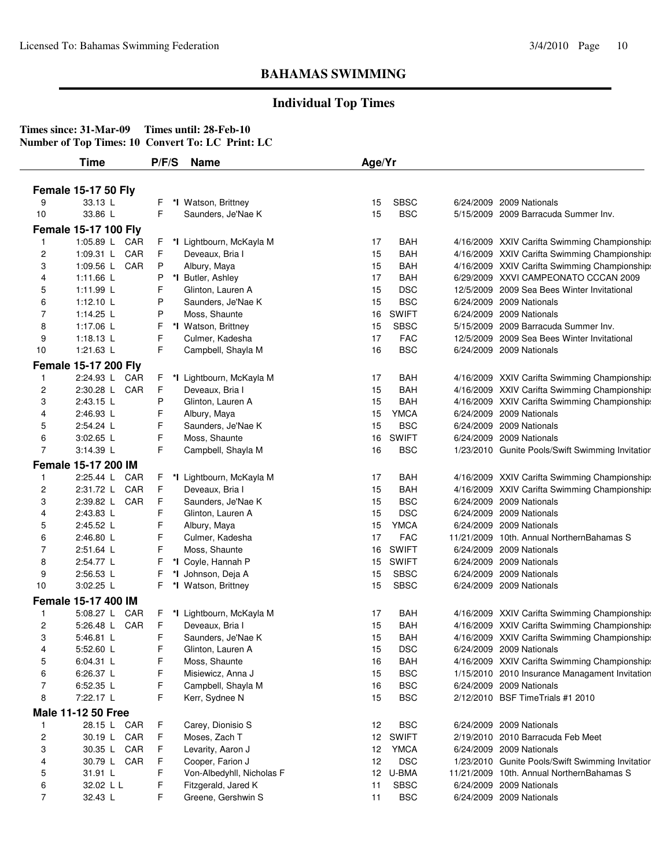## **Individual Top Times**

|                | <b>Time</b>                 | P/F/S   | <b>Name</b>               | Age/Yr          |                             |                                                  |
|----------------|-----------------------------|---------|---------------------------|-----------------|-----------------------------|--------------------------------------------------|
|                | <b>Female 15-17 50 Fly</b>  |         |                           |                 |                             |                                                  |
| 9              | 33.13 L                     | F       | *I Watson, Brittney       | 15              | <b>SBSC</b>                 | 6/24/2009 2009 Nationals                         |
| 10             | 33.86 L                     | F.      | Saunders, Je'Nae K        | 15              | <b>BSC</b>                  | 5/15/2009 2009 Barracuda Summer Inv.             |
|                |                             |         |                           |                 |                             |                                                  |
|                | <b>Female 15-17 100 Fly</b> |         |                           |                 |                             |                                                  |
| 1              | 1:05.89 L CAR               | F       | *I Lightbourn, McKayla M  | 17              | <b>BAH</b>                  | 4/16/2009 XXIV Carifta Swimming Championship:    |
| 2              | 1:09.31 L CAR               | F.      | Deveaux, Bria I           | 15              | <b>BAH</b>                  | 4/16/2009 XXIV Carifta Swimming Championship:    |
| 3              | 1:09.56 L CAR               | P       | Albury, Maya              | 15              | <b>BAH</b>                  | 4/16/2009 XXIV Carifta Swimming Championship:    |
| 4              | 1:11.66 $L$                 | P       | *I Butler, Ashley         | 17              | <b>BAH</b>                  | 6/29/2009 XXVI CAMPEONATO CCCAN 2009             |
| 5              | 1:11.99 L                   | F       | Glinton, Lauren A         | 15              | <b>DSC</b>                  | 12/5/2009 2009 Sea Bees Winter Invitational      |
| 6              | 1:12.10 $L$                 | P       | Saunders, Je'Nae K        | 15              | <b>BSC</b>                  | 6/24/2009 2009 Nationals                         |
| 7              | 1:14.25 L                   | P       | Moss, Shaunte             | 16              | <b>SWIFT</b><br><b>SBSC</b> | 6/24/2009 2009 Nationals                         |
| 8              | 1:17.06 L                   | F       | *I Watson, Brittney       | 15              |                             | 5/15/2009 2009 Barracuda Summer Inv.             |
| 9              | $1:18.13$ L                 | F<br>F. | Culmer, Kadesha           | 17              | <b>FAC</b><br><b>BSC</b>    | 12/5/2009 2009 Sea Bees Winter Invitational      |
| 10             | 1:21.63 L                   |         | Campbell, Shayla M        | 16              |                             | 6/24/2009 2009 Nationals                         |
|                | <b>Female 15-17 200 Fly</b> |         |                           |                 |                             |                                                  |
| 1              | 2:24.93 L CAR               | F.      | *I Lightbourn, McKayla M  | 17              | <b>BAH</b>                  | 4/16/2009 XXIV Carifta Swimming Championship:    |
| 2              | 2:30.28 L CAR               | F       | Deveaux, Bria I           | 15              | <b>BAH</b>                  | 4/16/2009 XXIV Carifta Swimming Championship:    |
| 3              | 2:43.15 L                   | P       | Glinton, Lauren A         | 15              | <b>BAH</b>                  | 4/16/2009 XXIV Carifta Swimming Championship:    |
| 4              | 2:46.93 L                   | F       | Albury, Maya              | 15              | <b>YMCA</b>                 | 6/24/2009 2009 Nationals                         |
| 5              | 2:54.24 L                   | F       | Saunders, Je'Nae K        | 15              | <b>BSC</b>                  | 6/24/2009 2009 Nationals                         |
| 6              | $3:02.65$ L                 | F       | Moss, Shaunte             | 16              | <b>SWIFT</b>                | 6/24/2009 2009 Nationals                         |
| $\overline{7}$ | 3:14.39 L                   | F.      | Campbell, Shayla M        | 16              | <b>BSC</b>                  | 1/23/2010 Gunite Pools/Swift Swimming Invitatior |
|                | Female 15-17 200 IM         |         |                           |                 |                             |                                                  |
| $\mathbf{1}$   | 2:25.44 L CAR               | F.      | *I Lightbourn, McKayla M  | 17              | <b>BAH</b>                  | 4/16/2009 XXIV Carifta Swimming Championship:    |
| 2              | 2:31.72 L CAR               | F       | Deveaux, Bria I           | 15              | <b>BAH</b>                  | 4/16/2009 XXIV Carifta Swimming Championship:    |
| 3              | 2:39.82 L CAR               | F       | Saunders, Je'Nae K        | 15              | <b>BSC</b>                  | 6/24/2009 2009 Nationals                         |
| 4              | 2:43.83 L                   | F       | Glinton, Lauren A         | 15              | <b>DSC</b>                  | 6/24/2009 2009 Nationals                         |
| 5              | 2:45.52 L                   | F       | Albury, Maya              | 15              | <b>YMCA</b>                 | 6/24/2009 2009 Nationals                         |
| 6              | 2:46.80 L                   | F       | Culmer, Kadesha           | 17              | <b>FAC</b>                  | 11/21/2009 10th. Annual NorthernBahamas S        |
| $\overline{7}$ | 2:51.64 L                   | F       | Moss, Shaunte             | 16              | <b>SWIFT</b>                | 6/24/2009 2009 Nationals                         |
| 8              | 2:54.77 L                   | F       | *I Coyle, Hannah P        | 15              | <b>SWIFT</b>                | 6/24/2009 2009 Nationals                         |
| 9              | 2:56.53 L                   | F       | *I Johnson, Deja A        | 15              | <b>SBSC</b>                 | 6/24/2009 2009 Nationals                         |
| 10             | 3:02.25 L                   | F.      | *I Watson, Brittney       | 15              | <b>SBSC</b>                 | 6/24/2009 2009 Nationals                         |
|                | Female 15-17 400 IM         |         |                           |                 |                             |                                                  |
| 1              | 5:08.27 L CAR               | F.      | *I Lightbourn, McKayla M  | 17              | BAH                         | 4/16/2009 XXIV Carifta Swimming Championship:    |
| 2              | 5:26.48 L CAR               | F       | Deveaux, Bria I           | 15              | BAH                         | 4/16/2009 XXIV Carifta Swimming Championship:    |
| 3              | 5:46.81 L                   | F       | Saunders, Je'Nae K        | 15              | <b>BAH</b>                  | 4/16/2009 XXIV Carifta Swimming Championship:    |
| 4              | 5:52.60 L                   | F       | Glinton, Lauren A         | 15              | <b>DSC</b>                  | 6/24/2009 2009 Nationals                         |
| 5              | 6:04.31 L                   | F       | Moss, Shaunte             | 16              | <b>BAH</b>                  | 4/16/2009 XXIV Carifta Swimming Championship:    |
| 6              | 6:26.37 L                   | F       | Misiewicz, Anna J         | 15              | <b>BSC</b>                  | 1/15/2010 2010 Insurance Managament Invitation   |
| 7              | 6:52.35 L                   | F       | Campbell, Shayla M        | 16              | <b>BSC</b>                  | 6/24/2009 2009 Nationals                         |
| 8              | 7:22.17 L                   | F.      | Kerr, Sydnee N            | 15              | <b>BSC</b>                  | 2/12/2010 BSF TimeTrials #1 2010                 |
|                | <b>Male 11-12 50 Free</b>   |         |                           |                 |                             |                                                  |
| 1              | 28.15 L CAR                 | F.      | Carey, Dionisio S         | 12              | <b>BSC</b>                  | 6/24/2009 2009 Nationals                         |
| 2              | 30.19 L CAR                 | F       | Moses, Zach T             | 12              | <b>SWIFT</b>                | 2/19/2010 2010 Barracuda Feb Meet                |
| 3              | 30.35 L CAR                 | F       | Levarity, Aaron J         | 12              | <b>YMCA</b>                 | 6/24/2009 2009 Nationals                         |
| 4              | 30.79 L CAR                 | F.      | Cooper, Farion J          | 12              | <b>DSC</b>                  | 1/23/2010 Gunite Pools/Swift Swimming Invitatior |
| 5              | 31.91 L                     | F       | Von-Albedyhll, Nicholas F | 12 <sub>2</sub> | U-BMA                       | 11/21/2009 10th. Annual NorthernBahamas S        |
|                | 32.02 L L                   | F       | Fitzgerald, Jared K       | 11              | <b>SBSC</b>                 | 6/24/2009 2009 Nationals                         |
| 6<br>7         |                             | F.      |                           |                 |                             |                                                  |
|                | 32.43 L                     |         | Greene, Gershwin S        | 11              | <b>BSC</b>                  | 6/24/2009 2009 Nationals                         |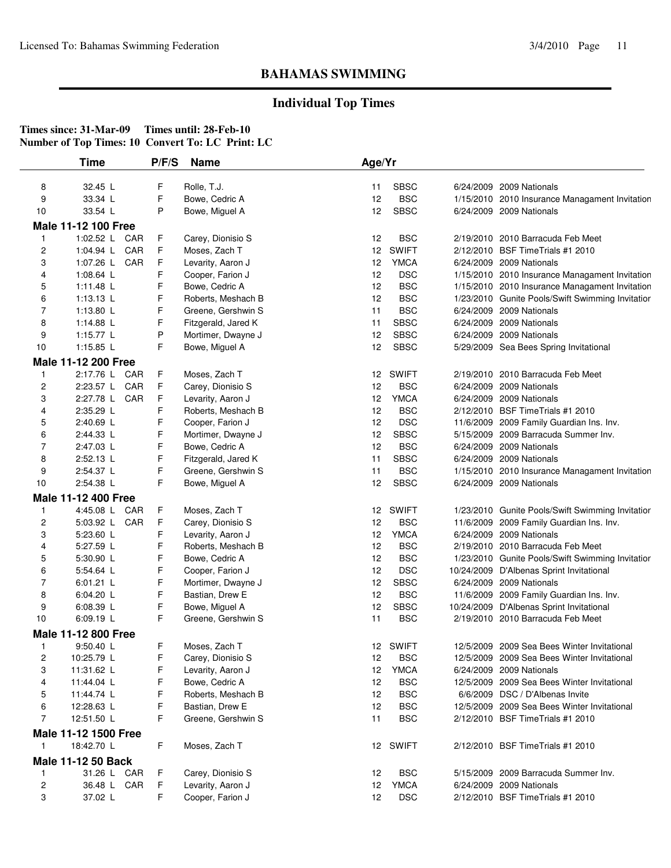## **Individual Top Times**

|                | <b>Time</b>                | P/F/S | <b>Name</b>                             | Age/Yr |              |                                                                      |
|----------------|----------------------------|-------|-----------------------------------------|--------|--------------|----------------------------------------------------------------------|
| 8              | 32.45 L                    | F     | Rolle, T.J.                             | 11     | <b>SBSC</b>  | 6/24/2009 2009 Nationals                                             |
| 9              | 33.34 L                    | F     | Bowe, Cedric A                          | 12     | <b>BSC</b>   | 1/15/2010 2010 Insurance Managament Invitation                       |
| 10             | 33.54 L                    | P     | Bowe, Miguel A                          | 12     | <b>SBSC</b>  | 6/24/2009 2009 Nationals                                             |
|                |                            |       |                                         |        |              |                                                                      |
|                | Male 11-12 100 Free        |       |                                         |        |              |                                                                      |
| 1              | 1:02.52 L CAR              | F     | Carey, Dionisio S                       | 12     | <b>BSC</b>   | 2/19/2010 2010 Barracuda Feb Meet                                    |
| 2              | 1:04.94 L CAR              | F     | Moses, Zach T                           | 12     | <b>SWIFT</b> | 2/12/2010 BSF TimeTrials #1 2010                                     |
| 3              | 1:07.26 L CAR              | F     | Levarity, Aaron J                       | 12     | <b>YMCA</b>  | 6/24/2009 2009 Nationals                                             |
| 4              | 1:08.64 L                  | F     | Cooper, Farion J                        | 12     | <b>DSC</b>   | 1/15/2010 2010 Insurance Managament Invitation                       |
| 5              | 1:11.48 $L$                | F     | Bowe, Cedric A                          | 12     | <b>BSC</b>   | 1/15/2010 2010 Insurance Managament Invitation                       |
| 6              | $1:13.13$ L                | F     | Roberts, Meshach B                      | 12     | <b>BSC</b>   | 1/23/2010 Gunite Pools/Swift Swimming Invitatior                     |
| $\overline{7}$ | 1:13.80 L                  | F     | Greene, Gershwin S                      | 11     | <b>BSC</b>   | 6/24/2009 2009 Nationals                                             |
| 8              | 1:14.88 L                  | F     | Fitzgerald, Jared K                     | 11     | <b>SBSC</b>  | 6/24/2009 2009 Nationals                                             |
| 9              | 1:15.77 L                  | P     | Mortimer, Dwayne J                      | 12     | <b>SBSC</b>  | 6/24/2009 2009 Nationals                                             |
| 10             | 1:15.85 L                  | F     | Bowe, Miguel A                          | 12     | <b>SBSC</b>  | 5/29/2009 Sea Bees Spring Invitational                               |
|                | Male 11-12 200 Free        |       |                                         |        |              |                                                                      |
| 1              | 2:17.76 L CAR              | F     | Moses, Zach T                           | 12     | <b>SWIFT</b> | 2/19/2010 2010 Barracuda Feb Meet                                    |
| 2              | 2:23.57 L CAR              | F     | Carey, Dionisio S                       | 12     | <b>BSC</b>   | 6/24/2009 2009 Nationals                                             |
| 3              | 2:27.78 L CAR              | F     | Levarity, Aaron J                       | 12     | <b>YMCA</b>  | 6/24/2009 2009 Nationals                                             |
| 4              | 2:35.29 L                  | F     | Roberts, Meshach B                      | 12     | <b>BSC</b>   | 2/12/2010 BSF TimeTrials #1 2010                                     |
| 5              | 2:40.69 L                  | F     | Cooper, Farion J                        | 12     | <b>DSC</b>   | 11/6/2009 2009 Family Guardian Ins. Inv.                             |
| 6              | 2:44.33 L                  | F     | Mortimer, Dwayne J                      | 12     | <b>SBSC</b>  | 5/15/2009 2009 Barracuda Summer Inv.                                 |
| 7              | 2:47.03 L                  | F     | Bowe, Cedric A                          | 12     | <b>BSC</b>   | 6/24/2009 2009 Nationals                                             |
| 8              | 2:52.13 L                  | F     | Fitzgerald, Jared K                     | 11     | <b>SBSC</b>  | 6/24/2009 2009 Nationals                                             |
| 9              | 2:54.37 L                  | F     | Greene, Gershwin S                      | 11     | <b>BSC</b>   | 1/15/2010 2010 Insurance Managament Invitation                       |
| 10             | 2:54.38 L                  | F     | Bowe, Miguel A                          | 12     | <b>SBSC</b>  | 6/24/2009 2009 Nationals                                             |
|                | <b>Male 11-12 400 Free</b> |       |                                         |        |              |                                                                      |
| 1              | 4:45.08 L CAR              | F     | Moses, Zach T                           | 12     | <b>SWIFT</b> | 1/23/2010 Gunite Pools/Swift Swimming Invitatior                     |
|                | 5:03.92 L CAR              | F     |                                         | 12     | <b>BSC</b>   |                                                                      |
| 2<br>3         | 5:23.60 L                  | F     | Carey, Dionisio S                       | 12     | <b>YMCA</b>  | 11/6/2009 2009 Family Guardian Ins. Inv.<br>6/24/2009 2009 Nationals |
| 4              | 5:27.59 L                  | F     | Levarity, Aaron J<br>Roberts, Meshach B | 12     | <b>BSC</b>   | 2/19/2010 2010 Barracuda Feb Meet                                    |
|                |                            | F     |                                         | 12     | <b>BSC</b>   |                                                                      |
| 5              | 5:30.90 L                  |       | Bowe, Cedric A                          |        |              | 1/23/2010 Gunite Pools/Swift Swimming Invitatior                     |
| 6              | 5:54.64 L                  | F     | Cooper, Farion J                        | 12     | <b>DSC</b>   | 10/24/2009 D'Albenas Sprint Invitational                             |
| 7              | $6:01.21$ L                | F     | Mortimer, Dwayne J                      | 12     | <b>SBSC</b>  | 6/24/2009 2009 Nationals                                             |
| 8              | 6:04.20 L                  | F     | Bastian, Drew E                         | 12     | <b>BSC</b>   | 11/6/2009 2009 Family Guardian Ins. Inv.                             |
| 9              | 6:08.39 L                  | F     | Bowe, Miguel A                          | 12     | <b>SBSC</b>  | 10/24/2009 D'Albenas Sprint Invitational                             |
| 10             | 6:09.19 L                  | F     | Greene, Gershwin S                      | 11     | <b>BSC</b>   | 2/19/2010 2010 Barracuda Feb Meet                                    |
|                | Male 11-12 800 Free        |       |                                         |        |              |                                                                      |
| $\mathbf{1}$   | $9:50.40$ L                | F     | Moses, Zach T                           |        | 12 SWIFT     | 12/5/2009 2009 Sea Bees Winter Invitational                          |
| 2              | 10:25.79 L                 | F     | Carey, Dionisio S                       | 12     | <b>BSC</b>   | 12/5/2009 2009 Sea Bees Winter Invitational                          |
| 3              | 11:31.62 L                 | F     | Levarity, Aaron J                       | 12     | <b>YMCA</b>  | 6/24/2009 2009 Nationals                                             |
| 4              | 11:44.04 L                 | F     | Bowe, Cedric A                          | 12     | <b>BSC</b>   | 12/5/2009 2009 Sea Bees Winter Invitational                          |
| 5              | 11:44.74 L                 | F     | Roberts, Meshach B                      | 12     | <b>BSC</b>   | 6/6/2009 DSC / D'Albenas Invite                                      |
| 6              | 12:28.63 L                 | F     | Bastian, Drew E                         | 12     | <b>BSC</b>   | 12/5/2009 2009 Sea Bees Winter Invitational                          |
| $\overline{7}$ | 12:51.50 L                 | F     | Greene, Gershwin S                      | 11     | <b>BSC</b>   | 2/12/2010 BSF Time Trials #1 2010                                    |
|                | Male 11-12 1500 Free       |       |                                         |        |              |                                                                      |
| $\mathbf{1}$   | 18:42.70 L                 | F     | Moses, Zach T                           |        | 12 SWIFT     | 2/12/2010 BSF Time Trials #1 2010                                    |
|                | Male 11-12 50 Back         |       |                                         |        |              |                                                                      |
|                |                            |       |                                         |        |              |                                                                      |
| 1              | 31.26 L CAR                | F     | Carey, Dionisio S                       | 12     | <b>BSC</b>   | 5/15/2009 2009 Barracuda Summer Inv.                                 |
| 2              | 36.48 L CAR                | F     | Levarity, Aaron J                       | 12     | <b>YMCA</b>  | 6/24/2009 2009 Nationals                                             |
| 3              | 37.02 L                    | F     | Cooper, Farion J                        | 12     | <b>DSC</b>   | 2/12/2010 BSF Time Trials #1 2010                                    |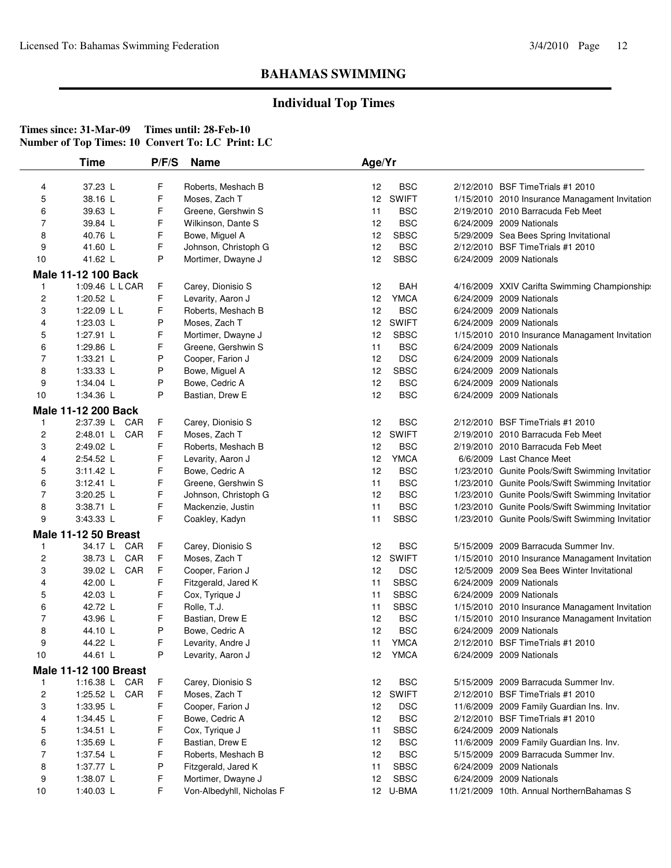## **Individual Top Times**

|                | <b>Time</b>                  | P/F/S       | <b>Name</b>               | Age/Yr          |              |                                                  |
|----------------|------------------------------|-------------|---------------------------|-----------------|--------------|--------------------------------------------------|
| 4              | 37.23 L                      | F           | Roberts, Meshach B        | 12              | <b>BSC</b>   | 2/12/2010 BSF TimeTrials #1 2010                 |
| 5              | 38.16 L                      | F           | Moses, Zach T             | 12              | <b>SWIFT</b> | 1/15/2010 2010 Insurance Managament Invitation   |
| 6              | 39.63 L                      | F           | Greene, Gershwin S        | 11              | <b>BSC</b>   | 2/19/2010 2010 Barracuda Feb Meet                |
| 7              | 39.84 L                      | F           | Wilkinson, Dante S        | 12              | <b>BSC</b>   | 6/24/2009 2009 Nationals                         |
| 8              | 40.76 L                      | F           | Bowe, Miguel A            | 12              | <b>SBSC</b>  | 5/29/2009 Sea Bees Spring Invitational           |
| 9              | 41.60 L                      | F           | Johnson, Christoph G      | 12              | <b>BSC</b>   | 2/12/2010 BSF TimeTrials #1 2010                 |
| 10             | 41.62 L                      | P           | Mortimer, Dwayne J        | 12              | <b>SBSC</b>  | 6/24/2009 2009 Nationals                         |
|                | Male 11-12 100 Back          |             |                           |                 |              |                                                  |
| 1              | 1:09.46 L L CAR              | F           | Carey, Dionisio S         | 12              | <b>BAH</b>   | 4/16/2009 XXIV Carifta Swimming Championship:    |
| 2              | 1:20.52 L                    | F           | Levarity, Aaron J         | 12              | <b>YMCA</b>  | 6/24/2009 2009 Nationals                         |
| 3              | 1:22.09 L L                  | F           | Roberts, Meshach B        | 12              | <b>BSC</b>   | 6/24/2009 2009 Nationals                         |
| 4              | 1:23.03 L                    | P           | Moses, Zach T             | 12              | <b>SWIFT</b> | 6/24/2009 2009 Nationals                         |
| 5              | 1:27.91 L                    | F           | Mortimer, Dwayne J        | 12              | <b>SBSC</b>  | 1/15/2010 2010 Insurance Managament Invitation   |
| 6              | 1:29.86 L                    | F           | Greene, Gershwin S        | 11              | <b>BSC</b>   | 6/24/2009 2009 Nationals                         |
| 7              | 1:33.21 L                    | P           | Cooper, Farion J          | 12              | <b>DSC</b>   | 6/24/2009 2009 Nationals                         |
| 8              | 1:33.33 L                    | P           | Bowe, Miguel A            | 12              | <b>SBSC</b>  | 6/24/2009 2009 Nationals                         |
| 9              | 1:34.04 $\lfloor$            | P           | Bowe, Cedric A            | 12              | <b>BSC</b>   | 6/24/2009 2009 Nationals                         |
| 10             | 1:34.36 L                    | P           | Bastian, Drew E           | 12              | <b>BSC</b>   | 6/24/2009 2009 Nationals                         |
|                | Male 11-12 200 Back          |             |                           |                 |              |                                                  |
| $\mathbf{1}$   | 2:37.39 L CAR                | F           | Carey, Dionisio S         | 12              | <b>BSC</b>   | 2/12/2010 BSF Time Trials #1 2010                |
| 2              | 2:48.01 L CAR                | F           | Moses, Zach T             | 12              | <b>SWIFT</b> | 2/19/2010 2010 Barracuda Feb Meet                |
| 3              | 2:49.02 L                    | F           | Roberts, Meshach B        | 12              | <b>BSC</b>   | 2/19/2010 2010 Barracuda Feb Meet                |
| 4              | 2:54.52 L                    | F           | Levarity, Aaron J         | 12              | <b>YMCA</b>  | 6/6/2009 Last Chance Meet                        |
| 5              | 3:11.42 L                    | F           | Bowe, Cedric A            | 12              | <b>BSC</b>   | 1/23/2010 Gunite Pools/Swift Swimming Invitatior |
| 6              | 3:12.41 L                    | F           | Greene, Gershwin S        | 11              | <b>BSC</b>   | 1/23/2010 Gunite Pools/Swift Swimming Invitation |
| $\overline{7}$ | 3:20.25 L                    | F           | Johnson, Christoph G      | 12              | <b>BSC</b>   | 1/23/2010 Gunite Pools/Swift Swimming Invitatior |
| 8              | 3:38.71 L                    | F           | Mackenzie, Justin         | 11              | <b>BSC</b>   | 1/23/2010 Gunite Pools/Swift Swimming Invitatior |
| 9              | 3:43.33 L                    | F           | Coakley, Kadyn            | 11              | <b>SBSC</b>  | 1/23/2010 Gunite Pools/Swift Swimming Invitatior |
|                | <b>Male 11-12 50 Breast</b>  |             |                           |                 |              |                                                  |
| 1              | 34.17 L CAR                  | F           | Carey, Dionisio S         | 12              | <b>BSC</b>   | 5/15/2009 2009 Barracuda Summer Inv.             |
| 2              | 38.73 L CAR                  | F           | Moses, Zach T             | 12              | <b>SWIFT</b> | 1/15/2010 2010 Insurance Managament Invitation   |
| 3              | 39.02 L CAR                  | F           | Cooper, Farion J          | 12              | <b>DSC</b>   | 12/5/2009 2009 Sea Bees Winter Invitational      |
| 4              | 42.00 L                      | F           | Fitzgerald, Jared K       | 11              | <b>SBSC</b>  | 6/24/2009 2009 Nationals                         |
| 5              | 42.03 L                      | F           | Cox, Tyrique J            | 11              | <b>SBSC</b>  | 6/24/2009 2009 Nationals                         |
| 6              | 42.72 L                      | F           | Rolle, T.J.               | 11              | <b>SBSC</b>  | 1/15/2010 2010 Insurance Managament Invitation   |
| 7              | 43.96 L                      | F           | Bastian, Drew E           | 12              | <b>BSC</b>   | 1/15/2010 2010 Insurance Managament Invitation   |
| 8              | 44.10 L                      | P           | Bowe, Cedric A            | 12              | <b>BSC</b>   | 6/24/2009 2009 Nationals                         |
| 9              | 44.22 L                      | F           | Levarity, Andre J         | 11              | <b>YMCA</b>  | 2/12/2010 BSF TimeTrials #1 2010                 |
| 10             | 44.61 L                      | P           | Levarity, Aaron J         | 12              | YMCA         | 6/24/2009 2009 Nationals                         |
|                | <b>Male 11-12 100 Breast</b> |             |                           |                 |              |                                                  |
| 1              | 1:16.38 L CAR                | F           | Carey, Dionisio S         | 12              | <b>BSC</b>   | 5/15/2009 2009 Barracuda Summer Inv.             |
| 2              | 1:25.52 L CAR                | $\mathsf F$ | Moses, Zach T             | 12 <sup>2</sup> | <b>SWIFT</b> | 2/12/2010 BSF TimeTrials #1 2010                 |
| 3              | 1:33.95 L                    | F           | Cooper, Farion J          | 12              | <b>DSC</b>   | 11/6/2009 2009 Family Guardian Ins. Inv.         |
| 4              | 1:34.45 L                    | F           | Bowe, Cedric A            | 12              | <b>BSC</b>   | 2/12/2010 BSF TimeTrials #1 2010                 |
| 5              | 1:34.51 L                    | F           | Cox, Tyrique J            | 11              | <b>SBSC</b>  | 6/24/2009 2009 Nationals                         |
| 6              | 1:35.69 L                    | F           | Bastian, Drew E           | 12              | <b>BSC</b>   | 11/6/2009 2009 Family Guardian Ins. Inv.         |
| 7              | 1:37.54 L                    | F           | Roberts, Meshach B        | 12              | <b>BSC</b>   | 5/15/2009 2009 Barracuda Summer Inv.             |
| 8              | 1:37.77 L                    | P           | Fitzgerald, Jared K       | 11              | <b>SBSC</b>  | 6/24/2009 2009 Nationals                         |
| 9              | 1:38.07 L                    | F           | Mortimer, Dwayne J        | 12              | <b>SBSC</b>  | 6/24/2009 2009 Nationals                         |
| 10             | 1:40.03 L                    | F           | Von-Albedyhll, Nicholas F |                 | 12 U-BMA     | 11/21/2009 10th. Annual NorthernBahamas S        |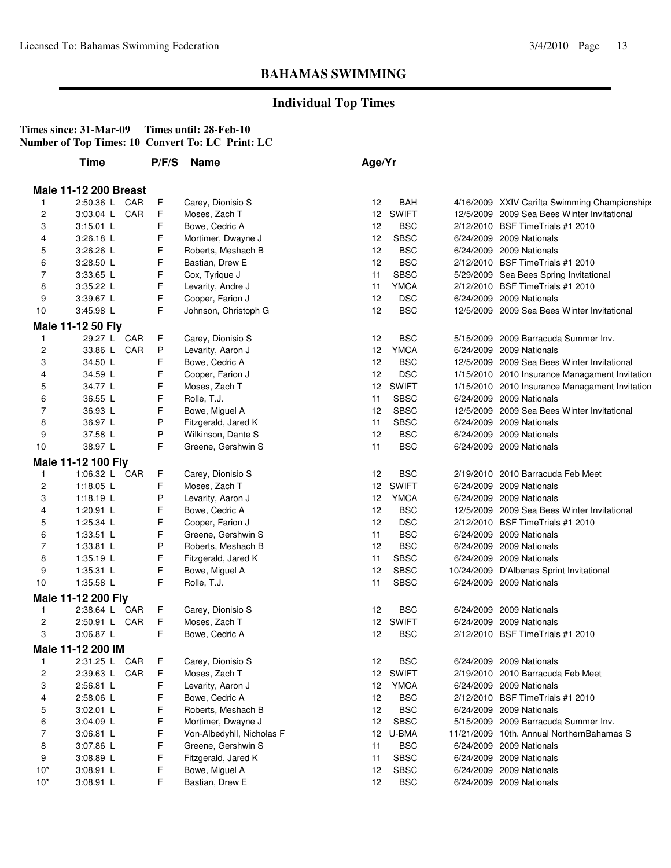## **Individual Top Times**

|                         | <b>Time</b>                         | P/F/S | <b>Name</b>                        | Age/Yr |             |                                                |
|-------------------------|-------------------------------------|-------|------------------------------------|--------|-------------|------------------------------------------------|
|                         |                                     |       |                                    |        |             |                                                |
|                         | <b>Male 11-12 200 Breast</b>        |       |                                    |        |             |                                                |
| $\mathbf{1}$            | 2:50.36 L CAR                       | F     | Carey, Dionisio S                  | 12     | <b>BAH</b>  | 4/16/2009 XXIV Carifta Swimming Championship:  |
| $\overline{c}$          | 3:03.04 L CAR                       | F     | Moses, Zach T                      |        | 12 SWIFT    | 12/5/2009 2009 Sea Bees Winter Invitational    |
| 3                       | $3:15.01$ L                         | F     | Bowe, Cedric A                     | 12     | <b>BSC</b>  | 2/12/2010 BSF TimeTrials #1 2010               |
| 4                       | 3:26.18 L                           | F     | Mortimer, Dwayne J                 | 12     | <b>SBSC</b> | 6/24/2009 2009 Nationals                       |
| 5                       | 3:26.26 L                           | F     | Roberts, Meshach B                 | 12     | <b>BSC</b>  | 6/24/2009 2009 Nationals                       |
| 6                       | 3:28.50 L                           | F     | Bastian, Drew E                    | 12     | <b>BSC</b>  | 2/12/2010 BSF TimeTrials #1 2010               |
| $\overline{7}$          | 3:33.65 L                           | F     | Cox, Tyrique J                     | 11     | <b>SBSC</b> | 5/29/2009 Sea Bees Spring Invitational         |
| 8                       | 3:35.22 L                           | F     | Levarity, Andre J                  | 11     | <b>YMCA</b> | 2/12/2010 BSF Time Trials #1 2010              |
| 9                       | 3:39.67 L                           | F     | Cooper, Farion J                   | 12     | <b>DSC</b>  | 6/24/2009 2009 Nationals                       |
| 10                      | 3:45.98 L                           | F.    | Johnson, Christoph G               | 12     | <b>BSC</b>  | 12/5/2009 2009 Sea Bees Winter Invitational    |
|                         | Male 11-12 50 Fly                   |       |                                    |        |             |                                                |
| $\mathbf{1}$            | 29.27 L CAR                         | F     | Carey, Dionisio S                  | 12     | <b>BSC</b>  | 5/15/2009 2009 Barracuda Summer Inv.           |
| $\overline{\mathbf{c}}$ | 33.86 L CAR                         | P     | Levarity, Aaron J                  | 12     | <b>YMCA</b> | 6/24/2009 2009 Nationals                       |
| 3                       | 34.50 L                             | F     | Bowe, Cedric A                     | 12     | <b>BSC</b>  | 12/5/2009 2009 Sea Bees Winter Invitational    |
| 4                       | 34.59 L                             | F     | Cooper, Farion J                   | 12     | <b>DSC</b>  | 1/15/2010 2010 Insurance Managament Invitation |
| 5                       | 34.77 L                             | F     | Moses, Zach T                      |        | 12 SWIFT    | 1/15/2010 2010 Insurance Managament Invitation |
| 6                       | 36.55 L                             | F     | Rolle, T.J.                        | 11     | <b>SBSC</b> | 6/24/2009 2009 Nationals                       |
| 7                       | 36.93 L                             | F     | Bowe, Miguel A                     | 12     | <b>SBSC</b> | 12/5/2009 2009 Sea Bees Winter Invitational    |
| 8                       | 36.97 L                             | P     | Fitzgerald, Jared K                | 11     | <b>SBSC</b> | 6/24/2009 2009 Nationals                       |
| 9                       | 37.58 L                             | P     | Wilkinson, Dante S                 | 12     | <b>BSC</b>  | 6/24/2009 2009 Nationals                       |
| 10                      | 38.97 L                             | F     | Greene, Gershwin S                 | 11     | <b>BSC</b>  | 6/24/2009 2009 Nationals                       |
|                         |                                     |       |                                    |        |             |                                                |
| $\mathbf{1}$            | Male 11-12 100 Fly<br>1:06.32 L CAR | F     |                                    | 12     | <b>BSC</b>  | 2/19/2010 2010 Barracuda Feb Meet              |
| $\overline{\mathbf{c}}$ | 1:18.05 L                           | F     | Carey, Dionisio S<br>Moses, Zach T |        | 12 SWIFT    | 6/24/2009 2009 Nationals                       |
|                         |                                     | P     |                                    |        | <b>YMCA</b> |                                                |
| 3                       | 1:18.19 $L$                         | F     | Levarity, Aaron J                  | 12     |             | 6/24/2009 2009 Nationals                       |
| 4                       | 1:20.91 L                           |       | Bowe, Cedric A                     | 12     | <b>BSC</b>  | 12/5/2009 2009 Sea Bees Winter Invitational    |
| 5                       | 1:25.34 L                           | F     | Cooper, Farion J                   | 12     | <b>DSC</b>  | 2/12/2010 BSF TimeTrials #1 2010               |
| 6<br>$\overline{7}$     | 1:33.51 L                           | F     | Greene, Gershwin S                 | 11     | <b>BSC</b>  | 6/24/2009 2009 Nationals                       |
|                         | 1:33.81 L                           | P     | Roberts, Meshach B                 | 12     | <b>BSC</b>  | 6/24/2009 2009 Nationals                       |
| 8                       | 1:35.19 L                           | F     | Fitzgerald, Jared K                | 11     | <b>SBSC</b> | 6/24/2009 2009 Nationals                       |
| 9                       | $1:35.31$ L                         | F     | Bowe, Miguel A                     | 12     | <b>SBSC</b> | 10/24/2009 D'Albenas Sprint Invitational       |
| 10                      | 1:35.58 L                           | F     | Rolle, T.J.                        | 11     | <b>SBSC</b> | 6/24/2009 2009 Nationals                       |
|                         | Male 11-12 200 Fly                  |       |                                    |        |             |                                                |
| $\mathbf{1}$            | 2:38.64 L CAR                       | F     | Carey, Dionisio S                  | 12     | <b>BSC</b>  | 6/24/2009 2009 Nationals                       |
| 2                       | 2:50.91 L CAR                       | F     | Moses, Zach T                      |        | 12 SWIFT    | 6/24/2009 2009 Nationals                       |
| 3                       | 3:06.87 L                           | F.    | Bowe, Cedric A                     | 12     | <b>BSC</b>  | 2/12/2010 BSF TimeTrials #1 2010               |
|                         | Male 11-12 200 IM                   |       |                                    |        |             |                                                |
| $\mathbf{1}$            | 2:31.25 L CAR                       | F.    | Carey, Dionisio S                  | 12     | <b>BSC</b>  | 6/24/2009 2009 Nationals                       |
| $\overline{\mathbf{c}}$ | 2:39.63 L CAR                       | F     | Moses, Zach T                      |        | 12 SWIFT    | 2/19/2010 2010 Barracuda Feb Meet              |
| 3                       | 2:56.81 L                           | F     | Levarity, Aaron J                  | 12     | <b>YMCA</b> | 6/24/2009 2009 Nationals                       |
| 4                       | 2:58.06 L                           | F     | Bowe, Cedric A                     | 12     | <b>BSC</b>  | 2/12/2010 BSF Time Trials #1 2010              |
| 5                       | 3:02.01 L                           | F     | Roberts, Meshach B                 | 12     | <b>BSC</b>  | 6/24/2009 2009 Nationals                       |
| 6                       | $3:04.09$ L                         | F     | Mortimer, Dwayne J                 | 12     | <b>SBSC</b> | 5/15/2009 2009 Barracuda Summer Inv.           |
| 7                       | $3:06.81$ L                         | F     | Von-Albedyhll, Nicholas F          |        | 12 U-BMA    | 11/21/2009 10th. Annual NorthernBahamas S      |
| 8                       | 3:07.86 L                           | F     | Greene, Gershwin S                 | 11     | <b>BSC</b>  | 6/24/2009 2009 Nationals                       |
|                         |                                     | F     | Fitzgerald, Jared K                | 11     | <b>SBSC</b> | 6/24/2009 2009 Nationals                       |
|                         |                                     |       |                                    |        |             |                                                |
| 9<br>$10*$              | $3:08.89$ L<br>3:08.91 L            | F     | Bowe, Miguel A                     | 12     | <b>SBSC</b> | 6/24/2009 2009 Nationals                       |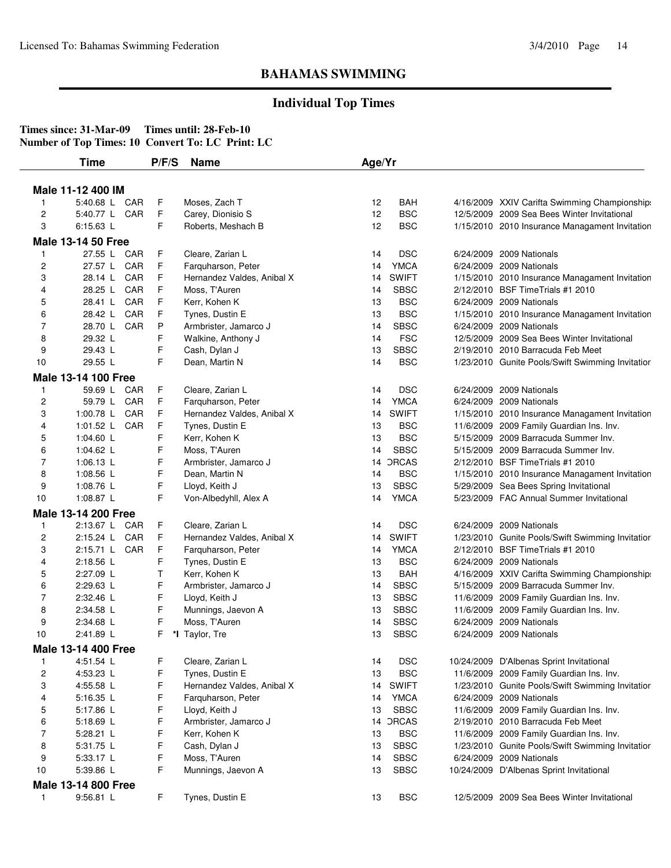## **Individual Top Times**

| Male 11-12 400 IM<br>5:40.68 L CAR<br>F<br><b>BAH</b><br>Moses, Zach T<br>12<br>4/16/2009 XXIV Carifta Swimming Championship:<br>$\mathbf{1}$<br>F.<br>12<br><b>BSC</b><br>$\overline{\mathbf{c}}$<br>5:40.77 L CAR<br>Carey, Dionisio S<br>12/5/2009 2009 Sea Bees Winter Invitational<br>F<br><b>BSC</b><br>3<br>6:15.63 L<br>12<br>Roberts, Meshach B<br>1/15/2010 2010 Insurance Managament Invitation<br><b>Male 13-14 50 Free</b><br>F.<br>27.55 L CAR<br>Cleare, Zarian L<br><b>DSC</b><br>14<br>6/24/2009 2009 Nationals<br>$\mathbf{1}$<br>F<br><b>YMCA</b><br>$\overline{\mathbf{c}}$<br>27.57 L CAR<br>Farquharson, Peter<br>6/24/2009 2009 Nationals<br>14<br>F<br><b>SWIFT</b><br>28.14 L CAR<br>3<br>Hernandez Valdes, Anibal X<br>1/15/2010 2010 Insurance Managament Invitation<br>14<br>F<br><b>SBSC</b><br>2/12/2010 BSF Time Trials #1 2010<br>4<br>28.25 L CAR<br>Moss, T'Auren<br>14<br>F<br><b>BSC</b><br>CAR<br>Kerr, Kohen K<br>5<br>28.41 L<br>13<br>6/24/2009 2009 Nationals<br>F<br><b>BSC</b><br>6<br>28.42 L<br>CAR<br>Tynes, Dustin E<br>13<br>1/15/2010 2010 Insurance Managament Invitation<br>$\overline{7}$<br>P<br><b>SBSC</b><br>28.70 L CAR<br>Armbrister, Jamarco J<br>14<br>6/24/2009 2009 Nationals<br>F<br><b>FSC</b><br>8<br>29.32 L<br>12/5/2009 2009 Sea Bees Winter Invitational<br>Walkine, Anthony J<br>14<br>F<br><b>SBSC</b><br>9<br>29.43 L<br>13<br>Cash, Dylan J<br>2/19/2010 2010 Barracuda Feb Meet<br>F<br>29.55 L<br><b>BSC</b><br>10<br>Dean, Martin N<br>14<br>1/23/2010 Gunite Pools/Swift Swimming Invitatior<br>Male 13-14 100 Free<br>F<br><b>DSC</b><br>59.69 L CAR<br>Cleare, Zarian L<br>14<br>6/24/2009 2009 Nationals<br>1<br><b>YMCA</b><br>2<br>59.79 L CAR<br>F<br>Farquharson, Peter<br>14<br>6/24/2009 2009 Nationals<br>F<br><b>SWIFT</b><br>3<br>1:00.78 L<br>CAR<br>Hernandez Valdes, Anibal X<br>1/15/2010 2010 Insurance Managament Invitation<br>14<br>F<br><b>BSC</b><br>1:01.52 L CAR<br>Tynes, Dustin E<br>4<br>13<br>11/6/2009 2009 Family Guardian Ins. Inv.<br>F<br><b>BSC</b><br>1:04.60 L<br>Kerr, Kohen K<br>13<br>5/15/2009 2009 Barracuda Summer Inv.<br>5<br>F<br><b>SBSC</b><br>1:04.62 L<br>Moss, T'Auren<br>14<br>5/15/2009 2009 Barracuda Summer Inv.<br>6<br>F<br><b>DRCAS</b><br>7<br>1:06.13 L<br>2/12/2010 BSF Time Trials #1 2010<br>Armbrister, Jamarco J<br>14<br>F<br><b>BSC</b><br>8<br>1:08.56 L<br>Dean, Martin N<br>1/15/2010 2010 Insurance Managament Invitation<br>14<br>F<br><b>SBSC</b><br>9<br>Lloyd, Keith J<br>13<br>5/29/2009 Sea Bees Spring Invitational<br>1:08.76 L<br>F<br><b>YMCA</b><br>1:08.87 L<br>5/23/2009 FAC Annual Summer Invitational<br>10<br>Von-Albedyhll, Alex A<br>14<br>Male 13-14 200 Free<br>F<br><b>DSC</b><br>2:13.67 L CAR<br>Cleare, Zarian L<br>14<br>6/24/2009 2009 Nationals<br>1<br>F.<br><b>SWIFT</b><br>$\overline{\mathbf{c}}$<br>2:15.24 L CAR<br>Hernandez Valdes, Anibal X<br>14 |                                                  |
|------------------------------------------------------------------------------------------------------------------------------------------------------------------------------------------------------------------------------------------------------------------------------------------------------------------------------------------------------------------------------------------------------------------------------------------------------------------------------------------------------------------------------------------------------------------------------------------------------------------------------------------------------------------------------------------------------------------------------------------------------------------------------------------------------------------------------------------------------------------------------------------------------------------------------------------------------------------------------------------------------------------------------------------------------------------------------------------------------------------------------------------------------------------------------------------------------------------------------------------------------------------------------------------------------------------------------------------------------------------------------------------------------------------------------------------------------------------------------------------------------------------------------------------------------------------------------------------------------------------------------------------------------------------------------------------------------------------------------------------------------------------------------------------------------------------------------------------------------------------------------------------------------------------------------------------------------------------------------------------------------------------------------------------------------------------------------------------------------------------------------------------------------------------------------------------------------------------------------------------------------------------------------------------------------------------------------------------------------------------------------------------------------------------------------------------------------------------------------------------------------------------------------------------------------------------------------------------------------------------------------------------------------------------------------------------------------------------------------------------------------------------------------------------------------------------------------------------------------------------------------------------------------------------------------------------|--------------------------------------------------|
|                                                                                                                                                                                                                                                                                                                                                                                                                                                                                                                                                                                                                                                                                                                                                                                                                                                                                                                                                                                                                                                                                                                                                                                                                                                                                                                                                                                                                                                                                                                                                                                                                                                                                                                                                                                                                                                                                                                                                                                                                                                                                                                                                                                                                                                                                                                                                                                                                                                                                                                                                                                                                                                                                                                                                                                                                                                                                                                                          |                                                  |
|                                                                                                                                                                                                                                                                                                                                                                                                                                                                                                                                                                                                                                                                                                                                                                                                                                                                                                                                                                                                                                                                                                                                                                                                                                                                                                                                                                                                                                                                                                                                                                                                                                                                                                                                                                                                                                                                                                                                                                                                                                                                                                                                                                                                                                                                                                                                                                                                                                                                                                                                                                                                                                                                                                                                                                                                                                                                                                                                          |                                                  |
|                                                                                                                                                                                                                                                                                                                                                                                                                                                                                                                                                                                                                                                                                                                                                                                                                                                                                                                                                                                                                                                                                                                                                                                                                                                                                                                                                                                                                                                                                                                                                                                                                                                                                                                                                                                                                                                                                                                                                                                                                                                                                                                                                                                                                                                                                                                                                                                                                                                                                                                                                                                                                                                                                                                                                                                                                                                                                                                                          |                                                  |
|                                                                                                                                                                                                                                                                                                                                                                                                                                                                                                                                                                                                                                                                                                                                                                                                                                                                                                                                                                                                                                                                                                                                                                                                                                                                                                                                                                                                                                                                                                                                                                                                                                                                                                                                                                                                                                                                                                                                                                                                                                                                                                                                                                                                                                                                                                                                                                                                                                                                                                                                                                                                                                                                                                                                                                                                                                                                                                                                          |                                                  |
|                                                                                                                                                                                                                                                                                                                                                                                                                                                                                                                                                                                                                                                                                                                                                                                                                                                                                                                                                                                                                                                                                                                                                                                                                                                                                                                                                                                                                                                                                                                                                                                                                                                                                                                                                                                                                                                                                                                                                                                                                                                                                                                                                                                                                                                                                                                                                                                                                                                                                                                                                                                                                                                                                                                                                                                                                                                                                                                                          |                                                  |
|                                                                                                                                                                                                                                                                                                                                                                                                                                                                                                                                                                                                                                                                                                                                                                                                                                                                                                                                                                                                                                                                                                                                                                                                                                                                                                                                                                                                                                                                                                                                                                                                                                                                                                                                                                                                                                                                                                                                                                                                                                                                                                                                                                                                                                                                                                                                                                                                                                                                                                                                                                                                                                                                                                                                                                                                                                                                                                                                          |                                                  |
|                                                                                                                                                                                                                                                                                                                                                                                                                                                                                                                                                                                                                                                                                                                                                                                                                                                                                                                                                                                                                                                                                                                                                                                                                                                                                                                                                                                                                                                                                                                                                                                                                                                                                                                                                                                                                                                                                                                                                                                                                                                                                                                                                                                                                                                                                                                                                                                                                                                                                                                                                                                                                                                                                                                                                                                                                                                                                                                                          |                                                  |
|                                                                                                                                                                                                                                                                                                                                                                                                                                                                                                                                                                                                                                                                                                                                                                                                                                                                                                                                                                                                                                                                                                                                                                                                                                                                                                                                                                                                                                                                                                                                                                                                                                                                                                                                                                                                                                                                                                                                                                                                                                                                                                                                                                                                                                                                                                                                                                                                                                                                                                                                                                                                                                                                                                                                                                                                                                                                                                                                          |                                                  |
|                                                                                                                                                                                                                                                                                                                                                                                                                                                                                                                                                                                                                                                                                                                                                                                                                                                                                                                                                                                                                                                                                                                                                                                                                                                                                                                                                                                                                                                                                                                                                                                                                                                                                                                                                                                                                                                                                                                                                                                                                                                                                                                                                                                                                                                                                                                                                                                                                                                                                                                                                                                                                                                                                                                                                                                                                                                                                                                                          |                                                  |
|                                                                                                                                                                                                                                                                                                                                                                                                                                                                                                                                                                                                                                                                                                                                                                                                                                                                                                                                                                                                                                                                                                                                                                                                                                                                                                                                                                                                                                                                                                                                                                                                                                                                                                                                                                                                                                                                                                                                                                                                                                                                                                                                                                                                                                                                                                                                                                                                                                                                                                                                                                                                                                                                                                                                                                                                                                                                                                                                          |                                                  |
|                                                                                                                                                                                                                                                                                                                                                                                                                                                                                                                                                                                                                                                                                                                                                                                                                                                                                                                                                                                                                                                                                                                                                                                                                                                                                                                                                                                                                                                                                                                                                                                                                                                                                                                                                                                                                                                                                                                                                                                                                                                                                                                                                                                                                                                                                                                                                                                                                                                                                                                                                                                                                                                                                                                                                                                                                                                                                                                                          |                                                  |
|                                                                                                                                                                                                                                                                                                                                                                                                                                                                                                                                                                                                                                                                                                                                                                                                                                                                                                                                                                                                                                                                                                                                                                                                                                                                                                                                                                                                                                                                                                                                                                                                                                                                                                                                                                                                                                                                                                                                                                                                                                                                                                                                                                                                                                                                                                                                                                                                                                                                                                                                                                                                                                                                                                                                                                                                                                                                                                                                          |                                                  |
|                                                                                                                                                                                                                                                                                                                                                                                                                                                                                                                                                                                                                                                                                                                                                                                                                                                                                                                                                                                                                                                                                                                                                                                                                                                                                                                                                                                                                                                                                                                                                                                                                                                                                                                                                                                                                                                                                                                                                                                                                                                                                                                                                                                                                                                                                                                                                                                                                                                                                                                                                                                                                                                                                                                                                                                                                                                                                                                                          |                                                  |
|                                                                                                                                                                                                                                                                                                                                                                                                                                                                                                                                                                                                                                                                                                                                                                                                                                                                                                                                                                                                                                                                                                                                                                                                                                                                                                                                                                                                                                                                                                                                                                                                                                                                                                                                                                                                                                                                                                                                                                                                                                                                                                                                                                                                                                                                                                                                                                                                                                                                                                                                                                                                                                                                                                                                                                                                                                                                                                                                          |                                                  |
|                                                                                                                                                                                                                                                                                                                                                                                                                                                                                                                                                                                                                                                                                                                                                                                                                                                                                                                                                                                                                                                                                                                                                                                                                                                                                                                                                                                                                                                                                                                                                                                                                                                                                                                                                                                                                                                                                                                                                                                                                                                                                                                                                                                                                                                                                                                                                                                                                                                                                                                                                                                                                                                                                                                                                                                                                                                                                                                                          |                                                  |
|                                                                                                                                                                                                                                                                                                                                                                                                                                                                                                                                                                                                                                                                                                                                                                                                                                                                                                                                                                                                                                                                                                                                                                                                                                                                                                                                                                                                                                                                                                                                                                                                                                                                                                                                                                                                                                                                                                                                                                                                                                                                                                                                                                                                                                                                                                                                                                                                                                                                                                                                                                                                                                                                                                                                                                                                                                                                                                                                          |                                                  |
|                                                                                                                                                                                                                                                                                                                                                                                                                                                                                                                                                                                                                                                                                                                                                                                                                                                                                                                                                                                                                                                                                                                                                                                                                                                                                                                                                                                                                                                                                                                                                                                                                                                                                                                                                                                                                                                                                                                                                                                                                                                                                                                                                                                                                                                                                                                                                                                                                                                                                                                                                                                                                                                                                                                                                                                                                                                                                                                                          |                                                  |
|                                                                                                                                                                                                                                                                                                                                                                                                                                                                                                                                                                                                                                                                                                                                                                                                                                                                                                                                                                                                                                                                                                                                                                                                                                                                                                                                                                                                                                                                                                                                                                                                                                                                                                                                                                                                                                                                                                                                                                                                                                                                                                                                                                                                                                                                                                                                                                                                                                                                                                                                                                                                                                                                                                                                                                                                                                                                                                                                          |                                                  |
|                                                                                                                                                                                                                                                                                                                                                                                                                                                                                                                                                                                                                                                                                                                                                                                                                                                                                                                                                                                                                                                                                                                                                                                                                                                                                                                                                                                                                                                                                                                                                                                                                                                                                                                                                                                                                                                                                                                                                                                                                                                                                                                                                                                                                                                                                                                                                                                                                                                                                                                                                                                                                                                                                                                                                                                                                                                                                                                                          |                                                  |
|                                                                                                                                                                                                                                                                                                                                                                                                                                                                                                                                                                                                                                                                                                                                                                                                                                                                                                                                                                                                                                                                                                                                                                                                                                                                                                                                                                                                                                                                                                                                                                                                                                                                                                                                                                                                                                                                                                                                                                                                                                                                                                                                                                                                                                                                                                                                                                                                                                                                                                                                                                                                                                                                                                                                                                                                                                                                                                                                          |                                                  |
|                                                                                                                                                                                                                                                                                                                                                                                                                                                                                                                                                                                                                                                                                                                                                                                                                                                                                                                                                                                                                                                                                                                                                                                                                                                                                                                                                                                                                                                                                                                                                                                                                                                                                                                                                                                                                                                                                                                                                                                                                                                                                                                                                                                                                                                                                                                                                                                                                                                                                                                                                                                                                                                                                                                                                                                                                                                                                                                                          |                                                  |
|                                                                                                                                                                                                                                                                                                                                                                                                                                                                                                                                                                                                                                                                                                                                                                                                                                                                                                                                                                                                                                                                                                                                                                                                                                                                                                                                                                                                                                                                                                                                                                                                                                                                                                                                                                                                                                                                                                                                                                                                                                                                                                                                                                                                                                                                                                                                                                                                                                                                                                                                                                                                                                                                                                                                                                                                                                                                                                                                          |                                                  |
|                                                                                                                                                                                                                                                                                                                                                                                                                                                                                                                                                                                                                                                                                                                                                                                                                                                                                                                                                                                                                                                                                                                                                                                                                                                                                                                                                                                                                                                                                                                                                                                                                                                                                                                                                                                                                                                                                                                                                                                                                                                                                                                                                                                                                                                                                                                                                                                                                                                                                                                                                                                                                                                                                                                                                                                                                                                                                                                                          |                                                  |
|                                                                                                                                                                                                                                                                                                                                                                                                                                                                                                                                                                                                                                                                                                                                                                                                                                                                                                                                                                                                                                                                                                                                                                                                                                                                                                                                                                                                                                                                                                                                                                                                                                                                                                                                                                                                                                                                                                                                                                                                                                                                                                                                                                                                                                                                                                                                                                                                                                                                                                                                                                                                                                                                                                                                                                                                                                                                                                                                          |                                                  |
|                                                                                                                                                                                                                                                                                                                                                                                                                                                                                                                                                                                                                                                                                                                                                                                                                                                                                                                                                                                                                                                                                                                                                                                                                                                                                                                                                                                                                                                                                                                                                                                                                                                                                                                                                                                                                                                                                                                                                                                                                                                                                                                                                                                                                                                                                                                                                                                                                                                                                                                                                                                                                                                                                                                                                                                                                                                                                                                                          |                                                  |
|                                                                                                                                                                                                                                                                                                                                                                                                                                                                                                                                                                                                                                                                                                                                                                                                                                                                                                                                                                                                                                                                                                                                                                                                                                                                                                                                                                                                                                                                                                                                                                                                                                                                                                                                                                                                                                                                                                                                                                                                                                                                                                                                                                                                                                                                                                                                                                                                                                                                                                                                                                                                                                                                                                                                                                                                                                                                                                                                          |                                                  |
|                                                                                                                                                                                                                                                                                                                                                                                                                                                                                                                                                                                                                                                                                                                                                                                                                                                                                                                                                                                                                                                                                                                                                                                                                                                                                                                                                                                                                                                                                                                                                                                                                                                                                                                                                                                                                                                                                                                                                                                                                                                                                                                                                                                                                                                                                                                                                                                                                                                                                                                                                                                                                                                                                                                                                                                                                                                                                                                                          |                                                  |
|                                                                                                                                                                                                                                                                                                                                                                                                                                                                                                                                                                                                                                                                                                                                                                                                                                                                                                                                                                                                                                                                                                                                                                                                                                                                                                                                                                                                                                                                                                                                                                                                                                                                                                                                                                                                                                                                                                                                                                                                                                                                                                                                                                                                                                                                                                                                                                                                                                                                                                                                                                                                                                                                                                                                                                                                                                                                                                                                          |                                                  |
|                                                                                                                                                                                                                                                                                                                                                                                                                                                                                                                                                                                                                                                                                                                                                                                                                                                                                                                                                                                                                                                                                                                                                                                                                                                                                                                                                                                                                                                                                                                                                                                                                                                                                                                                                                                                                                                                                                                                                                                                                                                                                                                                                                                                                                                                                                                                                                                                                                                                                                                                                                                                                                                                                                                                                                                                                                                                                                                                          |                                                  |
|                                                                                                                                                                                                                                                                                                                                                                                                                                                                                                                                                                                                                                                                                                                                                                                                                                                                                                                                                                                                                                                                                                                                                                                                                                                                                                                                                                                                                                                                                                                                                                                                                                                                                                                                                                                                                                                                                                                                                                                                                                                                                                                                                                                                                                                                                                                                                                                                                                                                                                                                                                                                                                                                                                                                                                                                                                                                                                                                          | 1/23/2010 Gunite Pools/Swift Swimming Invitatior |
| F<br>2:15.71 L CAR<br><b>YMCA</b><br>3<br>Farquharson, Peter<br>2/12/2010 BSF Time Trials #1 2010<br>14                                                                                                                                                                                                                                                                                                                                                                                                                                                                                                                                                                                                                                                                                                                                                                                                                                                                                                                                                                                                                                                                                                                                                                                                                                                                                                                                                                                                                                                                                                                                                                                                                                                                                                                                                                                                                                                                                                                                                                                                                                                                                                                                                                                                                                                                                                                                                                                                                                                                                                                                                                                                                                                                                                                                                                                                                                  |                                                  |
| F<br><b>BSC</b><br>2:18.56 L<br>Tynes, Dustin E<br>13<br>4<br>6/24/2009 2009 Nationals                                                                                                                                                                                                                                                                                                                                                                                                                                                                                                                                                                                                                                                                                                                                                                                                                                                                                                                                                                                                                                                                                                                                                                                                                                                                                                                                                                                                                                                                                                                                                                                                                                                                                                                                                                                                                                                                                                                                                                                                                                                                                                                                                                                                                                                                                                                                                                                                                                                                                                                                                                                                                                                                                                                                                                                                                                                   |                                                  |
| 2:27.09 L<br>Τ<br><b>BAH</b><br>5<br>Kerr, Kohen K<br>13<br>4/16/2009 XXIV Carifta Swimming Championship:                                                                                                                                                                                                                                                                                                                                                                                                                                                                                                                                                                                                                                                                                                                                                                                                                                                                                                                                                                                                                                                                                                                                                                                                                                                                                                                                                                                                                                                                                                                                                                                                                                                                                                                                                                                                                                                                                                                                                                                                                                                                                                                                                                                                                                                                                                                                                                                                                                                                                                                                                                                                                                                                                                                                                                                                                                |                                                  |
| F.<br><b>SBSC</b><br>6<br>2:29.63 L<br>Armbrister, Jamarco J<br>14<br>5/15/2009 2009 Barracuda Summer Inv.                                                                                                                                                                                                                                                                                                                                                                                                                                                                                                                                                                                                                                                                                                                                                                                                                                                                                                                                                                                                                                                                                                                                                                                                                                                                                                                                                                                                                                                                                                                                                                                                                                                                                                                                                                                                                                                                                                                                                                                                                                                                                                                                                                                                                                                                                                                                                                                                                                                                                                                                                                                                                                                                                                                                                                                                                               |                                                  |
| F<br><b>SBSC</b><br>2:32.46 L<br>Lloyd, Keith J<br>11/6/2009 2009 Family Guardian Ins. Inv.<br>7<br>13                                                                                                                                                                                                                                                                                                                                                                                                                                                                                                                                                                                                                                                                                                                                                                                                                                                                                                                                                                                                                                                                                                                                                                                                                                                                                                                                                                                                                                                                                                                                                                                                                                                                                                                                                                                                                                                                                                                                                                                                                                                                                                                                                                                                                                                                                                                                                                                                                                                                                                                                                                                                                                                                                                                                                                                                                                   |                                                  |
| F<br><b>SBSC</b><br>8<br>2:34.58 L<br>Munnings, Jaevon A<br>13<br>11/6/2009 2009 Family Guardian Ins. Inv.                                                                                                                                                                                                                                                                                                                                                                                                                                                                                                                                                                                                                                                                                                                                                                                                                                                                                                                                                                                                                                                                                                                                                                                                                                                                                                                                                                                                                                                                                                                                                                                                                                                                                                                                                                                                                                                                                                                                                                                                                                                                                                                                                                                                                                                                                                                                                                                                                                                                                                                                                                                                                                                                                                                                                                                                                               |                                                  |
| F<br>9<br><b>SBSC</b><br>6/24/2009 2009 Nationals<br>2:34.68 L<br>Moss, T'Auren<br>14                                                                                                                                                                                                                                                                                                                                                                                                                                                                                                                                                                                                                                                                                                                                                                                                                                                                                                                                                                                                                                                                                                                                                                                                                                                                                                                                                                                                                                                                                                                                                                                                                                                                                                                                                                                                                                                                                                                                                                                                                                                                                                                                                                                                                                                                                                                                                                                                                                                                                                                                                                                                                                                                                                                                                                                                                                                    |                                                  |
| <b>SBSC</b><br>10<br>F<br>13<br>6/24/2009 2009 Nationals<br>2:41.89 L<br>*I Taylor, Tre                                                                                                                                                                                                                                                                                                                                                                                                                                                                                                                                                                                                                                                                                                                                                                                                                                                                                                                                                                                                                                                                                                                                                                                                                                                                                                                                                                                                                                                                                                                                                                                                                                                                                                                                                                                                                                                                                                                                                                                                                                                                                                                                                                                                                                                                                                                                                                                                                                                                                                                                                                                                                                                                                                                                                                                                                                                  |                                                  |
| Male 13-14 400 Free                                                                                                                                                                                                                                                                                                                                                                                                                                                                                                                                                                                                                                                                                                                                                                                                                                                                                                                                                                                                                                                                                                                                                                                                                                                                                                                                                                                                                                                                                                                                                                                                                                                                                                                                                                                                                                                                                                                                                                                                                                                                                                                                                                                                                                                                                                                                                                                                                                                                                                                                                                                                                                                                                                                                                                                                                                                                                                                      |                                                  |
| F<br>4:51.54 L<br>Cleare, Zarian L<br><b>DSC</b><br>10/24/2009 D'Albenas Sprint Invitational<br>1<br>14                                                                                                                                                                                                                                                                                                                                                                                                                                                                                                                                                                                                                                                                                                                                                                                                                                                                                                                                                                                                                                                                                                                                                                                                                                                                                                                                                                                                                                                                                                                                                                                                                                                                                                                                                                                                                                                                                                                                                                                                                                                                                                                                                                                                                                                                                                                                                                                                                                                                                                                                                                                                                                                                                                                                                                                                                                  |                                                  |
| F<br><b>BSC</b><br>2<br>4:53.23 L<br>Tynes, Dustin E<br>13<br>11/6/2009 2009 Family Guardian Ins. Inv.                                                                                                                                                                                                                                                                                                                                                                                                                                                                                                                                                                                                                                                                                                                                                                                                                                                                                                                                                                                                                                                                                                                                                                                                                                                                                                                                                                                                                                                                                                                                                                                                                                                                                                                                                                                                                                                                                                                                                                                                                                                                                                                                                                                                                                                                                                                                                                                                                                                                                                                                                                                                                                                                                                                                                                                                                                   |                                                  |
| F<br><b>SWIFT</b><br>3<br>4:55.58 L<br>Hernandez Valdes, Anibal X<br>14<br>1/23/2010 Gunite Pools/Swift Swimming Invitatior                                                                                                                                                                                                                                                                                                                                                                                                                                                                                                                                                                                                                                                                                                                                                                                                                                                                                                                                                                                                                                                                                                                                                                                                                                                                                                                                                                                                                                                                                                                                                                                                                                                                                                                                                                                                                                                                                                                                                                                                                                                                                                                                                                                                                                                                                                                                                                                                                                                                                                                                                                                                                                                                                                                                                                                                              |                                                  |
| F<br>5:16.35 L<br>Farquharson, Peter<br><b>YMCA</b><br>6/24/2009 2009 Nationals<br>4<br>14                                                                                                                                                                                                                                                                                                                                                                                                                                                                                                                                                                                                                                                                                                                                                                                                                                                                                                                                                                                                                                                                                                                                                                                                                                                                                                                                                                                                                                                                                                                                                                                                                                                                                                                                                                                                                                                                                                                                                                                                                                                                                                                                                                                                                                                                                                                                                                                                                                                                                                                                                                                                                                                                                                                                                                                                                                               |                                                  |
| F<br><b>SBSC</b><br>Lloyd, Keith J<br>11/6/2009 2009 Family Guardian Ins. Inv.<br>5<br>5:17.86 L<br>13                                                                                                                                                                                                                                                                                                                                                                                                                                                                                                                                                                                                                                                                                                                                                                                                                                                                                                                                                                                                                                                                                                                                                                                                                                                                                                                                                                                                                                                                                                                                                                                                                                                                                                                                                                                                                                                                                                                                                                                                                                                                                                                                                                                                                                                                                                                                                                                                                                                                                                                                                                                                                                                                                                                                                                                                                                   |                                                  |
| F<br>14 ORCAS<br>6<br>5:18.69 L<br>Armbrister, Jamarco J<br>2/19/2010 2010 Barracuda Feb Meet                                                                                                                                                                                                                                                                                                                                                                                                                                                                                                                                                                                                                                                                                                                                                                                                                                                                                                                                                                                                                                                                                                                                                                                                                                                                                                                                                                                                                                                                                                                                                                                                                                                                                                                                                                                                                                                                                                                                                                                                                                                                                                                                                                                                                                                                                                                                                                                                                                                                                                                                                                                                                                                                                                                                                                                                                                            |                                                  |
| F<br>7<br><b>BSC</b><br>5:28.21 L<br>Kerr, Kohen K<br>13<br>11/6/2009 2009 Family Guardian Ins. Inv.                                                                                                                                                                                                                                                                                                                                                                                                                                                                                                                                                                                                                                                                                                                                                                                                                                                                                                                                                                                                                                                                                                                                                                                                                                                                                                                                                                                                                                                                                                                                                                                                                                                                                                                                                                                                                                                                                                                                                                                                                                                                                                                                                                                                                                                                                                                                                                                                                                                                                                                                                                                                                                                                                                                                                                                                                                     |                                                  |
| F<br><b>SBSC</b><br>8<br>13<br>5:31.75 L<br>Cash, Dylan J<br>1/23/2010 Gunite Pools/Swift Swimming Invitatior                                                                                                                                                                                                                                                                                                                                                                                                                                                                                                                                                                                                                                                                                                                                                                                                                                                                                                                                                                                                                                                                                                                                                                                                                                                                                                                                                                                                                                                                                                                                                                                                                                                                                                                                                                                                                                                                                                                                                                                                                                                                                                                                                                                                                                                                                                                                                                                                                                                                                                                                                                                                                                                                                                                                                                                                                            |                                                  |
| F<br><b>SBSC</b><br>14<br>9<br>5:33.17 L<br>Moss, T'Auren<br>6/24/2009 2009 Nationals                                                                                                                                                                                                                                                                                                                                                                                                                                                                                                                                                                                                                                                                                                                                                                                                                                                                                                                                                                                                                                                                                                                                                                                                                                                                                                                                                                                                                                                                                                                                                                                                                                                                                                                                                                                                                                                                                                                                                                                                                                                                                                                                                                                                                                                                                                                                                                                                                                                                                                                                                                                                                                                                                                                                                                                                                                                    |                                                  |
| F.<br>10<br>5:39.86 L<br>Munnings, Jaevon A<br>13<br><b>SBSC</b><br>10/24/2009 D'Albenas Sprint Invitational                                                                                                                                                                                                                                                                                                                                                                                                                                                                                                                                                                                                                                                                                                                                                                                                                                                                                                                                                                                                                                                                                                                                                                                                                                                                                                                                                                                                                                                                                                                                                                                                                                                                                                                                                                                                                                                                                                                                                                                                                                                                                                                                                                                                                                                                                                                                                                                                                                                                                                                                                                                                                                                                                                                                                                                                                             |                                                  |
|                                                                                                                                                                                                                                                                                                                                                                                                                                                                                                                                                                                                                                                                                                                                                                                                                                                                                                                                                                                                                                                                                                                                                                                                                                                                                                                                                                                                                                                                                                                                                                                                                                                                                                                                                                                                                                                                                                                                                                                                                                                                                                                                                                                                                                                                                                                                                                                                                                                                                                                                                                                                                                                                                                                                                                                                                                                                                                                                          |                                                  |
| Male 13-14 800 Free                                                                                                                                                                                                                                                                                                                                                                                                                                                                                                                                                                                                                                                                                                                                                                                                                                                                                                                                                                                                                                                                                                                                                                                                                                                                                                                                                                                                                                                                                                                                                                                                                                                                                                                                                                                                                                                                                                                                                                                                                                                                                                                                                                                                                                                                                                                                                                                                                                                                                                                                                                                                                                                                                                                                                                                                                                                                                                                      |                                                  |
| F.<br>Tynes, Dustin E<br><b>BSC</b><br>9:56.81 L<br>13<br>12/5/2009 2009 Sea Bees Winter Invitational<br>$\mathbf{1}$                                                                                                                                                                                                                                                                                                                                                                                                                                                                                                                                                                                                                                                                                                                                                                                                                                                                                                                                                                                                                                                                                                                                                                                                                                                                                                                                                                                                                                                                                                                                                                                                                                                                                                                                                                                                                                                                                                                                                                                                                                                                                                                                                                                                                                                                                                                                                                                                                                                                                                                                                                                                                                                                                                                                                                                                                    |                                                  |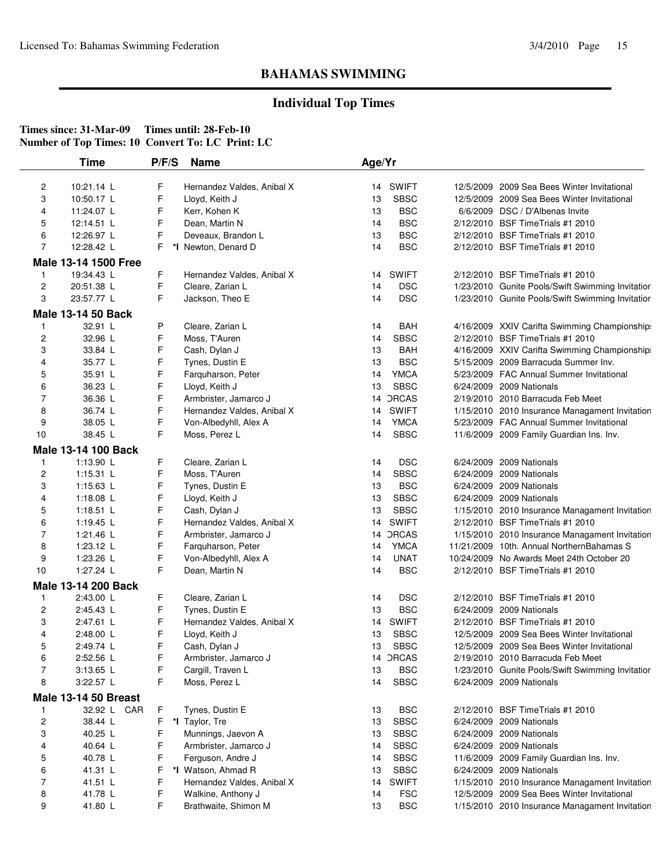## **Individual Top Times**

|                | <b>Time</b>                 | P/F/S | <b>Name</b>                | Age/Yr |              |                                                  |
|----------------|-----------------------------|-------|----------------------------|--------|--------------|--------------------------------------------------|
| 2              | 10:21.14 L                  | F     | Hernandez Valdes, Anibal X | 14     | <b>SWIFT</b> | 12/5/2009 2009 Sea Bees Winter Invitational      |
| 3              | 10:50.17 L                  | F     | Lloyd, Keith J             | 13     | <b>SBSC</b>  | 12/5/2009 2009 Sea Bees Winter Invitational      |
| 4              | 11:24.07 L                  | F     | Kerr, Kohen K              | 13     | <b>BSC</b>   | 6/6/2009 DSC / D'Albenas Invite                  |
| 5              | 12:14.51 L                  | F     | Dean, Martin N             | 14     | <b>BSC</b>   | 2/12/2010 BSF Time Trials #1 2010                |
| 6              | 12:26.97 L                  | F     | Deveaux, Brandon L         | 13     | <b>BSC</b>   | 2/12/2010 BSF Time Trials #1 2010                |
| $\overline{7}$ | 12:28.42 L                  | F     |                            | 14     | <b>BSC</b>   | 2/12/2010 BSF TimeTrials #1 2010                 |
|                |                             |       | *I Newton, Denard D        |        |              |                                                  |
|                | Male 13-14 1500 Free        |       |                            |        |              |                                                  |
| 1              | 19:34.43 L                  | F     | Hernandez Valdes, Anibal X | 14     | <b>SWIFT</b> | 2/12/2010 BSF Time Trials #1 2010                |
| $\overline{c}$ | 20:51.38 L                  | F     | Cleare, Zarian L           | 14     | <b>DSC</b>   | 1/23/2010 Gunite Pools/Swift Swimming Invitatior |
| 3              | 23:57.77 L                  | F     | Jackson, Theo E            | 14     | <b>DSC</b>   | 1/23/2010 Gunite Pools/Swift Swimming Invitatior |
|                | <b>Male 13-14 50 Back</b>   |       |                            |        |              |                                                  |
| 1              | 32.91 L                     | P     | Cleare, Zarian L           | 14     | <b>BAH</b>   | 4/16/2009 XXIV Carifta Swimming Championship:    |
| 2              | 32.96 L                     | F     | Moss, T'Auren              | 14     | <b>SBSC</b>  | 2/12/2010 BSF Time Trials #1 2010                |
| 3              | 33.84 L                     | F     | Cash, Dylan J              | 13     | <b>BAH</b>   | 4/16/2009 XXIV Carifta Swimming Championship:    |
| 4              | 35.77 L                     | F     | Tynes, Dustin E            | 13     | <b>BSC</b>   | 5/15/2009 2009 Barracuda Summer Inv.             |
| 5              | 35.91 L                     | F     | Farquharson, Peter         | 14     | <b>YMCA</b>  | 5/23/2009 FAC Annual Summer Invitational         |
| 6              | 36.23 L                     | F     | Lloyd, Keith J             | 13     | <b>SBSC</b>  | 6/24/2009 2009 Nationals                         |
| 7              | 36.36 L                     | F     | Armbrister, Jamarco J      | 14     | <b>DRCAS</b> | 2/19/2010 2010 Barracuda Feb Meet                |
| 8              | 36.74 L                     | F     | Hernandez Valdes, Anibal X | 14     | <b>SWIFT</b> | 1/15/2010 2010 Insurance Managament Invitation   |
| 9              | 38.05 L                     | F     | Von-Albedyhll, Alex A      | 14     | <b>YMCA</b>  | 5/23/2009 FAC Annual Summer Invitational         |
| $10$           | 38.45 L                     | F     | Moss, Perez L              | 14     | <b>SBSC</b>  | 11/6/2009 2009 Family Guardian Ins. Inv.         |
|                |                             |       |                            |        |              |                                                  |
|                | <b>Male 13-14 100 Back</b>  |       |                            |        |              |                                                  |
| 1              | 1:13.90 L                   | F     | Cleare, Zarian L           | 14     | <b>DSC</b>   | 6/24/2009 2009 Nationals                         |
| 2              | $1:15.31$ L                 | F     | Moss, T'Auren              | 14     | <b>SBSC</b>  | 6/24/2009 2009 Nationals                         |
| 3              | 1:15.63 $L$                 | F     | Tynes, Dustin E            | 13     | <b>BSC</b>   | 6/24/2009 2009 Nationals                         |
| 4              | 1:18.08 $L$                 | F     | Lloyd, Keith J             | 13     | <b>SBSC</b>  | 6/24/2009 2009 Nationals                         |
| 5              | 1:18.51 $L$                 | F     | Cash, Dylan J              | 13     | <b>SBSC</b>  | 1/15/2010 2010 Insurance Managament Invitation   |
| 6              | 1:19.45 $L$                 | F     | Hernandez Valdes, Anibal X | 14     | <b>SWIFT</b> | 2/12/2010 BSF Time Trials #1 2010                |
| $\overline{7}$ | 1:21.46 L                   | F     | Armbrister, Jamarco J      | 14     | <b>DRCAS</b> | 1/15/2010 2010 Insurance Managament Invitation   |
| 8              | 1:23.12 L                   | F     | Farquharson, Peter         | 14     | <b>YMCA</b>  | 11/21/2009 10th. Annual NorthernBahamas S        |
| 9              | 1:23.26 L                   | F     | Von-Albedyhll, Alex A      | 14     | <b>UNAT</b>  | 10/24/2009 No Awards Meet 24th October 20        |
| 10             | 1:27.24 L                   | F     | Dean, Martin N             | 14     | <b>BSC</b>   | 2/12/2010 BSF Time Trials #1 2010                |
|                | Male 13-14 200 Back         |       |                            |        |              |                                                  |
| 1              | 2:43.00 L                   | F     | Cleare, Zarian L           | 14     | <b>DSC</b>   | 2/12/2010 BSF Time Trials #1 2010                |
| 2              | 2:45.43 L                   | F     | Tynes, Dustin E            | 13     | <b>BSC</b>   | 6/24/2009 2009 Nationals                         |
| 3              | 2:47.61 L                   | F     | Hernandez Valdes, Anibal X | 14     | <b>SWIFT</b> | 2/12/2010 BSF Time Trials #1 2010                |
| 4              | 2:48.00 L                   | F     | Lloyd, Keith J             | 13     | <b>SBSC</b>  | 12/5/2009 2009 Sea Bees Winter Invitational      |
| 5              | 2:49.74 L                   | F     | Cash, Dylan J              | 13     | <b>SBSC</b>  | 12/5/2009 2009 Sea Bees Winter Invitational      |
| 6              | 2:52.56 L                   | F     | Armbrister, Jamarco J      |        | 14 ORCAS     | 2/19/2010 2010 Barracuda Feb Meet                |
| $\overline{7}$ | 3:13.65 L                   | F     | Cargill, Traven L          | 13     | <b>BSC</b>   | 1/23/2010 Gunite Pools/Swift Swimming Invitation |
| 8              | 3:22.57 L                   | F     | Moss, Perez L              | 14     | <b>SBSC</b>  | 6/24/2009 2009 Nationals                         |
|                | <b>Male 13-14 50 Breast</b> |       |                            |        |              |                                                  |
| 1              | 32.92 L CAR                 | F     | Tynes, Dustin E            | 13     | <b>BSC</b>   | 2/12/2010 BSF Time Trials #1 2010                |
| 2              | 38.44 L                     | F     | *I Taylor, Tre             | 13     | <b>SBSC</b>  | 6/24/2009 2009 Nationals                         |
| 3              |                             | F     |                            | 13     | <b>SBSC</b>  | 6/24/2009 2009 Nationals                         |
|                | 40.25 L                     |       | Munnings, Jaevon A         |        |              |                                                  |
| 4              | 40.64 L                     | F     | Armbrister, Jamarco J      | 14     | <b>SBSC</b>  | 6/24/2009 2009 Nationals                         |
| 5              | 40.78 L                     | F     | Ferguson, Andre J          | 14     | <b>SBSC</b>  | 11/6/2009 2009 Family Guardian Ins. Inv.         |
| 6              | 41.31 L                     | F     | *I Watson, Ahmad R         | 13     | <b>SBSC</b>  | 6/24/2009 2009 Nationals                         |
| 7              | 41.51 L                     | F     | Hernandez Valdes, Anibal X | 14     | <b>SWIFT</b> | 1/15/2010 2010 Insurance Managament Invitation   |
| 8              | 41.78 L                     | F     | Walkine, Anthony J         | 14     | <b>FSC</b>   | 12/5/2009 2009 Sea Bees Winter Invitational      |
| 9              | 41.80 L                     | F     | Brathwaite, Shimon M       | 13     | <b>BSC</b>   | 1/15/2010 2010 Insurance Managament Invitation   |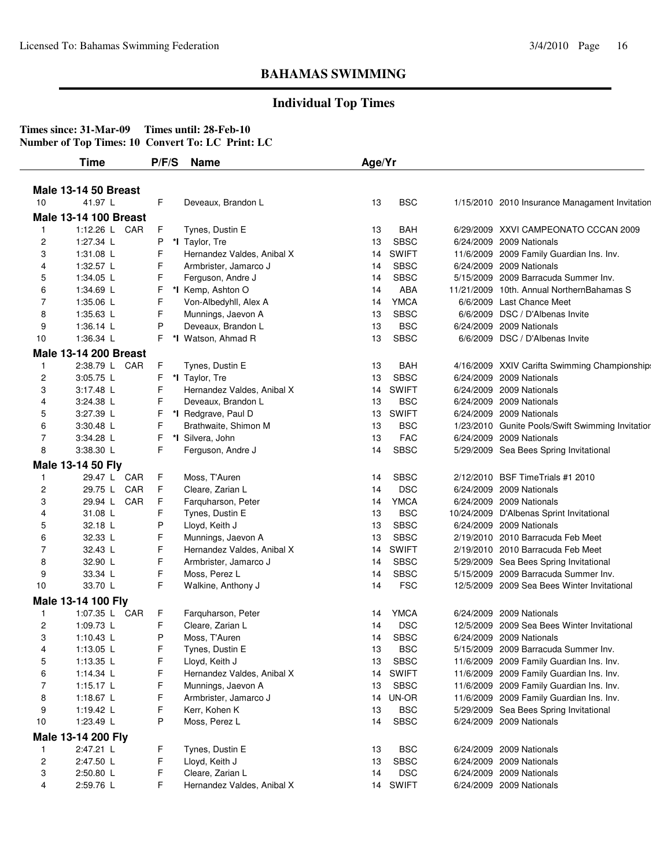## **Individual Top Times**

|                         | Time                         | P/F/S  | <b>Name</b>                       | Age/Yr   |                           |                                                                                      |
|-------------------------|------------------------------|--------|-----------------------------------|----------|---------------------------|--------------------------------------------------------------------------------------|
|                         | <b>Male 13-14 50 Breast</b>  |        |                                   |          |                           |                                                                                      |
| 10                      | 41.97 L                      | F      | Deveaux, Brandon L                | 13       | <b>BSC</b>                | 1/15/2010 2010 Insurance Managament Invitation                                       |
|                         | <b>Male 13-14 100 Breast</b> |        |                                   |          |                           |                                                                                      |
| 1                       | 1:12.26 L CAR                | F      | Tynes, Dustin E                   | 13       | <b>BAH</b>                | 6/29/2009 XXVI CAMPEONATO CCCAN 2009                                                 |
| $\overline{\mathbf{c}}$ | 1:27.34 L                    | P      | *I Taylor, Tre                    | 13       | <b>SBSC</b>               | 6/24/2009 2009 Nationals                                                             |
| 3                       | 1:31.08 L                    | F      | Hernandez Valdes, Anibal X        | 14       | <b>SWIFT</b>              | 11/6/2009 2009 Family Guardian Ins. Inv.                                             |
| 4                       | 1:32.57 L                    | F      | Armbrister, Jamarco J             | 14       | <b>SBSC</b>               | 6/24/2009 2009 Nationals                                                             |
| 5                       | 1:34.05 L                    | F      | Ferguson, Andre J                 | 14       | <b>SBSC</b>               | 5/15/2009 2009 Barracuda Summer Inv.                                                 |
| 6                       | 1:34.69 L                    | F      | *I Kemp, Ashton O                 | 14       | ABA                       | 11/21/2009 10th. Annual NorthernBahamas S                                            |
| 7                       | 1:35.06 L                    | F      | Von-Albedyhll, Alex A             | 14       | <b>YMCA</b>               | 6/6/2009 Last Chance Meet                                                            |
| 8                       | 1:35.63 L                    | F      | Munnings, Jaevon A                | 13       | <b>SBSC</b>               | 6/6/2009 DSC / D'Albenas Invite                                                      |
| 9                       | 1:36.14 $\lfloor$            | P      | Deveaux, Brandon L                | 13       | <b>BSC</b>                | 6/24/2009 2009 Nationals                                                             |
| 10                      | 1:36.34 L                    | F.     | *I Watson, Ahmad R                | 13       | <b>SBSC</b>               | 6/6/2009 DSC / D'Albenas Invite                                                      |
|                         | <b>Male 13-14 200 Breast</b> |        |                                   |          |                           |                                                                                      |
| 1                       | 2:38.79 L CAR                | F      | Tynes, Dustin E                   | 13       | BAH                       | 4/16/2009 XXIV Carifta Swimming Championship:                                        |
| $\overline{c}$          | 3:05.75 L                    | F.     | *I Taylor, Tre                    | 13       | <b>SBSC</b>               | 6/24/2009 2009 Nationals                                                             |
| 3                       | 3:17.48 L                    | F      | Hernandez Valdes, Anibal X        | 14       | <b>SWIFT</b>              | 6/24/2009 2009 Nationals                                                             |
| 4                       | 3:24.38 L                    | F      | Deveaux, Brandon L                | 13       | <b>BSC</b>                | 6/24/2009 2009 Nationals                                                             |
| 5                       | 3:27.39 L                    | F      | *I Redgrave, Paul D               | 13       | <b>SWIFT</b>              | 6/24/2009 2009 Nationals                                                             |
| 6                       | 3:30.48 L                    | F      | Brathwaite, Shimon M              | 13       | <b>BSC</b>                | 1/23/2010 Gunite Pools/Swift Swimming Invitatior                                     |
| $\overline{7}$          | 3:34.28 L                    | F.     | *I Silvera, John                  | 13       | <b>FAC</b>                | 6/24/2009 2009 Nationals                                                             |
| 8                       | 3:38.30 L                    | F      | Ferguson, Andre J                 | 14       | <b>SBSC</b>               | 5/29/2009 Sea Bees Spring Invitational                                               |
|                         |                              |        |                                   |          |                           |                                                                                      |
|                         | Male 13-14 50 Fly            |        |                                   |          |                           |                                                                                      |
| 1                       | 29.47 L CAR                  | F      | Moss, T'Auren                     | 14       | <b>SBSC</b>               | 2/12/2010 BSF TimeTrials #1 2010                                                     |
| 2                       | 29.75 L CAR<br>29.94 L CAR   | F<br>F | Cleare, Zarian L                  | 14       | <b>DSC</b><br><b>YMCA</b> | 6/24/2009 2009 Nationals                                                             |
| 3<br>4                  | 31.08 L                      | F      | Farquharson, Peter                | 14<br>13 | <b>BSC</b>                | 6/24/2009 2009 Nationals                                                             |
|                         | 32.18 L                      | Ρ      | Tynes, Dustin E<br>Lloyd, Keith J | 13       | <b>SBSC</b>               | 10/24/2009 D'Albenas Sprint Invitational<br>6/24/2009 2009 Nationals                 |
| 5<br>6                  | 32.33 L                      | F      | Munnings, Jaevon A                | 13       | <b>SBSC</b>               | 2/19/2010 2010 Barracuda Feb Meet                                                    |
| 7                       | 32.43 L                      | F      | Hernandez Valdes, Anibal X        | 14       | <b>SWIFT</b>              | 2/19/2010 2010 Barracuda Feb Meet                                                    |
| 8                       | 32.90 L                      | F      | Armbrister, Jamarco J             | 14       | <b>SBSC</b>               | 5/29/2009 Sea Bees Spring Invitational                                               |
| 9                       | 33.34 L                      | F      | Moss, Perez L                     | 14       | <b>SBSC</b>               | 5/15/2009 2009 Barracuda Summer Inv.                                                 |
| 10                      | 33.70 L                      | F.     | Walkine, Anthony J                | 14       | <b>FSC</b>                | 12/5/2009 2009 Sea Bees Winter Invitational                                          |
|                         |                              |        |                                   |          |                           |                                                                                      |
|                         | Male 13-14 100 Fly           |        |                                   |          |                           |                                                                                      |
| 1                       | 1:07.35 L CAR                | F      | Farquharson, Peter                | 14       | <b>YMCA</b>               | 6/24/2009 2009 Nationals                                                             |
| $\overline{c}$          | 1:09.73 L                    | F      | Cleare, Zarian L                  | 14       | <b>DSC</b>                | 12/5/2009 2009 Sea Bees Winter Invitational                                          |
| 3                       | 1:10.43 $L$                  | Ρ      | Moss, T'Auren                     | 14       | <b>SBSC</b>               | 6/24/2009 2009 Nationals                                                             |
| 4                       | 1:13.05 L                    | F      | Tynes, Dustin E                   | 13       | <b>BSC</b>                | 5/15/2009 2009 Barracuda Summer Inv.                                                 |
| 5                       | 1:13.35 L                    | F      | Lloyd, Keith J                    | 13       | <b>SBSC</b>               | 11/6/2009 2009 Family Guardian Ins. Inv.                                             |
| 6                       | 1:14.34 L<br>1:15.17 L       | F<br>F | Hernandez Valdes, Anibal X        | 14       | <b>SWIFT</b>              | 11/6/2009 2009 Family Guardian Ins. Inv.<br>11/6/2009 2009 Family Guardian Ins. Inv. |
| 7                       |                              | F      | Munnings, Jaevon A                | 13       | <b>SBSC</b>               |                                                                                      |
| 8                       | 1:18.67 L                    |        | Armbrister, Jamarco J             |          | 14 UN-OR                  | 11/6/2009 2009 Family Guardian Ins. Inv.                                             |
| 9                       | 1:19.42 L                    | F<br>P | Kerr, Kohen K                     | 13       | <b>BSC</b>                | 5/29/2009 Sea Bees Spring Invitational                                               |
| 10                      | 1:23.49 L                    |        | Moss, Perez L                     | 14       | <b>SBSC</b>               | 6/24/2009 2009 Nationals                                                             |
|                         | Male 13-14 200 Fly           |        |                                   |          |                           |                                                                                      |
| 1                       | 2:47.21 L                    | F      | Tynes, Dustin E                   | 13       | <b>BSC</b>                | 6/24/2009 2009 Nationals                                                             |
| $\overline{c}$          | 2:47.50 L                    | F      | Lloyd, Keith J                    | 13       | <b>SBSC</b>               | 6/24/2009 2009 Nationals                                                             |
| 3                       | 2:50.80 L                    | F      | Cleare, Zarian L                  | 14       | <b>DSC</b>                | 6/24/2009 2009 Nationals                                                             |
| 4                       | 2:59.76 L                    | F      | Hernandez Valdes, Anibal X        | 14       | <b>SWIFT</b>              | 6/24/2009 2009 Nationals                                                             |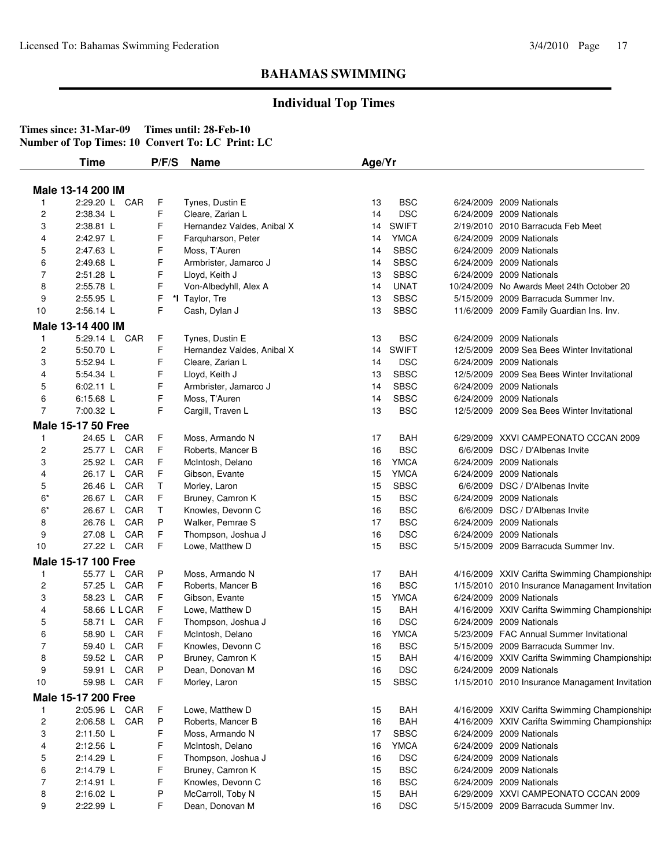## **Individual Top Times**

|                         | Male 13-14 200 IM         |    |                            |    |              |                                                |
|-------------------------|---------------------------|----|----------------------------|----|--------------|------------------------------------------------|
| $\mathbf{1}$            | 2:29.20 L CAR             | F  | Tynes, Dustin E            | 13 | <b>BSC</b>   | 6/24/2009 2009 Nationals                       |
| $\overline{c}$          | 2:38.34 L                 | F  | Cleare, Zarian L           | 14 | <b>DSC</b>   | 6/24/2009 2009 Nationals                       |
| 3                       | 2:38.81 L                 | F  | Hernandez Valdes, Anibal X | 14 | <b>SWIFT</b> | 2/19/2010 2010 Barracuda Feb Meet              |
| 4                       | 2:42.97 L                 | F  | Farquharson, Peter         | 14 | <b>YMCA</b>  | 6/24/2009 2009 Nationals                       |
| 5                       | 2:47.63 L                 | F  | Moss, T'Auren              | 14 | <b>SBSC</b>  | 6/24/2009 2009 Nationals                       |
| 6                       | 2:49.68 L                 | F  | Armbrister, Jamarco J      | 14 | <b>SBSC</b>  | 6/24/2009 2009 Nationals                       |
| 7                       | 2:51.28 L                 | F  | Lloyd, Keith J             | 13 | <b>SBSC</b>  | 6/24/2009 2009 Nationals                       |
| 8                       | 2:55.78 L                 | F  | Von-Albedyhll, Alex A      | 14 | <b>UNAT</b>  | 10/24/2009 No Awards Meet 24th October 20      |
| 9                       | 2:55.95 L                 | F  | *I Taylor, Tre             | 13 | <b>SBSC</b>  | 5/15/2009 2009 Barracuda Summer Inv.           |
| 10                      | 2:56.14 L                 | F  | Cash, Dylan J              | 13 | <b>SBSC</b>  | 11/6/2009 2009 Family Guardian Ins. Inv.       |
|                         | Male 13-14 400 IM         |    |                            |    |              |                                                |
| 1                       | 5:29.14 L CAR             | F  | Tynes, Dustin E            | 13 | <b>BSC</b>   | 6/24/2009 2009 Nationals                       |
| 2                       | 5:50.70 L                 | F  | Hernandez Valdes, Anibal X | 14 | <b>SWIFT</b> | 12/5/2009 2009 Sea Bees Winter Invitational    |
| 3                       | 5:52.94 L                 | F  | Cleare, Zarian L           | 14 | <b>DSC</b>   | 6/24/2009 2009 Nationals                       |
| 4                       | 5:54.34 L                 | F  | Lloyd, Keith J             | 13 | <b>SBSC</b>  | 12/5/2009 2009 Sea Bees Winter Invitational    |
| 5                       | $6:02.11$ L               | F  | Armbrister, Jamarco J      | 14 | <b>SBSC</b>  | 6/24/2009 2009 Nationals                       |
| 6                       | 6:15.68 L                 | F  | Moss, T'Auren              | 14 | <b>SBSC</b>  | 6/24/2009 2009 Nationals                       |
| 7                       | 7:00.32 L                 | F  | Cargill, Traven L          | 13 | <b>BSC</b>   | 12/5/2009 2009 Sea Bees Winter Invitational    |
|                         | <b>Male 15-17 50 Free</b> |    |                            |    |              |                                                |
|                         |                           |    |                            |    |              |                                                |
| 1                       | 24.65 L CAR               | F  | Moss, Armando N            | 17 | <b>BAH</b>   | 6/29/2009 XXVI CAMPEONATO CCCAN 2009           |
| $\overline{\mathbf{c}}$ | 25.77 L CAR               | F  | Roberts, Mancer B          | 16 | <b>BSC</b>   | 6/6/2009 DSC / D'Albenas Invite                |
| 3                       | CAR<br>25.92 L            | F  | McIntosh, Delano           | 16 | <b>YMCA</b>  | 6/24/2009 2009 Nationals                       |
| 4                       | 26.17 L CAR               | F  | Gibson, Evante             | 15 | <b>YMCA</b>  | 6/24/2009 2009 Nationals                       |
| 5                       | CAR<br>26.46 L            | T. | Morley, Laron              | 15 | <b>SBSC</b>  | 6/6/2009 DSC / D'Albenas Invite                |
| $6*$                    | CAR<br>26.67 L            | F  | Bruney, Camron K           | 15 | <b>BSC</b>   | 6/24/2009 2009 Nationals                       |
| $6*$                    | 26.67 L CAR               | Τ  | Knowles, Devonn C          | 16 | <b>BSC</b>   | 6/6/2009 DSC / D'Albenas Invite                |
| 8                       | CAR<br>26.76 L            | P  | Walker, Pemrae S           | 17 | <b>BSC</b>   | 6/24/2009 2009 Nationals                       |
| 9                       | 27.08 L<br>CAR            | F  | Thompson, Joshua J         | 16 | <b>DSC</b>   | 6/24/2009 2009 Nationals                       |
| 10                      | 27.22 L CAR               | F. | Lowe, Matthew D            | 15 | <b>BSC</b>   | 5/15/2009 2009 Barracuda Summer Inv.           |
|                         | Male 15-17 100 Free       |    |                            |    |              |                                                |
| 1                       | 55.77 L CAR               | P  | Moss, Armando N            | 17 | <b>BAH</b>   | 4/16/2009 XXIV Carifta Swimming Championship:  |
| $\overline{c}$          | 57.25 L CAR               | F. | Roberts, Mancer B          | 16 | <b>BSC</b>   | 1/15/2010 2010 Insurance Managament Invitation |
| 3                       | 58.23 L CAR               | F  | Gibson, Evante             | 15 | <b>YMCA</b>  | 6/24/2009 2009 Nationals                       |
| 4                       | 58.66 L L CAR             | F  | Lowe, Matthew D            | 15 | <b>BAH</b>   | 4/16/2009 XXIV Carifta Swimming Championship:  |
| 5                       | 58.71 L CAR               | F  | Thompson, Joshua J         | 16 | <b>DSC</b>   | 6/24/2009 2009 Nationals                       |
| 6                       | CAR<br>58.90 L            | F  | McIntosh, Delano           | 16 | <b>YMCA</b>  | 5/23/2009 FAC Annual Summer Invitational       |
| $\overline{7}$          | CAR<br>59.40 L            | F  | Knowles, Devonn C          | 16 | <b>BSC</b>   | 5/15/2009 2009 Barracuda Summer Inv.           |
| 8                       | 59.52 L CAR               | P  | Bruney, Camron K           | 15 | <b>BAH</b>   | 4/16/2009 XXIV Carifta Swimming Championship:  |
| 9                       | CAR<br>59.91 L            | P  | Dean, Donovan M            | 16 | <b>DSC</b>   | 6/24/2009 2009 Nationals                       |
| 10                      | 59.98 L CAR               | F  | Morley, Laron              | 15 | <b>SBSC</b>  | 1/15/2010 2010 Insurance Managament Invitation |
|                         | Male 15-17 200 Free       |    |                            |    |              |                                                |
| 1                       | 2:05.96 L CAR             | F  | Lowe, Matthew D            | 15 | <b>BAH</b>   | 4/16/2009 XXIV Carifta Swimming Championship:  |
| $\overline{\mathbf{c}}$ | 2:06.58 L CAR             | P  | Roberts, Mancer B          | 16 | <b>BAH</b>   | 4/16/2009 XXIV Carifta Swimming Championship:  |
| 3                       | 2:11.50 L                 | F  | Moss, Armando N            | 17 | <b>SBSC</b>  | 6/24/2009 2009 Nationals                       |
| 4                       | 2:12.56 L                 | F  | McIntosh, Delano           | 16 | <b>YMCA</b>  | 6/24/2009 2009 Nationals                       |
| 5                       | 2:14.29 L                 | F  | Thompson, Joshua J         | 16 | <b>DSC</b>   | 6/24/2009 2009 Nationals                       |
| 6                       | 2:14.79 L                 | F  | Bruney, Camron K           | 15 | <b>BSC</b>   | 6/24/2009 2009 Nationals                       |
| 7                       | 2:14.91 L                 | F  | Knowles, Devonn C          | 16 | <b>BSC</b>   | 6/24/2009 2009 Nationals                       |
|                         | 2:16.02 L                 | P  | McCarroll, Toby N          | 15 | <b>BAH</b>   | 6/29/2009 XXVI CAMPEONATO CCCAN 2009           |
| 8                       |                           |    |                            |    |              |                                                |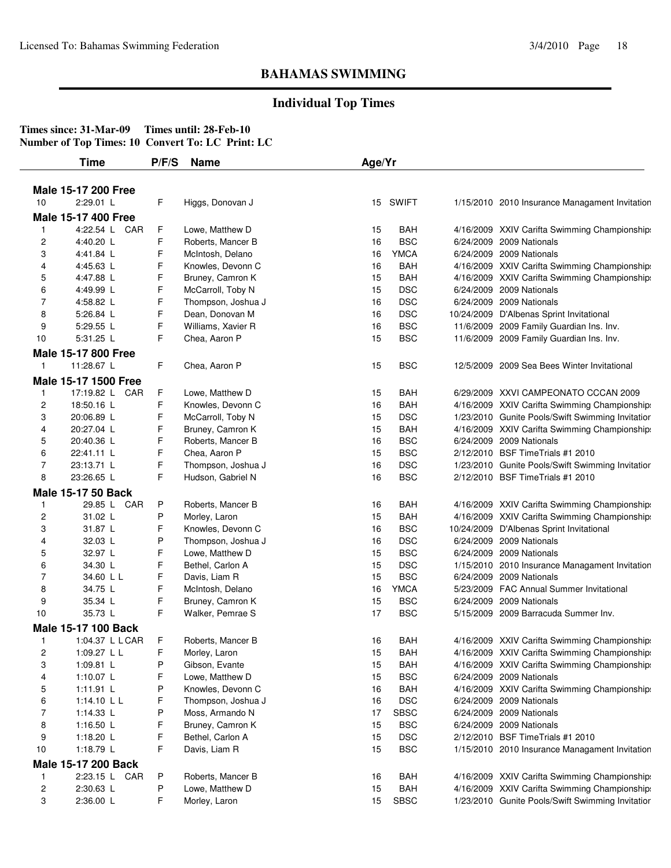## **Individual Top Times**

|                | <b>Time</b>                 | P/F/S | <b>Name</b>                       | Age/Yr   |                   |                                                                                                |
|----------------|-----------------------------|-------|-----------------------------------|----------|-------------------|------------------------------------------------------------------------------------------------|
|                |                             |       |                                   |          |                   |                                                                                                |
|                | <b>Male 15-17 200 Free</b>  |       |                                   |          |                   |                                                                                                |
| 10             | 2:29.01 L                   | F     | Higgs, Donovan J                  | 15       | <b>SWIFT</b>      | 1/15/2010 2010 Insurance Managament Invitation                                                 |
|                | <b>Male 15-17 400 Free</b>  |       |                                   |          |                   |                                                                                                |
| -1             | 4:22.54 L CAR               | F     | Lowe, Matthew D                   | 15       | <b>BAH</b>        | 4/16/2009 XXIV Carifta Swimming Championship.                                                  |
| 2              | 4:40.20 L                   | F     | Roberts, Mancer B                 | 16       | <b>BSC</b>        | 6/24/2009 2009 Nationals                                                                       |
| 3              | 4:41.84 L                   | F     | McIntosh, Delano                  | 16       | <b>YMCA</b>       | 6/24/2009 2009 Nationals                                                                       |
| 4              | 4:45.63 L                   | F     | Knowles, Devonn C                 | 16       | <b>BAH</b>        | 4/16/2009 XXIV Carifta Swimming Championship:                                                  |
| 5              | 4:47.88 L                   | F     | Bruney, Camron K                  | 15       | <b>BAH</b>        | 4/16/2009 XXIV Carifta Swimming Championship:                                                  |
| 6              | 4:49.99 L                   | F     | McCarroll, Toby N                 | 15       | <b>DSC</b>        | 6/24/2009 2009 Nationals                                                                       |
| 7              | 4:58.82 L                   | F     | Thompson, Joshua J                | 16       | <b>DSC</b>        | 6/24/2009 2009 Nationals                                                                       |
| 8              | 5:26.84 L                   | F     | Dean, Donovan M                   | 16       | <b>DSC</b>        | 10/24/2009 D'Albenas Sprint Invitational                                                       |
| 9              | 5:29.55 L                   | F     | Williams, Xavier R                | 16       | <b>BSC</b>        | 11/6/2009 2009 Family Guardian Ins. Inv.                                                       |
| 10             | 5:31.25 L                   | F     | Chea, Aaron P                     | 15       | <b>BSC</b>        | 11/6/2009 2009 Family Guardian Ins. Inv.                                                       |
|                | Male 15-17 800 Free         |       |                                   |          |                   |                                                                                                |
| $\mathbf{1}$   | 11:28.67 L                  | F     | Chea, Aaron P                     | 15       | <b>BSC</b>        | 12/5/2009 2009 Sea Bees Winter Invitational                                                    |
|                | <b>Male 15-17 1500 Free</b> |       |                                   |          |                   |                                                                                                |
| 1              | 17:19.82 L CAR              | F     | Lowe. Matthew D                   | 15       | BAH               | 6/29/2009 XXVI CAMPEONATO CCCAN 2009                                                           |
| $\overline{c}$ | 18:50.16 L                  | F     | Knowles, Devonn C                 | 16       | <b>BAH</b>        | 4/16/2009 XXIV Carifta Swimming Championship:                                                  |
| 3              | 20:06.89 L                  | F     | McCarroll, Toby N                 | 15       | <b>DSC</b>        | 1/23/2010 Gunite Pools/Swift Swimming Invitatior                                               |
| 4              | 20:27.04 L                  | F     | Bruney, Camron K                  | 15       | <b>BAH</b>        | 4/16/2009 XXIV Carifta Swimming Championship:                                                  |
| 5              | 20:40.36 L                  | F     | Roberts, Mancer B                 | 16       | <b>BSC</b>        | 6/24/2009 2009 Nationals                                                                       |
| 6              | 22:41.11 L                  | F     | Chea, Aaron P                     | 15       | <b>BSC</b>        | 2/12/2010 BSF TimeTrials #1 2010                                                               |
| $\overline{7}$ | 23:13.71 L                  | F     | Thompson, Joshua J                | 16       | <b>DSC</b>        | 1/23/2010 Gunite Pools/Swift Swimming Invitatior                                               |
| 8              | 23:26.65 L                  | F     | Hudson, Gabriel N                 | 16       | <b>BSC</b>        | 2/12/2010 BSF TimeTrials #1 2010                                                               |
|                | <b>Male 15-17 50 Back</b>   |       |                                   |          |                   |                                                                                                |
| 1              | 29.85 L CAR                 | P     | Roberts, Mancer B                 | 16       | <b>BAH</b>        | 4/16/2009 XXIV Carifta Swimming Championship:                                                  |
| $\overline{c}$ | 31.02 L                     | P     | Morley, Laron                     | 15       | <b>BAH</b>        | 4/16/2009 XXIV Carifta Swimming Championship:                                                  |
| 3              | 31.87 L                     | F     | Knowles, Devonn C                 | 16       | <b>BSC</b>        | 10/24/2009 D'Albenas Sprint Invitational                                                       |
| 4              | 32.03 L                     | P     | Thompson, Joshua J                | 16       | <b>DSC</b>        | 6/24/2009 2009 Nationals                                                                       |
| 5              | 32.97 L                     | F     | Lowe, Matthew D                   | 15       | <b>BSC</b>        | 6/24/2009 2009 Nationals                                                                       |
| 6              | 34.30 L                     | F     | Bethel, Carlon A                  | 15       | <b>DSC</b>        | 1/15/2010 2010 Insurance Managament Invitation                                                 |
| 7              | 34.60 L L                   | F     | Davis, Liam R                     | 15       | <b>BSC</b>        | 6/24/2009 2009 Nationals                                                                       |
| 8              | 34.75 L                     | F     | McIntosh, Delano                  | 16       | <b>YMCA</b>       | 5/23/2009 FAC Annual Summer Invitational                                                       |
| 9              | 35.34 L                     | F     | Bruney, Camron K                  | 15       | <b>BSC</b>        | 6/24/2009 2009 Nationals                                                                       |
| 10             | 35.73 L                     | F     | Walker, Pemrae S                  | 17       | <b>BSC</b>        | 5/15/2009 2009 Barracuda Summer Inv.                                                           |
|                | <b>Male 15-17 100 Back</b>  |       |                                   |          |                   |                                                                                                |
|                | 1:04.37 L L CAR             | F     | Roberts, Mancer B                 | 16       | BAH               |                                                                                                |
| 1              |                             | F     |                                   |          |                   | 4/16/2009 XXIV Carifta Swimming Championship:                                                  |
| 2              | 1:09.27 L L<br>1:09.81 L    | P     | Morley, Laron                     | 15<br>15 | BAH<br><b>BAH</b> | 4/16/2009 XXIV Carifta Swimming Championship:<br>4/16/2009 XXIV Carifta Swimming Championship: |
| 3              | 1:10.07 L                   | F     | Gibson, Evante<br>Lowe, Matthew D | 15       | <b>BSC</b>        | 6/24/2009 2009 Nationals                                                                       |
| 4              | 1:11.91 L                   | P     | Knowles, Devonn C                 | 16       | BAH               |                                                                                                |
| 5              | 1:14.10 $L L$               | F     | Thompson, Joshua J                | 16       | <b>DSC</b>        | 4/16/2009 XXIV Carifta Swimming Championship:<br>6/24/2009 2009 Nationals                      |
| 6<br>7         | 1:14.33 $L$                 | P     | Moss, Armando N                   | 17       | <b>SBSC</b>       | 6/24/2009 2009 Nationals                                                                       |
|                | 1:16.50 L                   | F     | Bruney, Camron K                  | 15       | <b>BSC</b>        | 6/24/2009 2009 Nationals                                                                       |
| 8<br>9         | 1:18.20 L                   | F     | Bethel, Carlon A                  | 15       | <b>DSC</b>        | 2/12/2010 BSF Time Trials #1 2010                                                              |
|                |                             | F     |                                   |          | <b>BSC</b>        |                                                                                                |
| 10             | 1:18.79 L                   |       | Davis, Liam R                     | 15       |                   | 1/15/2010 2010 Insurance Managament Invitation                                                 |
|                | Male 15-17 200 Back         |       |                                   |          |                   |                                                                                                |
| -1             | 2:23.15 L CAR               | P     | Roberts, Mancer B                 | 16       | <b>BAH</b>        | 4/16/2009 XXIV Carifta Swimming Championship:                                                  |
| 2              | 2:30.63 L                   | P     | Lowe, Matthew D                   | 15       | <b>BAH</b>        | 4/16/2009 XXIV Carifta Swimming Championship:                                                  |
| 3              | 2:36.00 L                   | F     | Morley, Laron                     | 15       | <b>SBSC</b>       | 1/23/2010 Gunite Pools/Swift Swimming Invitatior                                               |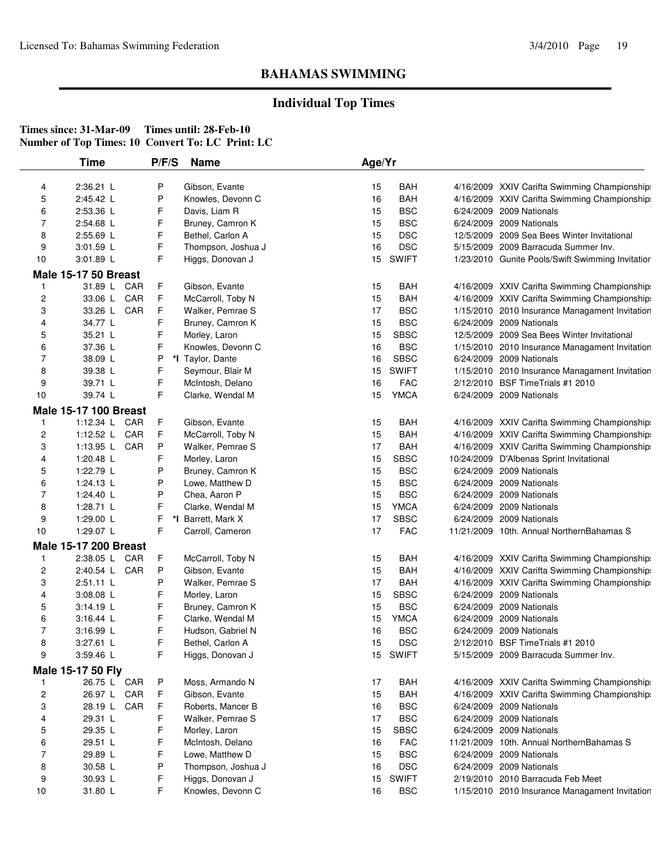## **Individual Top Times**

|    | <b>Time</b>                                   | P/F/S | <b>Name</b>                            | Age/Yr   |                            |                                                               |
|----|-----------------------------------------------|-------|----------------------------------------|----------|----------------------------|---------------------------------------------------------------|
| 4  | 2:36.21 L                                     | P     | Gibson, Evante                         | 15       | <b>BAH</b>                 | 4/16/2009 XXIV Carifta Swimming Championship:                 |
| 5  | 2:45.42 L                                     | P     | Knowles, Devonn C                      | 16       | BAH                        | 4/16/2009 XXIV Carifta Swimming Championship:                 |
| 6  | 2:53.36 L                                     | F     | Davis, Liam R                          | 15       | <b>BSC</b>                 | 6/24/2009 2009 Nationals                                      |
| 7  | 2:54.68 L                                     | F     | Bruney, Camron K                       | 15       | <b>BSC</b>                 | 6/24/2009 2009 Nationals                                      |
| 8  | 2:55.69 L                                     | F     | Bethel, Carlon A                       | 15       | <b>DSC</b>                 | 12/5/2009 2009 Sea Bees Winter Invitational                   |
| 9  | 3:01.59 L                                     | F     | Thompson, Joshua J                     | 16       | <b>DSC</b>                 | 5/15/2009 2009 Barracuda Summer Inv.                          |
| 10 | 3:01.89 L                                     | F     | Higgs, Donovan J                       | 15       | <b>SWIFT</b>               | 1/23/2010 Gunite Pools/Swift Swimming Invitatior              |
|    | <b>Male 15-17 50 Breast</b>                   |       |                                        |          |                            |                                                               |
| 1  | 31.89 L<br>CAR                                | F     | Gibson, Evante                         | 15       | BAH                        | 4/16/2009 XXIV Carifta Swimming Championship:                 |
| 2  | CAR<br>33.06 L                                | F     | McCarroll, Toby N                      | 15       | <b>BAH</b>                 | 4/16/2009 XXIV Carifta Swimming Championship:                 |
| 3  | 33.26 L CAR                                   | F     | Walker, Pemrae S                       | 17       | <b>BSC</b>                 | 1/15/2010 2010 Insurance Managament Invitation                |
| 4  | 34.77 L                                       | F     | Bruney, Camron K                       | 15       | <b>BSC</b>                 | 6/24/2009 2009 Nationals                                      |
| 5  | 35.21 L                                       | F     | Morley, Laron                          | 15       | <b>SBSC</b>                | 12/5/2009 2009 Sea Bees Winter Invitational                   |
| 6  | 37.36 L                                       | F     | Knowles, Devonn C                      | 16       | <b>BSC</b>                 | 1/15/2010 2010 Insurance Managament Invitation                |
| 7  | 38.09 L                                       | P     | *I Taylor, Dante                       | 16       | <b>SBSC</b>                | 6/24/2009 2009 Nationals                                      |
| 8  | 39.38 L                                       | F     | Seymour, Blair M                       | 15       | <b>SWIFT</b>               | 1/15/2010 2010 Insurance Managament Invitation                |
| 9  | 39.71 L                                       | F     | McIntosh, Delano                       | 16       | <b>FAC</b>                 | 2/12/2010 BSF TimeTrials #1 2010                              |
| 10 | 39.74 L                                       | F     | Clarke, Wendal M                       | 15       | <b>YMCA</b>                | 6/24/2009 2009 Nationals                                      |
|    |                                               |       |                                        |          |                            |                                                               |
|    | <b>Male 15-17 100 Breast</b><br>1:12.34 L CAR |       |                                        |          |                            |                                                               |
| 1  |                                               | F     | Gibson, Evante                         | 15       | BAH                        | 4/16/2009 XXIV Carifta Swimming Championship:                 |
| 2  | CAR<br>1:12.52 $L$                            | F     | McCarroll, Toby N                      | 15       | <b>BAH</b>                 | 4/16/2009 XXIV Carifta Swimming Championship:                 |
| 3  | 1:13.95 $L$<br>CAR                            | P     | Walker, Pemrae S                       | 17       | <b>BAH</b>                 | 4/16/2009 XXIV Carifta Swimming Championship:                 |
| 4  | 1:20.48 L                                     | F     | Morley, Laron                          | 15       | <b>SBSC</b>                | 10/24/2009 D'Albenas Sprint Invitational                      |
| 5  | 1:22.79 L                                     | P     | Bruney, Camron K                       | 15       | <b>BSC</b>                 | 6/24/2009 2009 Nationals                                      |
| 6  | 1:24.13 $L$                                   | P     | Lowe, Matthew D                        | 15       | <b>BSC</b>                 | 6/24/2009 2009 Nationals                                      |
| 7  | 1:24.40 L                                     | P     | Chea, Aaron P                          | 15       | <b>BSC</b>                 | 6/24/2009 2009 Nationals                                      |
| 8  | 1:28.71 L                                     | F     | Clarke, Wendal M                       | 15       | <b>YMCA</b>                | 6/24/2009 2009 Nationals                                      |
| 9  | 1:29.00 L                                     | F     | *I Barrett, Mark X                     | 17       | <b>SBSC</b>                | 6/24/2009 2009 Nationals                                      |
| 10 | 1:29.07 L                                     | F     | Carroll, Cameron                       | 17       | <b>FAC</b>                 | 11/21/2009 10th. Annual NorthernBahamas S                     |
|    | <b>Male 15-17 200 Breast</b>                  |       |                                        |          |                            |                                                               |
| 1  | 2:38.05 L<br>CAR                              | F     | McCarroll, Toby N                      | 15       | <b>BAH</b>                 | 4/16/2009 XXIV Carifta Swimming Championship:                 |
| 2  | 2:40.54 L<br>CAR                              | P     | Gibson, Evante                         | 15       | <b>BAH</b>                 | 4/16/2009 XXIV Carifta Swimming Championship:                 |
| 3  | $2:51.11$ L                                   | P     | Walker, Pemrae S                       | 17       | BAH                        | 4/16/2009 XXIV Carifta Swimming Championship:                 |
| 4  | 3:08.08 L                                     | F     | Morley, Laron                          | 15       | <b>SBSC</b>                | 6/24/2009 2009 Nationals                                      |
| 5  | 3:14.19 L                                     | F     | Bruney, Camron K                       | 15       | <b>BSC</b>                 | 6/24/2009 2009 Nationals                                      |
| 6  | $3:16.44$ L                                   | F     | Clarke, Wendal M                       | 15       | <b>YMCA</b>                | 6/24/2009 2009 Nationals                                      |
| 7  | 3:16.99 L                                     | F     | Hudson, Gabriel N                      | 16       | <b>BSC</b>                 | 6/24/2009 2009 Nationals                                      |
| 8  | 3:27.61 L                                     | F     | Bethel, Carlon A                       | 15       | <b>DSC</b>                 | 2/12/2010 BSF Time Trials #1 2010                             |
| 9  | 3:59.46 L                                     | F     | Higgs, Donovan J                       |          | 15 SWIFT                   | 5/15/2009 2009 Barracuda Summer Inv.                          |
|    | Male 15-17 50 Fly                             |       |                                        |          |                            |                                                               |
| 1  | 26.75 L CAR                                   | P     | Moss, Armando N                        | 17       | <b>BAH</b>                 | 4/16/2009 XXIV Carifta Swimming Championship:                 |
| 2  | CAR<br>26.97 L                                | F     | Gibson, Evante                         | 15       | <b>BAH</b>                 | 4/16/2009 XXIV Carifta Swimming Championship:                 |
| 3  | CAR<br>28.19 L                                | F     | Roberts, Mancer B                      | 16       | <b>BSC</b>                 | 6/24/2009 2009 Nationals                                      |
| 4  | 29.31 L                                       | F     | Walker, Pemrae S                       | 17       | <b>BSC</b>                 | 6/24/2009 2009 Nationals                                      |
| 5  | 29.35 L                                       | F     | Morley, Laron                          | 15       | <b>SBSC</b>                | 6/24/2009 2009 Nationals                                      |
| 6  | 29.51 L                                       | F     | McIntosh, Delano                       | 16       | <b>FAC</b>                 | 11/21/2009 10th. Annual NorthernBahamas S                     |
|    | 29.89 L                                       | F     | Lowe, Matthew D                        | 15       | <b>BSC</b>                 | 6/24/2009 2009 Nationals                                      |
| 7  |                                               |       |                                        |          |                            |                                                               |
| 8  |                                               | P     |                                        |          |                            |                                                               |
| 9  | 30.58 L<br>30.93 L                            | F     | Thompson, Joshua J<br>Higgs, Donovan J | 16<br>15 | <b>DSC</b><br><b>SWIFT</b> | 6/24/2009 2009 Nationals<br>2/19/2010 2010 Barracuda Feb Meet |